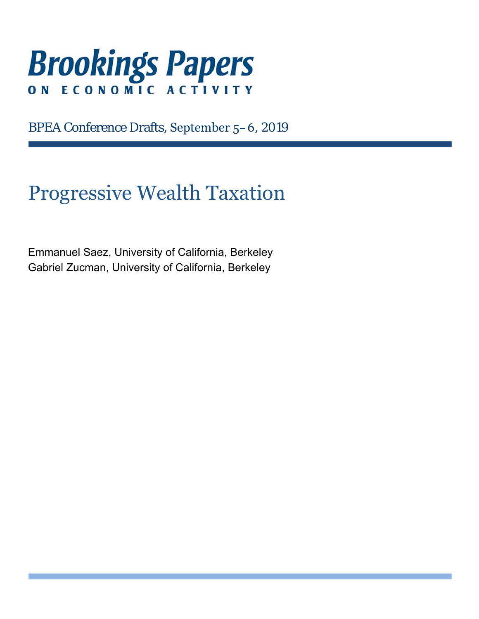

BPEA Conference Drafts, September 5–6, 2019

# Progressive Wealth Taxation

Emmanuel Saez, University of California, Berkeley Gabriel Zucman, University of California, Berkeley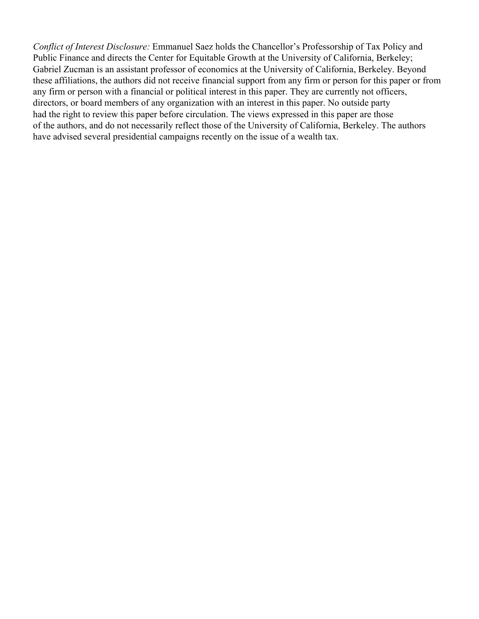*Conflict of Interest Disclosure:* Emmanuel Saez holds the Chancellor's Professorship of Tax Policy and Public Finance and directs the Center for Equitable Growth at the University of California, Berkeley; Gabriel Zucman is an assistant professor of economics at the University of California, Berkeley. Beyond these affiliations, the authors did not receive financial support from any firm or person for this paper or from any firm or person with a financial or political interest in this paper. They are currently not officers, directors, or board members of any organization with an interest in this paper. No outside party had the right to review this paper before circulation. The views expressed in this paper are those of the authors, and do not necessarily reflect those of the University of California, Berkeley. The authors have advised several presidential campaigns recently on the issue of a wealth tax.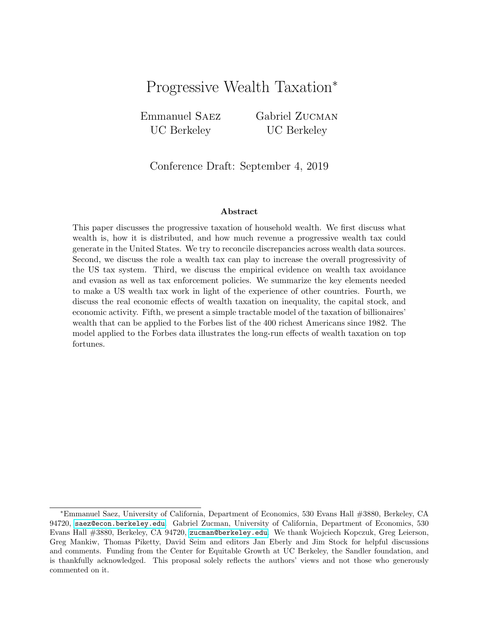## <span id="page-2-0"></span>Progressive Wealth Taxation<sup>∗</sup>

Emmanuel Saez UC Berkeley

Gabriel Zucman UC Berkeley

#### Conference Draft: September 4, 2019

#### Abstract

This paper discusses the progressive taxation of household wealth. We first discuss what wealth is, how it is distributed, and how much revenue a progressive wealth tax could generate in the United States. We try to reconcile discrepancies across wealth data sources. Second, we discuss the role a wealth tax can play to increase the overall progressivity of the US tax system. Third, we discuss the empirical evidence on wealth tax avoidance and evasion as well as tax enforcement policies. We summarize the key elements needed to make a US wealth tax work in light of the experience of other countries. Fourth, we discuss the real economic effects of wealth taxation on inequality, the capital stock, and economic activity. Fifth, we present a simple tractable model of the taxation of billionaires' wealth that can be applied to the Forbes list of the 400 richest Americans since 1982. The model applied to the Forbes data illustrates the long-run effects of wealth taxation on top fortunes.

<sup>∗</sup>Emmanuel Saez, University of California, Department of Economics, 530 Evans Hall #3880, Berkeley, CA 94720, <saez@econ.berkeley.edu>. Gabriel Zucman, University of California, Department of Economics, 530 Evans Hall #3880, Berkeley, CA 94720, <zucman@berkeley.edu>. We thank Wojciech Kopczuk, Greg Leierson, Greg Mankiw, Thomas Piketty, David Seim and editors Jan Eberly and Jim Stock for helpful discussions and comments. Funding from the Center for Equitable Growth at UC Berkeley, the Sandler foundation, and is thankfully acknowledged. This proposal solely reflects the authors' views and not those who generously commented on it.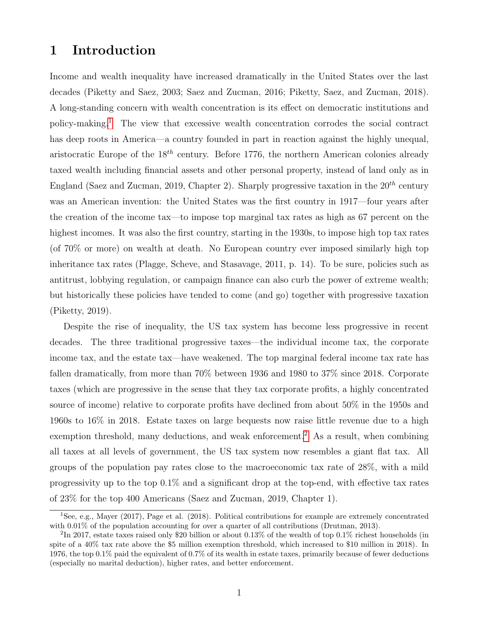## 1 Introduction

Income and wealth inequality have increased dramatically in the United States over the last decades (Piketty and Saez, 2003; Saez and Zucman, 2016; Piketty, Saez, and Zucman, 2018). A long-standing concern with wealth concentration is its effect on democratic institutions and policy-making.[1](#page-2-0) The view that excessive wealth concentration corrodes the social contract has deep roots in America—a country founded in part in reaction against the highly unequal, aristocratic Europe of the  $18^{th}$  century. Before 1776, the northern American colonies already taxed wealth including financial assets and other personal property, instead of land only as in England (Saez and Zucman, 2019, Chapter 2). Sharply progressive taxation in the  $20^{th}$  century was an American invention: the United States was the first country in 1917—four years after the creation of the income tax—to impose top marginal tax rates as high as 67 percent on the highest incomes. It was also the first country, starting in the 1930s, to impose high top tax rates (of 70% or more) on wealth at death. No European country ever imposed similarly high top inheritance tax rates (Plagge, Scheve, and Stasavage, 2011, p. 14). To be sure, policies such as antitrust, lobbying regulation, or campaign finance can also curb the power of extreme wealth; but historically these policies have tended to come (and go) together with progressive taxation (Piketty, 2019).

Despite the rise of inequality, the US tax system has become less progressive in recent decades. The three traditional progressive taxes—the individual income tax, the corporate income tax, and the estate tax—have weakened. The top marginal federal income tax rate has fallen dramatically, from more than 70% between 1936 and 1980 to 37% since 2018. Corporate taxes (which are progressive in the sense that they tax corporate profits, a highly concentrated source of income) relative to corporate profits have declined from about 50% in the 1950s and 1960s to 16% in 2018. Estate taxes on large bequests now raise little revenue due to a high exemption threshold, many deductions, and weak enforcement.<sup>[2](#page-2-0)</sup> As a result, when combining all taxes at all levels of government, the US tax system now resembles a giant flat tax. All groups of the population pay rates close to the macroeconomic tax rate of 28%, with a mild progressivity up to the top 0.1% and a significant drop at the top-end, with effective tax rates of 23% for the top 400 Americans (Saez and Zucman, 2019, Chapter 1).

<sup>1</sup>See, e.g., Mayer (2017), Page et al. (2018). Political contributions for example are extremely concentrated with  $0.01\%$  of the population accounting for over a quarter of all contributions (Drutman, 2013).

<sup>&</sup>lt;sup>2</sup>In 2017, estate taxes raised only \$20 billion or about 0.13% of the wealth of top 0.1% richest households (in spite of a 40% tax rate above the \$5 million exemption threshold, which increased to \$10 million in 2018). In 1976, the top 0.1% paid the equivalent of 0.7% of its wealth in estate taxes, primarily because of fewer deductions (especially no marital deduction), higher rates, and better enforcement.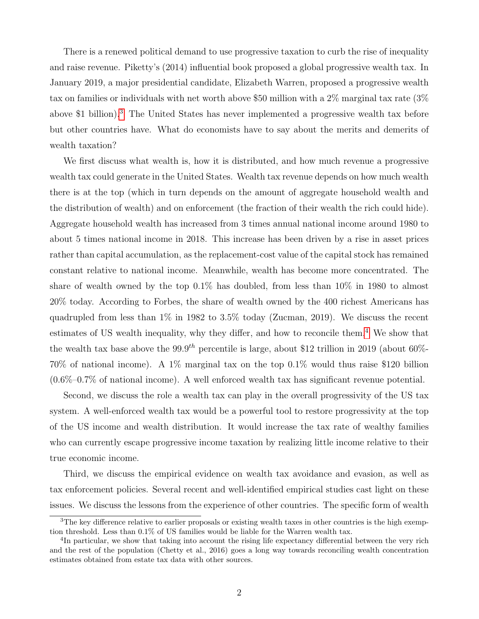There is a renewed political demand to use progressive taxation to curb the rise of inequality and raise revenue. Piketty's (2014) influential book proposed a global progressive wealth tax. In January 2019, a major presidential candidate, Elizabeth Warren, proposed a progressive wealth tax on families or individuals with net worth above \$50 million with a 2% marginal tax rate (3% above \$1 billion).[3](#page-2-0) The United States has never implemented a progressive wealth tax before but other countries have. What do economists have to say about the merits and demerits of wealth taxation?

We first discuss what wealth is, how it is distributed, and how much revenue a progressive wealth tax could generate in the United States. Wealth tax revenue depends on how much wealth there is at the top (which in turn depends on the amount of aggregate household wealth and the distribution of wealth) and on enforcement (the fraction of their wealth the rich could hide). Aggregate household wealth has increased from 3 times annual national income around 1980 to about 5 times national income in 2018. This increase has been driven by a rise in asset prices rather than capital accumulation, as the replacement-cost value of the capital stock has remained constant relative to national income. Meanwhile, wealth has become more concentrated. The share of wealth owned by the top 0.1% has doubled, from less than 10% in 1980 to almost 20% today. According to Forbes, the share of wealth owned by the 400 richest Americans has quadrupled from less than 1% in 1982 to 3.5% today (Zucman, 2019). We discuss the recent estimates of US wealth inequality, why they differ, and how to reconcile them.[4](#page-2-0) We show that the wealth tax base above the 99.9<sup>th</sup> percentile is large, about \$12 trillion in 2019 (about 60%-70% of national income). A 1% marginal tax on the top 0.1% would thus raise \$120 billion (0.6%–0.7% of national income). A well enforced wealth tax has significant revenue potential.

Second, we discuss the role a wealth tax can play in the overall progressivity of the US tax system. A well-enforced wealth tax would be a powerful tool to restore progressivity at the top of the US income and wealth distribution. It would increase the tax rate of wealthy families who can currently escape progressive income taxation by realizing little income relative to their true economic income.

Third, we discuss the empirical evidence on wealth tax avoidance and evasion, as well as tax enforcement policies. Several recent and well-identified empirical studies cast light on these issues. We discuss the lessons from the experience of other countries. The specific form of wealth

<sup>&</sup>lt;sup>3</sup>The key difference relative to earlier proposals or existing wealth taxes in other countries is the high exemption threshold. Less than 0.1% of US families would be liable for the Warren wealth tax.

<sup>&</sup>lt;sup>4</sup>In particular, we show that taking into account the rising life expectancy differential between the very rich and the rest of the population (Chetty et al., 2016) goes a long way towards reconciling wealth concentration estimates obtained from estate tax data with other sources.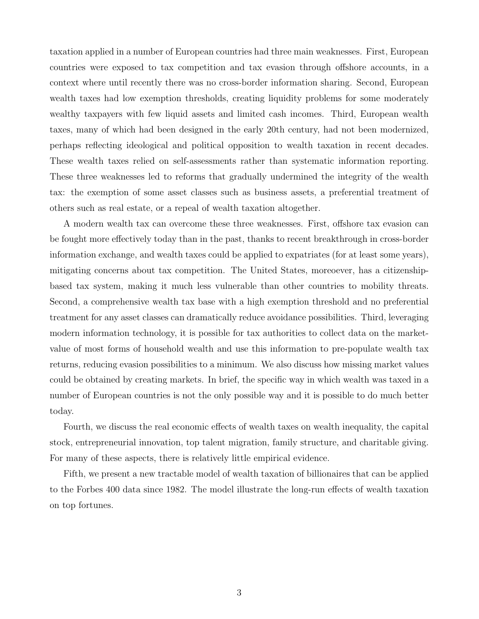taxation applied in a number of European countries had three main weaknesses. First, European countries were exposed to tax competition and tax evasion through offshore accounts, in a context where until recently there was no cross-border information sharing. Second, European wealth taxes had low exemption thresholds, creating liquidity problems for some moderately wealthy taxpayers with few liquid assets and limited cash incomes. Third, European wealth taxes, many of which had been designed in the early 20th century, had not been modernized, perhaps reflecting ideological and political opposition to wealth taxation in recent decades. These wealth taxes relied on self-assessments rather than systematic information reporting. These three weaknesses led to reforms that gradually undermined the integrity of the wealth tax: the exemption of some asset classes such as business assets, a preferential treatment of others such as real estate, or a repeal of wealth taxation altogether.

A modern wealth tax can overcome these three weaknesses. First, offshore tax evasion can be fought more effectively today than in the past, thanks to recent breakthrough in cross-border information exchange, and wealth taxes could be applied to expatriates (for at least some years), mitigating concerns about tax competition. The United States, moreoever, has a citizenshipbased tax system, making it much less vulnerable than other countries to mobility threats. Second, a comprehensive wealth tax base with a high exemption threshold and no preferential treatment for any asset classes can dramatically reduce avoidance possibilities. Third, leveraging modern information technology, it is possible for tax authorities to collect data on the marketvalue of most forms of household wealth and use this information to pre-populate wealth tax returns, reducing evasion possibilities to a minimum. We also discuss how missing market values could be obtained by creating markets. In brief, the specific way in which wealth was taxed in a number of European countries is not the only possible way and it is possible to do much better today.

Fourth, we discuss the real economic effects of wealth taxes on wealth inequality, the capital stock, entrepreneurial innovation, top talent migration, family structure, and charitable giving. For many of these aspects, there is relatively little empirical evidence.

Fifth, we present a new tractable model of wealth taxation of billionaires that can be applied to the Forbes 400 data since 1982. The model illustrate the long-run effects of wealth taxation on top fortunes.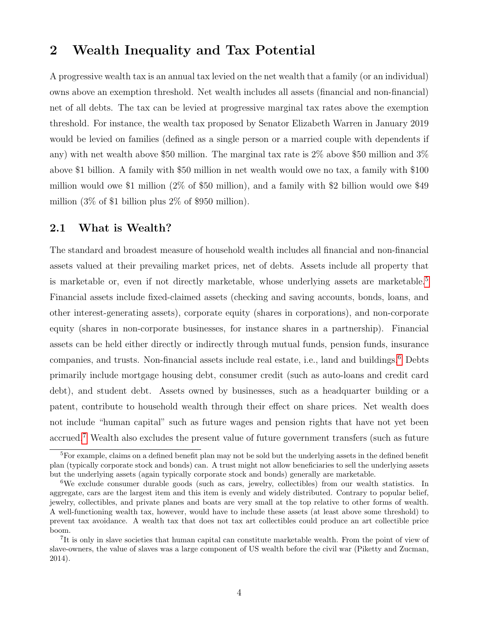## 2 Wealth Inequality and Tax Potential

A progressive wealth tax is an annual tax levied on the net wealth that a family (or an individual) owns above an exemption threshold. Net wealth includes all assets (financial and non-financial) net of all debts. The tax can be levied at progressive marginal tax rates above the exemption threshold. For instance, the wealth tax proposed by Senator Elizabeth Warren in January 2019 would be levied on families (defined as a single person or a married couple with dependents if any) with net wealth above \$50 million. The marginal tax rate is 2% above \$50 million and 3% above \$1 billion. A family with \$50 million in net wealth would owe no tax, a family with \$100 million would owe \$1 million (2% of \$50 million), and a family with \$2 billion would owe \$49 million  $(3\% \text{ of } $1 \text{ billion plus } 2\% \text{ of } $950 \text{ million}).$ 

#### 2.1 What is Wealth?

The standard and broadest measure of household wealth includes all financial and non-financial assets valued at their prevailing market prices, net of debts. Assets include all property that is marketable or, even if not directly marketable, whose underlying assets are marketable.<sup>[5](#page-2-0)</sup> Financial assets include fixed-claimed assets (checking and saving accounts, bonds, loans, and other interest-generating assets), corporate equity (shares in corporations), and non-corporate equity (shares in non-corporate businesses, for instance shares in a partnership). Financial assets can be held either directly or indirectly through mutual funds, pension funds, insurance companies, and trusts. Non-financial assets include real estate, i.e., land and buildings.<sup>[6](#page-2-0)</sup> Debts primarily include mortgage housing debt, consumer credit (such as auto-loans and credit card debt), and student debt. Assets owned by businesses, such as a headquarter building or a patent, contribute to household wealth through their effect on share prices. Net wealth does not include "human capital" such as future wages and pension rights that have not yet been accrued.[7](#page-2-0) Wealth also excludes the present value of future government transfers (such as future

<sup>5</sup>For example, claims on a defined benefit plan may not be sold but the underlying assets in the defined benefit plan (typically corporate stock and bonds) can. A trust might not allow beneficiaries to sell the underlying assets but the underlying assets (again typically corporate stock and bonds) generally are marketable.

<sup>6</sup>We exclude consumer durable goods (such as cars, jewelry, collectibles) from our wealth statistics. In aggregate, cars are the largest item and this item is evenly and widely distributed. Contrary to popular belief, jewelry, collectibles, and private planes and boats are very small at the top relative to other forms of wealth. A well-functioning wealth tax, however, would have to include these assets (at least above some threshold) to prevent tax avoidance. A wealth tax that does not tax art collectibles could produce an art collectible price boom.

<sup>&</sup>lt;sup>7</sup>It is only in slave societies that human capital can constitute marketable wealth. From the point of view of slave-owners, the value of slaves was a large component of US wealth before the civil war (Piketty and Zucman, 2014).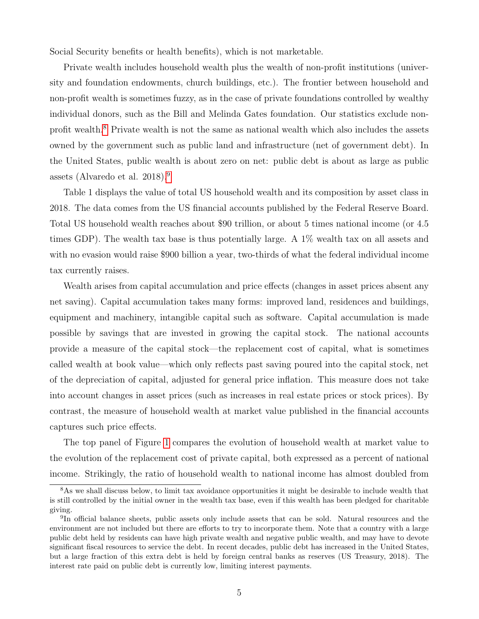Social Security benefits or health benefits), which is not marketable.

Private wealth includes household wealth plus the wealth of non-profit institutions (university and foundation endowments, church buildings, etc.). The frontier between household and non-profit wealth is sometimes fuzzy, as in the case of private foundations controlled by wealthy individual donors, such as the Bill and Melinda Gates foundation. Our statistics exclude nonprofit wealth.[8](#page-2-0) Private wealth is not the same as national wealth which also includes the assets owned by the government such as public land and infrastructure (net of government debt). In the United States, public wealth is about zero on net: public debt is about as large as public assets (Alvaredo et al. 2018).[9](#page-2-0)

Table 1 displays the value of total US household wealth and its composition by asset class in 2018. The data comes from the US financial accounts published by the Federal Reserve Board. Total US household wealth reaches about \$90 trillion, or about 5 times national income (or 4.5 times GDP). The wealth tax base is thus potentially large. A 1% wealth tax on all assets and with no evasion would raise \$900 billion a year, two-thirds of what the federal individual income tax currently raises.

Wealth arises from capital accumulation and price effects (changes in asset prices absent any net saving). Capital accumulation takes many forms: improved land, residences and buildings, equipment and machinery, intangible capital such as software. Capital accumulation is made possible by savings that are invested in growing the capital stock. The national accounts provide a measure of the capital stock—the replacement cost of capital, what is sometimes called wealth at book value—which only reflects past saving poured into the capital stock, net of the depreciation of capital, adjusted for general price inflation. This measure does not take into account changes in asset prices (such as increases in real estate prices or stock prices). By contrast, the measure of household wealth at market value published in the financial accounts captures such price effects.

The top panel of Figure [1](#page-61-0) compares the evolution of household wealth at market value to the evolution of the replacement cost of private capital, both expressed as a percent of national income. Strikingly, the ratio of household wealth to national income has almost doubled from

<sup>&</sup>lt;sup>8</sup>As we shall discuss below, to limit tax avoidance opportunities it might be desirable to include wealth that is still controlled by the initial owner in the wealth tax base, even if this wealth has been pledged for charitable giving.

<sup>&</sup>lt;sup>9</sup>In official balance sheets, public assets only include assets that can be sold. Natural resources and the environment are not included but there are efforts to try to incorporate them. Note that a country with a large public debt held by residents can have high private wealth and negative public wealth, and may have to devote significant fiscal resources to service the debt. In recent decades, public debt has increased in the United States, but a large fraction of this extra debt is held by foreign central banks as reserves (US Treasury, 2018). The interest rate paid on public debt is currently low, limiting interest payments.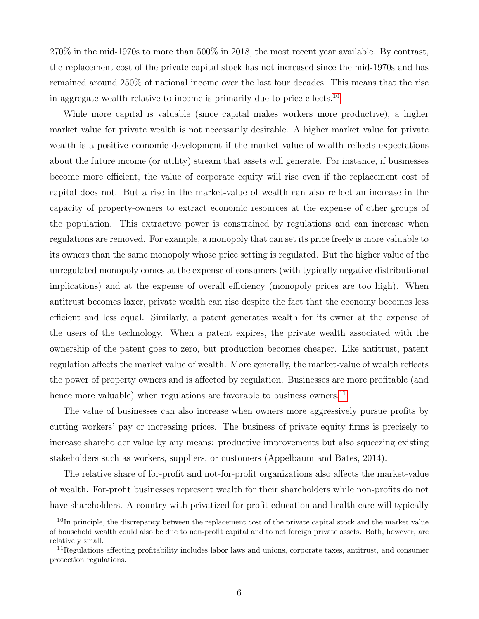270% in the mid-1970s to more than 500% in 2018, the most recent year available. By contrast, the replacement cost of the private capital stock has not increased since the mid-1970s and has remained around 250% of national income over the last four decades. This means that the rise in aggregate wealth relative to income is primarily due to price effects.<sup>[10](#page-2-0)</sup>

While more capital is valuable (since capital makes workers more productive), a higher market value for private wealth is not necessarily desirable. A higher market value for private wealth is a positive economic development if the market value of wealth reflects expectations about the future income (or utility) stream that assets will generate. For instance, if businesses become more efficient, the value of corporate equity will rise even if the replacement cost of capital does not. But a rise in the market-value of wealth can also reflect an increase in the capacity of property-owners to extract economic resources at the expense of other groups of the population. This extractive power is constrained by regulations and can increase when regulations are removed. For example, a monopoly that can set its price freely is more valuable to its owners than the same monopoly whose price setting is regulated. But the higher value of the unregulated monopoly comes at the expense of consumers (with typically negative distributional implications) and at the expense of overall efficiency (monopoly prices are too high). When antitrust becomes laxer, private wealth can rise despite the fact that the economy becomes less efficient and less equal. Similarly, a patent generates wealth for its owner at the expense of the users of the technology. When a patent expires, the private wealth associated with the ownership of the patent goes to zero, but production becomes cheaper. Like antitrust, patent regulation affects the market value of wealth. More generally, the market-value of wealth reflects the power of property owners and is affected by regulation. Businesses are more profitable (and hence more valuable) when regulations are favorable to business owners.<sup>[11](#page-2-0)</sup>

The value of businesses can also increase when owners more aggressively pursue profits by cutting workers' pay or increasing prices. The business of private equity firms is precisely to increase shareholder value by any means: productive improvements but also squeezing existing stakeholders such as workers, suppliers, or customers (Appelbaum and Bates, 2014).

The relative share of for-profit and not-for-profit organizations also affects the market-value of wealth. For-profit businesses represent wealth for their shareholders while non-profits do not have shareholders. A country with privatized for-profit education and health care will typically

 $10$ In principle, the discrepancy between the replacement cost of the private capital stock and the market value of household wealth could also be due to non-profit capital and to net foreign private assets. Both, however, are relatively small.

<sup>11</sup>Regulations affecting profitability includes labor laws and unions, corporate taxes, antitrust, and consumer protection regulations.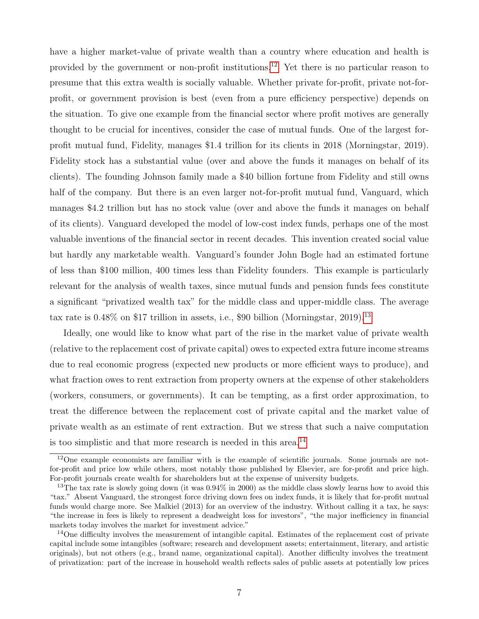have a higher market-value of private wealth than a country where education and health is provided by the government or non-profit institutions.[12](#page-2-0) Yet there is no particular reason to presume that this extra wealth is socially valuable. Whether private for-profit, private not-forprofit, or government provision is best (even from a pure efficiency perspective) depends on the situation. To give one example from the financial sector where profit motives are generally thought to be crucial for incentives, consider the case of mutual funds. One of the largest forprofit mutual fund, Fidelity, manages \$1.4 trillion for its clients in 2018 (Morningstar, 2019). Fidelity stock has a substantial value (over and above the funds it manages on behalf of its clients). The founding Johnson family made a \$40 billion fortune from Fidelity and still owns half of the company. But there is an even larger not-for-profit mutual fund, Vanguard, which manages \$4.2 trillion but has no stock value (over and above the funds it manages on behalf of its clients). Vanguard developed the model of low-cost index funds, perhaps one of the most valuable inventions of the financial sector in recent decades. This invention created social value but hardly any marketable wealth. Vanguard's founder John Bogle had an estimated fortune of less than \$100 million, 400 times less than Fidelity founders. This example is particularly relevant for the analysis of wealth taxes, since mutual funds and pension funds fees constitute a significant "privatized wealth tax" for the middle class and upper-middle class. The average tax rate is  $0.48\%$  on \$17 trillion in assets, i.e., \$90 billion (Morningstar, 2019).<sup>[13](#page-2-0)</sup>

Ideally, one would like to know what part of the rise in the market value of private wealth (relative to the replacement cost of private capital) owes to expected extra future income streams due to real economic progress (expected new products or more efficient ways to produce), and what fraction owes to rent extraction from property owners at the expense of other stakeholders (workers, consumers, or governments). It can be tempting, as a first order approximation, to treat the difference between the replacement cost of private capital and the market value of private wealth as an estimate of rent extraction. But we stress that such a naive computation is too simplistic and that more research is needed in this area.<sup>[14](#page-2-0)</sup>

<sup>12</sup>One example economists are familiar with is the example of scientific journals. Some journals are notfor-profit and price low while others, most notably those published by Elsevier, are for-profit and price high. For-profit journals create wealth for shareholders but at the expense of university budgets.

<sup>&</sup>lt;sup>13</sup>The tax rate is slowly going down (it was 0.94% in 2000) as the middle class slowly learns how to avoid this "tax." Absent Vanguard, the strongest force driving down fees on index funds, it is likely that for-profit mutual funds would charge more. See Malkiel (2013) for an overview of the industry. Without calling it a tax, he says: "the increase in fees is likely to represent a deadweight loss for investors", "the major inefficiency in financial markets today involves the market for investment advice."

<sup>14</sup>One difficulty involves the measurement of intangible capital. Estimates of the replacement cost of private capital include some intangibles (software; research and development assets; entertainment, literary, and artistic originals), but not others (e.g., brand name, organizational capital). Another difficulty involves the treatment of privatization: part of the increase in household wealth reflects sales of public assets at potentially low prices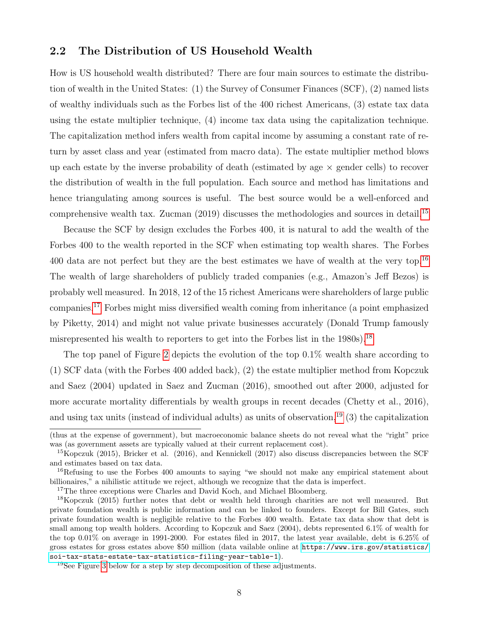## 2.2 The Distribution of US Household Wealth

How is US household wealth distributed? There are four main sources to estimate the distribution of wealth in the United States: (1) the Survey of Consumer Finances (SCF), (2) named lists of wealthy individuals such as the Forbes list of the 400 richest Americans, (3) estate tax data using the estate multiplier technique, (4) income tax data using the capitalization technique. The capitalization method infers wealth from capital income by assuming a constant rate of return by asset class and year (estimated from macro data). The estate multiplier method blows up each estate by the inverse probability of death (estimated by age  $\times$  gender cells) to recover the distribution of wealth in the full population. Each source and method has limitations and hence triangulating among sources is useful. The best source would be a well-enforced and comprehensive wealth tax. Zucman (2019) discusses the methodologies and sources in detail.<sup>[15](#page-2-0)</sup>

Because the SCF by design excludes the Forbes 400, it is natural to add the wealth of the Forbes 400 to the wealth reported in the SCF when estimating top wealth shares. The Forbes 400 data are not perfect but they are the best estimates we have of wealth at the very top.<sup>[16](#page-2-0)</sup> The wealth of large shareholders of publicly traded companies (e.g., Amazon's Jeff Bezos) is probably well measured. In 2018, 12 of the 15 richest Americans were shareholders of large public companies.[17](#page-2-0) Forbes might miss diversified wealth coming from inheritance (a point emphasized by Piketty, 2014) and might not value private businesses accurately (Donald Trump famously misrepresented his wealth to reporters to get into the Forbes list in the 1980s).<sup>[18](#page-2-0)</sup>

The top panel of Figure [2](#page-62-0) depicts the evolution of the top 0.1% wealth share according to (1) SCF data (with the Forbes 400 added back), (2) the estate multiplier method from Kopczuk and Saez (2004) updated in Saez and Zucman (2016), smoothed out after 2000, adjusted for more accurate mortality differentials by wealth groups in recent decades (Chetty et al., 2016), and using tax units (instead of individual adults) as units of observation,  $^{19}$  $^{19}$  $^{19}$  (3) the capitalization

<sup>17</sup>The three exceptions were Charles and David Koch, and Michael Bloomberg.

<sup>(</sup>thus at the expense of government), but macroeconomic balance sheets do not reveal what the "right" price was (as government assets are typically valued at their current replacement cost).

<sup>&</sup>lt;sup>15</sup>Kopczuk (2015), Bricker et al. (2016), and Kennickell (2017) also discuss discrepancies between the SCF and estimates based on tax data.

<sup>&</sup>lt;sup>16</sup>Refusing to use the Forbes 400 amounts to saying "we should not make any empirical statement about billionaires," a nihilistic attitude we reject, although we recognize that the data is imperfect.

<sup>18</sup>Kopczuk (2015) further notes that debt or wealth held through charities are not well measured. But private foundation wealth is public information and can be linked to founders. Except for Bill Gates, such private foundation wealth is negligible relative to the Forbes 400 wealth. Estate tax data show that debt is small among top wealth holders. According to Kopczuk and Saez (2004), debts represented 6.1% of wealth for the top 0.01% on average in 1991-2000. For estates filed in 2017, the latest year available, debt is 6.25% of gross estates for gross estates above \$50 million (data vailable online at [https://www.irs.gov/statistics/](https://www.irs.gov/statistics/soi-tax-stats-estate-tax-statistics-filing-year-table-1) [soi-tax-stats-estate-tax-statistics-filing-year-table-1](https://www.irs.gov/statistics/soi-tax-stats-estate-tax-statistics-filing-year-table-1)).

<sup>&</sup>lt;sup>19</sup>See Figure [3](#page-63-0) below for a step by step decomposition of these adjustments.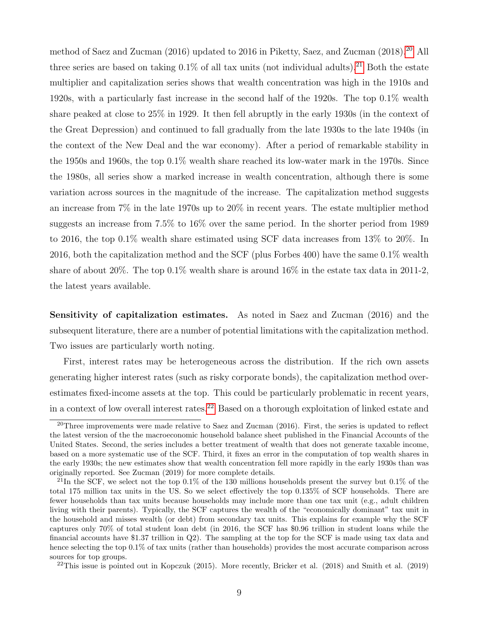method of Saez and Zucman (2016) updated to 2016 in Piketty, Saez, and Zucman (2018).[20](#page-2-0) All three series are based on taking  $0.1\%$  of all tax units (not individual adults).<sup>[21](#page-2-0)</sup> Both the estate multiplier and capitalization series shows that wealth concentration was high in the 1910s and 1920s, with a particularly fast increase in the second half of the 1920s. The top 0.1% wealth share peaked at close to 25% in 1929. It then fell abruptly in the early 1930s (in the context of the Great Depression) and continued to fall gradually from the late 1930s to the late 1940s (in the context of the New Deal and the war economy). After a period of remarkable stability in the 1950s and 1960s, the top 0.1% wealth share reached its low-water mark in the 1970s. Since the 1980s, all series show a marked increase in wealth concentration, although there is some variation across sources in the magnitude of the increase. The capitalization method suggests an increase from 7% in the late 1970s up to 20% in recent years. The estate multiplier method suggests an increase from 7.5% to 16% over the same period. In the shorter period from 1989 to 2016, the top 0.1% wealth share estimated using SCF data increases from 13% to 20%. In 2016, both the capitalization method and the SCF (plus Forbes 400) have the same 0.1% wealth share of about 20%. The top  $0.1\%$  wealth share is around 16% in the estate tax data in 2011-2, the latest years available.

Sensitivity of capitalization estimates. As noted in Saez and Zucman (2016) and the subsequent literature, there are a number of potential limitations with the capitalization method. Two issues are particularly worth noting.

First, interest rates may be heterogeneous across the distribution. If the rich own assets generating higher interest rates (such as risky corporate bonds), the capitalization method overestimates fixed-income assets at the top. This could be particularly problematic in recent years, in a context of low overall interest rates.[22](#page-2-0) Based on a thorough exploitation of linked estate and

 $22$ This issue is pointed out in Kopczuk (2015). More recently, Bricker et al. (2018) and Smith et al. (2019)

 $20$ Three improvements were made relative to Saez and Zucman (2016). First, the series is updated to reflect the latest version of the the macroeconomic household balance sheet published in the Financial Accounts of the United States. Second, the series includes a better treatment of wealth that does not generate taxable income, based on a more systematic use of the SCF. Third, it fixes an error in the computation of top wealth shares in the early 1930s; the new estimates show that wealth concentration fell more rapidly in the early 1930s than was originally reported. See Zucman (2019) for more complete details.

<sup>&</sup>lt;sup>21</sup>In the SCF, we select not the top 0.1% of the 130 millions households present the survey but 0.1% of the total 175 million tax units in the US. So we select effectively the top 0.135% of SCF households. There are fewer households than tax units because households may include more than one tax unit (e.g., adult children living with their parents). Typically, the SCF captures the wealth of the "economically dominant" tax unit in the household and misses wealth (or debt) from secondary tax units. This explains for example why the SCF captures only 70% of total student loan debt (in 2016, the SCF has \$0.96 trillion in student loans while the financial accounts have \$1.37 trillion in Q2). The sampling at the top for the SCF is made using tax data and hence selecting the top  $0.1\%$  of tax units (rather than households) provides the most accurate comparison across sources for top groups.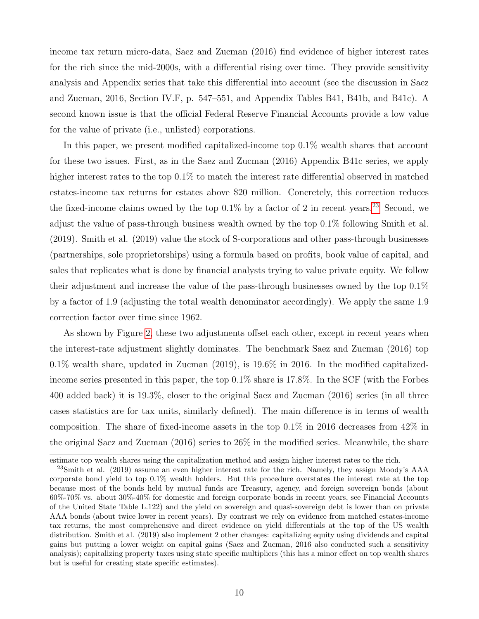income tax return micro-data, Saez and Zucman (2016) find evidence of higher interest rates for the rich since the mid-2000s, with a differential rising over time. They provide sensitivity analysis and Appendix series that take this differential into account (see the discussion in Saez and Zucman, 2016, Section IV.F, p. 547–551, and Appendix Tables B41, B41b, and B41c). A second known issue is that the official Federal Reserve Financial Accounts provide a low value for the value of private (i.e., unlisted) corporations.

In this paper, we present modified capitalized-income top 0.1% wealth shares that account for these two issues. First, as in the Saez and Zucman (2016) Appendix B41c series, we apply higher interest rates to the top  $0.1\%$  to match the interest rate differential observed in matched estates-income tax returns for estates above \$20 million. Concretely, this correction reduces the fixed-income claims owned by the top  $0.1\%$  by a factor of 2 in recent years.<sup>[23](#page-2-0)</sup> Second, we adjust the value of pass-through business wealth owned by the top 0.1% following Smith et al. (2019). Smith et al. (2019) value the stock of S-corporations and other pass-through businesses (partnerships, sole proprietorships) using a formula based on profits, book value of capital, and sales that replicates what is done by financial analysts trying to value private equity. We follow their adjustment and increase the value of the pass-through businesses owned by the top 0.1% by a factor of 1.9 (adjusting the total wealth denominator accordingly). We apply the same 1.9 correction factor over time since 1962.

As shown by Figure [2,](#page-62-0) these two adjustments offset each other, except in recent years when the interest-rate adjustment slightly dominates. The benchmark Saez and Zucman (2016) top 0.1% wealth share, updated in Zucman (2019), is 19.6% in 2016. In the modified capitalizedincome series presented in this paper, the top 0.1% share is 17.8%. In the SCF (with the Forbes 400 added back) it is 19.3%, closer to the original Saez and Zucman (2016) series (in all three cases statistics are for tax units, similarly defined). The main difference is in terms of wealth composition. The share of fixed-income assets in the top 0.1% in 2016 decreases from 42% in the original Saez and Zucman (2016) series to 26% in the modified series. Meanwhile, the share

estimate top wealth shares using the capitalization method and assign higher interest rates to the rich.

<sup>&</sup>lt;sup>23</sup>Smith et al. (2019) assume an even higher interest rate for the rich. Namely, they assign Moody's AAA corporate bond yield to top 0.1% wealth holders. But this procedure overstates the interest rate at the top because most of the bonds held by mutual funds are Treasury, agency, and foreign sovereign bonds (about 60%-70% vs. about 30%-40% for domestic and foreign corporate bonds in recent years, see Financial Accounts of the United State Table L.122) and the yield on sovereign and quasi-sovereign debt is lower than on private AAA bonds (about twice lower in recent years). By contrast we rely on evidence from matched estates-income tax returns, the most comprehensive and direct evidence on yield differentials at the top of the US wealth distribution. Smith et al. (2019) also implement 2 other changes: capitalizing equity using dividends and capital gains but putting a lower weight on capital gains (Saez and Zucman, 2016 also conducted such a sensitivity analysis); capitalizing property taxes using state specific multipliers (this has a minor effect on top wealth shares but is useful for creating state specific estimates).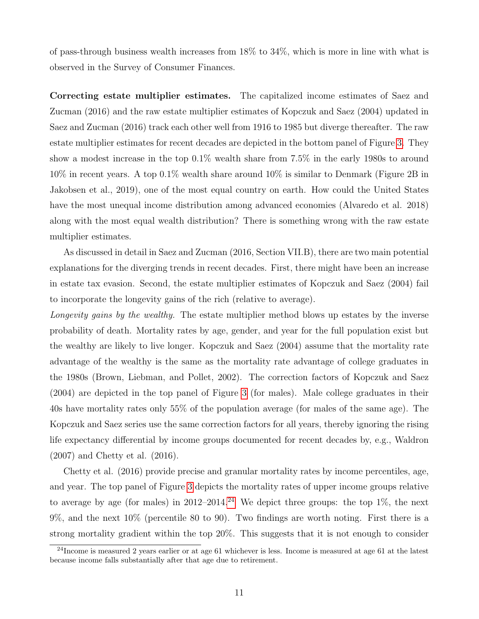of pass-through business wealth increases from 18% to 34%, which is more in line with what is observed in the Survey of Consumer Finances.

Correcting estate multiplier estimates. The capitalized income estimates of Saez and Zucman (2016) and the raw estate multiplier estimates of Kopczuk and Saez (2004) updated in Saez and Zucman (2016) track each other well from 1916 to 1985 but diverge thereafter. The raw estate multiplier estimates for recent decades are depicted in the bottom panel of Figure [3.](#page-63-0) They show a modest increase in the top 0.1% wealth share from 7.5% in the early 1980s to around 10% in recent years. A top 0.1% wealth share around 10% is similar to Denmark (Figure 2B in Jakobsen et al., 2019), one of the most equal country on earth. How could the United States have the most unequal income distribution among advanced economies (Alvaredo et al. 2018) along with the most equal wealth distribution? There is something wrong with the raw estate multiplier estimates.

As discussed in detail in Saez and Zucman (2016, Section VII.B), there are two main potential explanations for the diverging trends in recent decades. First, there might have been an increase in estate tax evasion. Second, the estate multiplier estimates of Kopczuk and Saez (2004) fail to incorporate the longevity gains of the rich (relative to average).

Longevity gains by the wealthy. The estate multiplier method blows up estates by the inverse probability of death. Mortality rates by age, gender, and year for the full population exist but the wealthy are likely to live longer. Kopczuk and Saez (2004) assume that the mortality rate advantage of the wealthy is the same as the mortality rate advantage of college graduates in the 1980s (Brown, Liebman, and Pollet, 2002). The correction factors of Kopczuk and Saez (2004) are depicted in the top panel of Figure [3](#page-63-0) (for males). Male college graduates in their 40s have mortality rates only 55% of the population average (for males of the same age). The Kopczuk and Saez series use the same correction factors for all years, thereby ignoring the rising life expectancy differential by income groups documented for recent decades by, e.g., Waldron (2007) and Chetty et al. (2016).

Chetty et al. (2016) provide precise and granular mortality rates by income percentiles, age, and year. The top panel of Figure [3](#page-63-0) depicts the mortality rates of upper income groups relative to average by age (for males) in 2012–2014.<sup>[24](#page-2-0)</sup> We depict three groups: the top 1\%, the next 9%, and the next 10% (percentile 80 to 90). Two findings are worth noting. First there is a strong mortality gradient within the top 20%. This suggests that it is not enough to consider

 $^{24}$ Income is measured 2 years earlier or at age 61 whichever is less. Income is measured at age 61 at the latest because income falls substantially after that age due to retirement.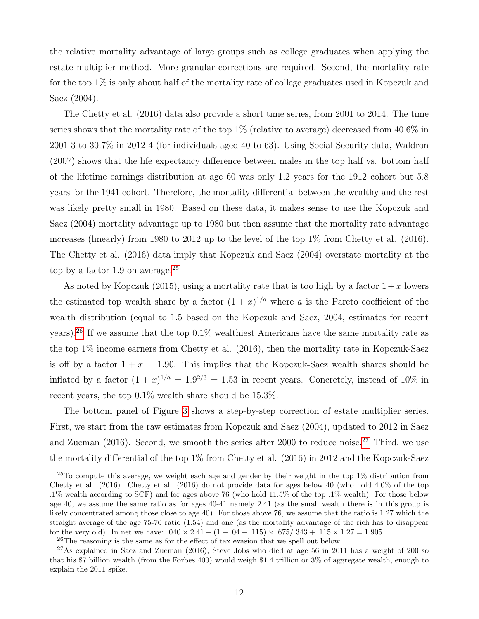the relative mortality advantage of large groups such as college graduates when applying the estate multiplier method. More granular corrections are required. Second, the mortality rate for the top 1% is only about half of the mortality rate of college graduates used in Kopczuk and Saez (2004).

The Chetty et al. (2016) data also provide a short time series, from 2001 to 2014. The time series shows that the mortality rate of the top  $1\%$  (relative to average) decreased from  $40.6\%$  in 2001-3 to 30.7% in 2012-4 (for individuals aged 40 to 63). Using Social Security data, Waldron (2007) shows that the life expectancy difference between males in the top half vs. bottom half of the lifetime earnings distribution at age 60 was only 1.2 years for the 1912 cohort but 5.8 years for the 1941 cohort. Therefore, the mortality differential between the wealthy and the rest was likely pretty small in 1980. Based on these data, it makes sense to use the Kopczuk and Saez (2004) mortality advantage up to 1980 but then assume that the mortality rate advantage increases (linearly) from 1980 to 2012 up to the level of the top 1% from Chetty et al. (2016). The Chetty et al. (2016) data imply that Kopczuk and Saez (2004) overstate mortality at the top by a factor 1.9 on average.<sup>[25](#page-2-0)</sup>

As noted by Kopczuk (2015), using a mortality rate that is too high by a factor  $1+x$  lowers the estimated top wealth share by a factor  $(1+x)^{1/a}$  where a is the Pareto coefficient of the wealth distribution (equal to 1.5 based on the Kopczuk and Saez, 2004, estimates for recent years).<sup>[26](#page-2-0)</sup> If we assume that the top  $0.1\%$  wealthiest Americans have the same mortality rate as the top 1% income earners from Chetty et al. (2016), then the mortality rate in Kopczuk-Saez is off by a factor  $1 + x = 1.90$ . This implies that the Kopczuk-Saez wealth shares should be inflated by a factor  $(1+x)^{1/a} = 1.9^{2/3} = 1.53$  in recent years. Concretely, instead of 10% in recent years, the top  $0.1\%$  wealth share should be 15.3%.

The bottom panel of Figure [3](#page-63-0) shows a step-by-step correction of estate multiplier series. First, we start from the raw estimates from Kopczuk and Saez (2004), updated to 2012 in Saez and Zucman (2016). Second, we smooth the series after 2000 to reduce noise.<sup>[27](#page-2-0)</sup> Third, we use the mortality differential of the top 1% from Chetty et al. (2016) in 2012 and the Kopczuk-Saez

 $25T<sub>0</sub>$  compute this average, we weight each age and gender by their weight in the top 1% distribution from Chetty et al. (2016). Chetty et al. (2016) do not provide data for ages below 40 (who hold 4.0% of the top .1% wealth according to SCF) and for ages above 76 (who hold 11.5% of the top .1% wealth). For those below age 40, we assume the same ratio as for ages 40-41 namely 2.41 (as the small wealth there is in this group is likely concentrated among those close to age 40). For those above 76, we assume that the ratio is 1.27 which the straight average of the age 75-76 ratio (1.54) and one (as the mortality advantage of the rich has to disappear for the very old). In net we have:  $.040 \times 2.41 + (1 - .04 - .115) \times .675/0.343 + .115 \times 1.27 = 1.905$ .

<sup>26</sup>The reasoning is the same as for the effect of tax evasion that we spell out below.

<sup>27</sup>As explained in Saez and Zucman (2016), Steve Jobs who died at age 56 in 2011 has a weight of 200 so that his \$7 billion wealth (from the Forbes 400) would weigh \$1.4 trillion or 3% of aggregate wealth, enough to explain the 2011 spike.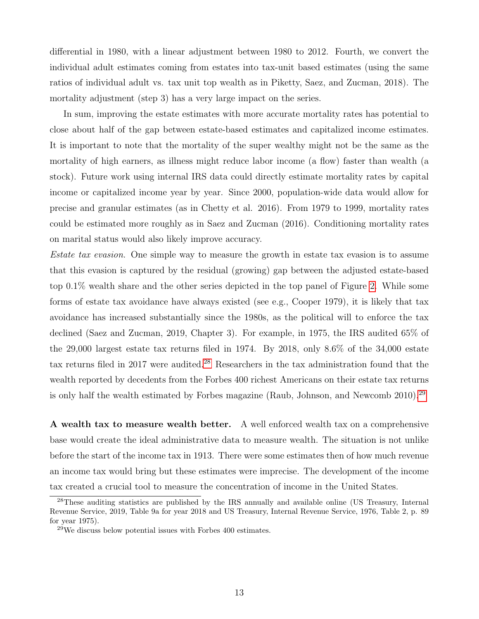differential in 1980, with a linear adjustment between 1980 to 2012. Fourth, we convert the individual adult estimates coming from estates into tax-unit based estimates (using the same ratios of individual adult vs. tax unit top wealth as in Piketty, Saez, and Zucman, 2018). The mortality adjustment (step 3) has a very large impact on the series.

In sum, improving the estate estimates with more accurate mortality rates has potential to close about half of the gap between estate-based estimates and capitalized income estimates. It is important to note that the mortality of the super wealthy might not be the same as the mortality of high earners, as illness might reduce labor income (a flow) faster than wealth (a stock). Future work using internal IRS data could directly estimate mortality rates by capital income or capitalized income year by year. Since 2000, population-wide data would allow for precise and granular estimates (as in Chetty et al. 2016). From 1979 to 1999, mortality rates could be estimated more roughly as in Saez and Zucman (2016). Conditioning mortality rates on marital status would also likely improve accuracy.

Estate tax evasion. One simple way to measure the growth in estate tax evasion is to assume that this evasion is captured by the residual (growing) gap between the adjusted estate-based top 0.1% wealth share and the other series depicted in the top panel of Figure [2.](#page-62-0) While some forms of estate tax avoidance have always existed (see e.g., Cooper 1979), it is likely that tax avoidance has increased substantially since the 1980s, as the political will to enforce the tax declined (Saez and Zucman, 2019, Chapter 3). For example, in 1975, the IRS audited 65% of the 29,000 largest estate tax returns filed in 1974. By 2018, only 8.6% of the 34,000 estate tax returns filed in 2017 were audited.<sup>[28](#page-2-0)</sup> Researchers in the tax administration found that the wealth reported by decedents from the Forbes 400 richest Americans on their estate tax returns is only half the wealth estimated by Forbes magazine (Raub, Johnson, and Newcomb 2010).<sup>[29](#page-2-0)</sup>

A wealth tax to measure wealth better. A well enforced wealth tax on a comprehensive base would create the ideal administrative data to measure wealth. The situation is not unlike before the start of the income tax in 1913. There were some estimates then of how much revenue an income tax would bring but these estimates were imprecise. The development of the income tax created a crucial tool to measure the concentration of income in the United States.

<sup>&</sup>lt;sup>28</sup>These auditing statistics are published by the IRS annually and available online (US Treasury, Internal Revenue Service, 2019, Table 9a for year 2018 and US Treasury, Internal Revenue Service, 1976, Table 2, p. 89 for year 1975).

 $29$ We discuss below potential issues with Forbes 400 estimates.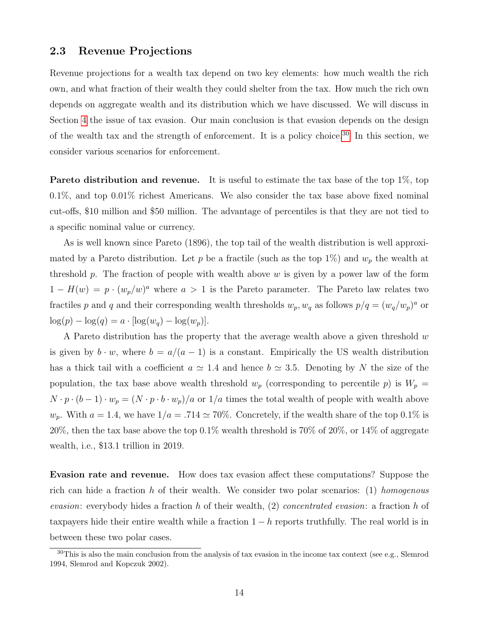#### <span id="page-16-0"></span>2.3 Revenue Projections

Revenue projections for a wealth tax depend on two key elements: how much wealth the rich own, and what fraction of their wealth they could shelter from the tax. How much the rich own depends on aggregate wealth and its distribution which we have discussed. We will discuss in Section [4](#page-24-0) the issue of tax evasion. Our main conclusion is that evasion depends on the design of the wealth tax and the strength of enforcement. It is a policy choice.[30](#page-2-0) In this section, we consider various scenarios for enforcement.

**Pareto distribution and revenue.** It is useful to estimate the tax base of the top  $1\%$ , top 0.1%, and top 0.01% richest Americans. We also consider the tax base above fixed nominal cut-offs, \$10 million and \$50 million. The advantage of percentiles is that they are not tied to a specific nominal value or currency.

As is well known since Pareto (1896), the top tail of the wealth distribution is well approximated by a Pareto distribution. Let p be a fractile (such as the top  $1\%$ ) and  $w_p$  the wealth at threshold  $p$ . The fraction of people with wealth above  $w$  is given by a power law of the form  $1 - H(w) = p \cdot (w_p/w)^a$  where  $a > 1$  is the Pareto parameter. The Pareto law relates two fractiles p and q and their corresponding wealth thresholds  $w_p, w_q$  as follows  $p/q = (w_q/w_p)^a$  or  $log(p) - log(q) = a \cdot [log(w_q) - log(w_p)].$ 

A Pareto distribution has the property that the average wealth above a given threshold  $w$ is given by  $b \cdot w$ , where  $b = a/(a-1)$  is a constant. Empirically the US wealth distribution has a thick tail with a coefficient  $a \approx 1.4$  and hence  $b \approx 3.5$ . Denoting by N the size of the population, the tax base above wealth threshold  $w_p$  (corresponding to percentile p) is  $W_p =$  $N \cdot p \cdot (b-1) \cdot w_p = (N \cdot p \cdot b \cdot w_p)/a$  or  $1/a$  times the total wealth of people with wealth above  $w_p$ . With  $a = 1.4$ , we have  $1/a = .714 \simeq 70\%$ . Concretely, if the wealth share of the top 0.1% is 20%, then the tax base above the top  $0.1\%$  wealth threshold is 70% of 20%, or 14% of aggregate wealth, i.e., \$13.1 trillion in 2019.

Evasion rate and revenue. How does tax evasion affect these computations? Suppose the rich can hide a fraction h of their wealth. We consider two polar scenarios: (1) homogenous evasion: everybody hides a fraction h of their wealth,  $(2)$  concentrated evasion: a fraction h of taxpayers hide their entire wealth while a fraction  $1 - h$  reports truthfully. The real world is in between these two polar cases.

<sup>&</sup>lt;sup>30</sup>This is also the main conclusion from the analysis of tax evasion in the income tax context (see e.g., Slemrod 1994, Slemrod and Kopczuk 2002).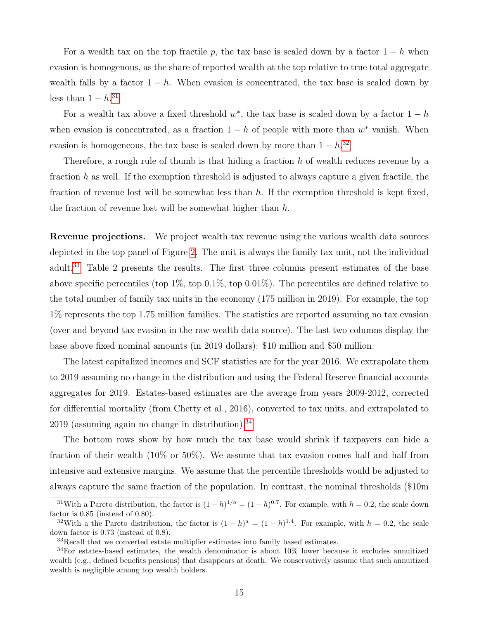For a wealth tax on the top fractile p, the tax base is scaled down by a factor  $1-h$  when evasion is homogenous, as the share of reported wealth at the top relative to true total aggregate wealth falls by a factor  $1 - h$ . When evasion is concentrated, the tax base is scaled down by less than  $1 - h$ <sup>[31](#page-2-0)</sup>

For a wealth tax above a fixed threshold  $w^*$ , the tax base is scaled down by a factor  $1-h$ when evasion is concentrated, as a fraction  $1-h$  of people with more than  $w^*$  vanish. When evasion is homogeneous, the tax base is scaled down by more than  $1 - h^{32}$  $1 - h^{32}$  $1 - h^{32}$ 

Therefore, a rough rule of thumb is that hiding a fraction  $h$  of wealth reduces revenue by a fraction h as well. If the exemption threshold is adjusted to always capture a given fractile, the fraction of revenue lost will be somewhat less than  $h$ . If the exemption threshold is kept fixed, the fraction of revenue lost will be somewhat higher than  $h$ .

Revenue projections. We project wealth tax revenue using the various wealth data sources depicted in the top panel of Figure [2.](#page-62-0) The unit is always the family tax unit, not the individual adult.<sup>[33](#page-2-0)</sup> Table 2 presents the results. The first three columns present estimates of the base above specific percentiles (top  $1\%$ , top  $0.1\%$ , top  $0.01\%$ ). The percentiles are defined relative to the total number of family tax units in the economy (175 million in 2019). For example, the top 1% represents the top 1.75 million families. The statistics are reported assuming no tax evasion (over and beyond tax evasion in the raw wealth data source). The last two columns display the base above fixed nominal amounts (in 2019 dollars): \$10 million and \$50 million.

The latest capitalized incomes and SCF statistics are for the year 2016. We extrapolate them to 2019 assuming no change in the distribution and using the Federal Reserve financial accounts aggregates for 2019. Estates-based estimates are the average from years 2009-2012, corrected for differential mortality (from Chetty et al., 2016), converted to tax units, and extrapolated to  $2019$  (assuming again no change in distribution).<sup>[34](#page-2-0)</sup>

The bottom rows show by how much the tax base would shrink if taxpayers can hide a fraction of their wealth (10% or 50%). We assume that tax evasion comes half and half from intensive and extensive margins. We assume that the percentile thresholds would be adjusted to always capture the same fraction of the population. In contrast, the nominal thresholds (\$10m

<sup>&</sup>lt;sup>31</sup>With a Pareto distribution, the factor is  $(1-h)^{1/a} = (1-h)^{0.7}$ . For example, with  $h = 0.2$ , the scale down factor is 0.85 (instead of 0.80).

<sup>&</sup>lt;sup>32</sup>With a the Pareto distribution, the factor is  $(1-h)^a = (1-h)^{1.4}$ . For example, with  $h = 0.2$ , the scale down factor is 0.73 (instead of 0.8).

<sup>33</sup>Recall that we converted estate multiplier estimates into family based estimates.

<sup>34</sup>For estates-based estimates, the wealth denominator is about 10% lower because it excludes annuitized wealth (e.g., defined benefits pensions) that disappears at death. We conservatively assume that such annuitized wealth is negligible among top wealth holders.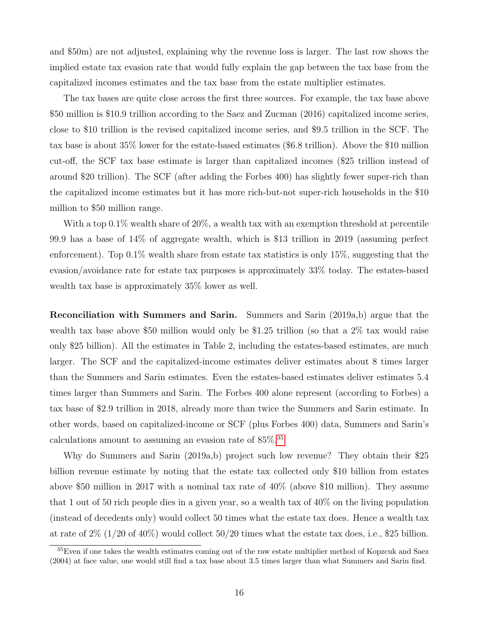and \$50m) are not adjusted, explaining why the revenue loss is larger. The last row shows the implied estate tax evasion rate that would fully explain the gap between the tax base from the capitalized incomes estimates and the tax base from the estate multiplier estimates.

The tax bases are quite close across the first three sources. For example, the tax base above \$50 million is \$10.9 trillion according to the Saez and Zucman (2016) capitalized income series, close to \$10 trillion is the revised capitalized income series, and \$9.5 trillion in the SCF. The tax base is about 35% lower for the estate-based estimates (\$6.8 trillion). Above the \$10 million cut-off, the SCF tax base estimate is larger than capitalized incomes (\$25 trillion instead of around \$20 trillion). The SCF (after adding the Forbes 400) has slightly fewer super-rich than the capitalized income estimates but it has more rich-but-not super-rich households in the \$10 million to \$50 million range.

With a top  $0.1\%$  wealth share of 20%, a wealth tax with an exemption threshold at percentile 99.9 has a base of 14% of aggregate wealth, which is \$13 trillion in 2019 (assuming perfect enforcement). Top 0.1% wealth share from estate tax statistics is only 15%, suggesting that the evasion/avoidance rate for estate tax purposes is approximately 33% today. The estates-based wealth tax base is approximately 35% lower as well.

Reconciliation with Summers and Sarin. Summers and Sarin (2019a,b) argue that the wealth tax base above \$50 million would only be \$1.25 trillion (so that a 2% tax would raise only \$25 billion). All the estimates in Table 2, including the estates-based estimates, are much larger. The SCF and the capitalized-income estimates deliver estimates about 8 times larger than the Summers and Sarin estimates. Even the estates-based estimates deliver estimates 5.4 times larger than Summers and Sarin. The Forbes 400 alone represent (according to Forbes) a tax base of \$2.9 trillion in 2018, already more than twice the Summers and Sarin estimate. In other words, based on capitalized-income or SCF (plus Forbes 400) data, Summers and Sarin's calculations amount to assuming an evasion rate of 85%.[35](#page-2-0)

Why do Summers and Sarin (2019a,b) project such low revenue? They obtain their \$25 billion revenue estimate by noting that the estate tax collected only \$10 billion from estates above \$50 million in 2017 with a nominal tax rate of 40% (above \$10 million). They assume that 1 out of 50 rich people dies in a given year, so a wealth tax of 40% on the living population (instead of decedents only) would collect 50 times what the estate tax does. Hence a wealth tax at rate of  $2\%$  (1/20 of  $40\%$ ) would collect  $50/20$  times what the estate tax does, i.e., \$25 billion.

<sup>&</sup>lt;sup>35</sup>Even if one takes the wealth estimates coming out of the raw estate multiplier method of Kopzcuk and Saez (2004) at face value, one would still find a tax base about 3.5 times larger than what Summers and Sarin find.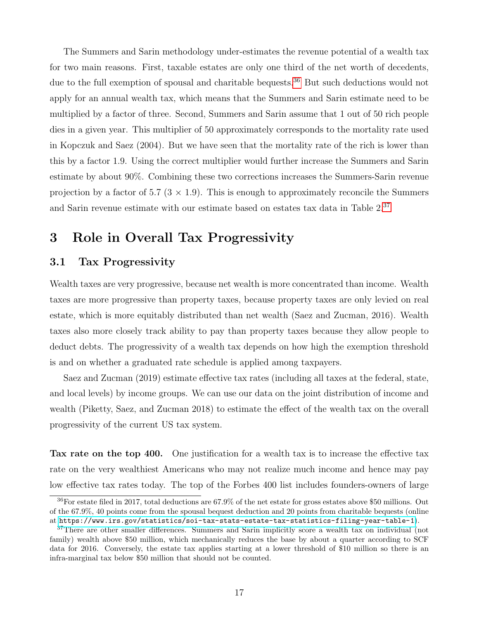The Summers and Sarin methodology under-estimates the revenue potential of a wealth tax for two main reasons. First, taxable estates are only one third of the net worth of decedents, due to the full exemption of spousal and charitable bequests.<sup>[36](#page-2-0)</sup> But such deductions would not apply for an annual wealth tax, which means that the Summers and Sarin estimate need to be multiplied by a factor of three. Second, Summers and Sarin assume that 1 out of 50 rich people dies in a given year. This multiplier of 50 approximately corresponds to the mortality rate used in Kopczuk and Saez (2004). But we have seen that the mortality rate of the rich is lower than this by a factor 1.9. Using the correct multiplier would further increase the Summers and Sarin estimate by about 90%. Combining these two corrections increases the Summers-Sarin revenue projection by a factor of 5.7 ( $3 \times 1.9$ ). This is enough to approximately reconcile the Summers and Sarin revenue estimate with our estimate based on estates tax data in Table 2.[37](#page-2-0)

## 3 Role in Overall Tax Progressivity

#### 3.1 Tax Progressivity

Wealth taxes are very progressive, because net wealth is more concentrated than income. Wealth taxes are more progressive than property taxes, because property taxes are only levied on real estate, which is more equitably distributed than net wealth (Saez and Zucman, 2016). Wealth taxes also more closely track ability to pay than property taxes because they allow people to deduct debts. The progressivity of a wealth tax depends on how high the exemption threshold is and on whether a graduated rate schedule is applied among taxpayers.

Saez and Zucman (2019) estimate effective tax rates (including all taxes at the federal, state, and local levels) by income groups. We can use our data on the joint distribution of income and wealth (Piketty, Saez, and Zucman 2018) to estimate the effect of the wealth tax on the overall progressivity of the current US tax system.

Tax rate on the top 400. One justification for a wealth tax is to increase the effective tax rate on the very wealthiest Americans who may not realize much income and hence may pay low effective tax rates today. The top of the Forbes 400 list includes founders-owners of large

<sup>36</sup>For estate filed in 2017, total deductions are 67.9% of the net estate for gross estates above \$50 millions. Out of the 67.9%, 40 points come from the spousal bequest deduction and 20 points from charitable bequests (online at <https://www.irs.gov/statistics/soi-tax-stats-estate-tax-statistics-filing-year-table-1>).

<sup>&</sup>lt;sup>37</sup>There are other smaller differences. Summers and Sarin implicitly score a wealth tax on individual (not family) wealth above \$50 million, which mechanically reduces the base by about a quarter according to SCF data for 2016. Conversely, the estate tax applies starting at a lower threshold of \$10 million so there is an infra-marginal tax below \$50 million that should not be counted.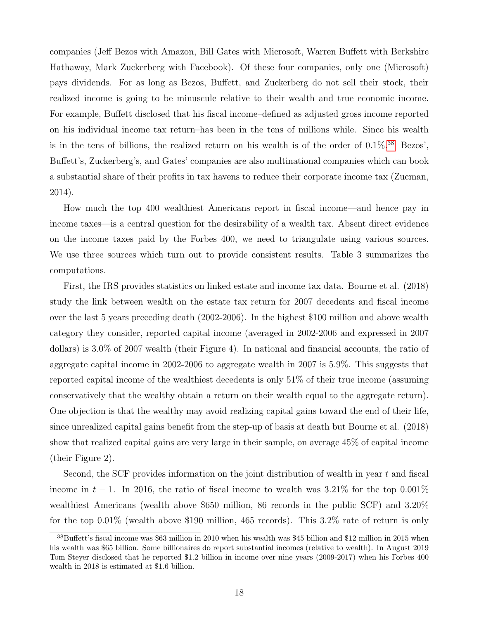companies (Jeff Bezos with Amazon, Bill Gates with Microsoft, Warren Buffett with Berkshire Hathaway, Mark Zuckerberg with Facebook). Of these four companies, only one (Microsoft) pays dividends. For as long as Bezos, Buffett, and Zuckerberg do not sell their stock, their realized income is going to be minuscule relative to their wealth and true economic income. For example, Buffett disclosed that his fiscal income–defined as adjusted gross income reported on his individual income tax return–has been in the tens of millions while. Since his wealth is in the tens of billions, the realized return on his wealth is of the order of  $0.1\%$ .<sup>[38](#page-2-0)</sup> Bezos', Buffett's, Zuckerberg's, and Gates' companies are also multinational companies which can book a substantial share of their profits in tax havens to reduce their corporate income tax (Zucman, 2014).

How much the top 400 wealthiest Americans report in fiscal income—and hence pay in income taxes—is a central question for the desirability of a wealth tax. Absent direct evidence on the income taxes paid by the Forbes 400, we need to triangulate using various sources. We use three sources which turn out to provide consistent results. Table 3 summarizes the computations.

First, the IRS provides statistics on linked estate and income tax data. Bourne et al. (2018) study the link between wealth on the estate tax return for 2007 decedents and fiscal income over the last 5 years preceding death (2002-2006). In the highest \$100 million and above wealth category they consider, reported capital income (averaged in 2002-2006 and expressed in 2007 dollars) is 3.0% of 2007 wealth (their Figure 4). In national and financial accounts, the ratio of aggregate capital income in 2002-2006 to aggregate wealth in 2007 is 5.9%. This suggests that reported capital income of the wealthiest decedents is only 51% of their true income (assuming conservatively that the wealthy obtain a return on their wealth equal to the aggregate return). One objection is that the wealthy may avoid realizing capital gains toward the end of their life, since unrealized capital gains benefit from the step-up of basis at death but Bourne et al. (2018) show that realized capital gains are very large in their sample, on average 45% of capital income (their Figure 2).

Second, the SCF provides information on the joint distribution of wealth in year  $t$  and fiscal income in  $t - 1$ . In 2016, the ratio of fiscal income to wealth was 3.21% for the top 0.001% wealthiest Americans (wealth above \$650 million, 86 records in the public SCF) and 3.20% for the top 0.01% (wealth above \$190 million, 465 records). This 3.2% rate of return is only

<sup>38</sup>Buffett's fiscal income was \$63 million in 2010 when his wealth was \$45 billion and \$12 million in 2015 when his wealth was \$65 billion. Some billionaires do report substantial incomes (relative to wealth). In August 2019 Tom Steyer disclosed that he reported \$1.2 billion in income over nine years (2009-2017) when his Forbes 400 wealth in 2018 is estimated at \$1.6 billion.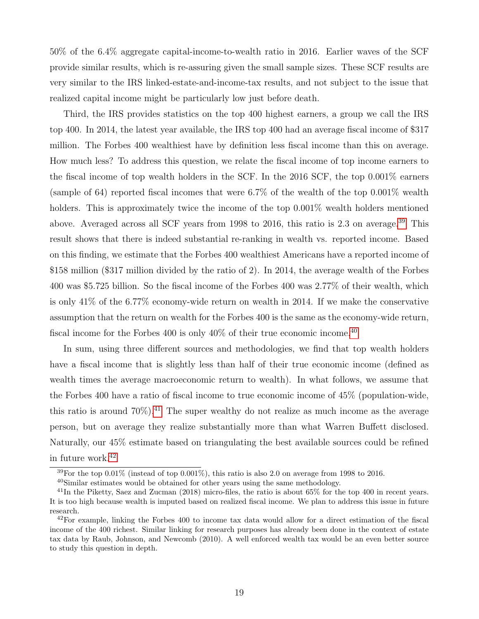50% of the 6.4% aggregate capital-income-to-wealth ratio in 2016. Earlier waves of the SCF provide similar results, which is re-assuring given the small sample sizes. These SCF results are very similar to the IRS linked-estate-and-income-tax results, and not subject to the issue that realized capital income might be particularly low just before death.

Third, the IRS provides statistics on the top 400 highest earners, a group we call the IRS top 400. In 2014, the latest year available, the IRS top 400 had an average fiscal income of \$317 million. The Forbes 400 wealthiest have by definition less fiscal income than this on average. How much less? To address this question, we relate the fiscal income of top income earners to the fiscal income of top wealth holders in the SCF. In the 2016 SCF, the top 0.001% earners (sample of 64) reported fiscal incomes that were 6.7% of the wealth of the top 0.001% wealth holders. This is approximately twice the income of the top 0.001\% wealth holders mentioned above. Averaged across all SCF years from 1998 to 2016, this ratio is 2.3 on average.<sup>[39](#page-2-0)</sup> This result shows that there is indeed substantial re-ranking in wealth vs. reported income. Based on this finding, we estimate that the Forbes 400 wealthiest Americans have a reported income of \$158 million (\$317 million divided by the ratio of 2). In 2014, the average wealth of the Forbes 400 was \$5.725 billion. So the fiscal income of the Forbes 400 was 2.77% of their wealth, which is only 41% of the 6.77% economy-wide return on wealth in 2014. If we make the conservative assumption that the return on wealth for the Forbes 400 is the same as the economy-wide return, fiscal income for the Forbes [40](#page-2-0)0 is only  $40\%$  of their true economic income.<sup>40</sup>

In sum, using three different sources and methodologies, we find that top wealth holders have a fiscal income that is slightly less than half of their true economic income (defined as wealth times the average macroeconomic return to wealth). In what follows, we assume that the Forbes 400 have a ratio of fiscal income to true economic income of 45% (population-wide, this ratio is around  $70\%$ ).<sup>[41](#page-2-0)</sup> The super wealthy do not realize as much income as the average person, but on average they realize substantially more than what Warren Buffett disclosed. Naturally, our 45% estimate based on triangulating the best available sources could be refined in future work. $^{42}$  $^{42}$  $^{42}$ 

<sup>39</sup>For the top 0.01% (instead of top 0.001%), this ratio is also 2.0 on average from 1998 to 2016.

<sup>40</sup>Similar estimates would be obtained for other years using the same methodology.

<sup>41</sup>In the Piketty, Saez and Zucman (2018) micro-files, the ratio is about 65% for the top 400 in recent years. It is too high because wealth is imputed based on realized fiscal income. We plan to address this issue in future research.

<sup>&</sup>lt;sup>42</sup>For example, linking the Forbes 400 to income tax data would allow for a direct estimation of the fiscal income of the 400 richest. Similar linking for research purposes has already been done in the context of estate tax data by Raub, Johnson, and Newcomb (2010). A well enforced wealth tax would be an even better source to study this question in depth.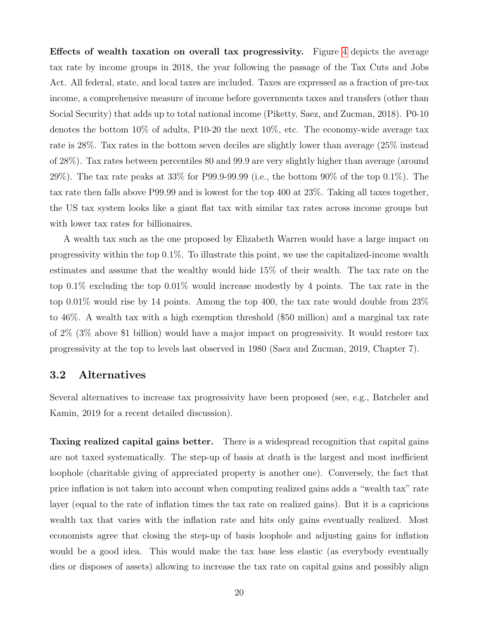Effects of wealth taxation on overall tax progressivity. Figure [4](#page-64-0) depicts the average tax rate by income groups in 2018, the year following the passage of the Tax Cuts and Jobs Act. All federal, state, and local taxes are included. Taxes are expressed as a fraction of pre-tax income, a comprehensive measure of income before governments taxes and transfers (other than Social Security) that adds up to total national income (Piketty, Saez, and Zucman, 2018). P0-10 denotes the bottom 10% of adults, P10-20 the next 10%, etc. The economy-wide average tax rate is 28%. Tax rates in the bottom seven deciles are slightly lower than average (25% instead of 28%). Tax rates between percentiles 80 and 99.9 are very slightly higher than average (around 29%). The tax rate peaks at 33% for P99.9-99.99 (i.e., the bottom 90% of the top 0.1%). The tax rate then falls above P99.99 and is lowest for the top 400 at 23%. Taking all taxes together, the US tax system looks like a giant flat tax with similar tax rates across income groups but with lower tax rates for billionaires.

A wealth tax such as the one proposed by Elizabeth Warren would have a large impact on progressivity within the top 0.1%. To illustrate this point, we use the capitalized-income wealth estimates and assume that the wealthy would hide 15% of their wealth. The tax rate on the top 0.1% excluding the top 0.01% would increase modestly by 4 points. The tax rate in the top 0.01% would rise by 14 points. Among the top 400, the tax rate would double from 23% to 46%. A wealth tax with a high exemption threshold (\$50 million) and a marginal tax rate of 2% (3% above \$1 billion) would have a major impact on progressivity. It would restore tax progressivity at the top to levels last observed in 1980 (Saez and Zucman, 2019, Chapter 7).

#### 3.2 Alternatives

Several alternatives to increase tax progressivity have been proposed (see, e.g., Batcheler and Kamin, 2019 for a recent detailed discussion).

Taxing realized capital gains better. There is a widespread recognition that capital gains are not taxed systematically. The step-up of basis at death is the largest and most inefficient loophole (charitable giving of appreciated property is another one). Conversely, the fact that price inflation is not taken into account when computing realized gains adds a "wealth tax" rate layer (equal to the rate of inflation times the tax rate on realized gains). But it is a capricious wealth tax that varies with the inflation rate and hits only gains eventually realized. Most economists agree that closing the step-up of basis loophole and adjusting gains for inflation would be a good idea. This would make the tax base less elastic (as everybody eventually dies or disposes of assets) allowing to increase the tax rate on capital gains and possibly align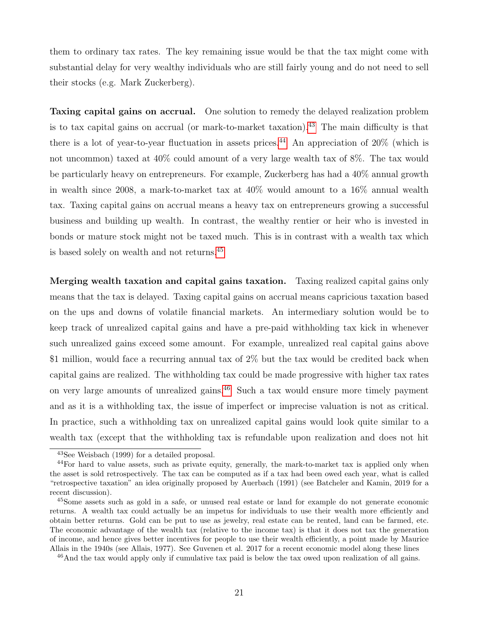them to ordinary tax rates. The key remaining issue would be that the tax might come with substantial delay for very wealthy individuals who are still fairly young and do not need to sell their stocks (e.g. Mark Zuckerberg).

Taxing capital gains on accrual. One solution to remedy the delayed realization problem is to tax capital gains on accrual (or mark-to-market taxation).<sup>[43](#page-2-0)</sup> The main difficulty is that there is a lot of year-to-year fluctuation in assets prices.<sup>[44](#page-2-0)</sup> An appreciation of  $20\%$  (which is not uncommon) taxed at 40% could amount of a very large wealth tax of 8%. The tax would be particularly heavy on entrepreneurs. For example, Zuckerberg has had a 40% annual growth in wealth since 2008, a mark-to-market tax at 40% would amount to a 16% annual wealth tax. Taxing capital gains on accrual means a heavy tax on entrepreneurs growing a successful business and building up wealth. In contrast, the wealthy rentier or heir who is invested in bonds or mature stock might not be taxed much. This is in contrast with a wealth tax which is based solely on wealth and not returns.[45](#page-2-0)

Merging wealth taxation and capital gains taxation. Taxing realized capital gains only means that the tax is delayed. Taxing capital gains on accrual means capricious taxation based on the ups and downs of volatile financial markets. An intermediary solution would be to keep track of unrealized capital gains and have a pre-paid withholding tax kick in whenever such unrealized gains exceed some amount. For example, unrealized real capital gains above \$1 million, would face a recurring annual tax of 2% but the tax would be credited back when capital gains are realized. The withholding tax could be made progressive with higher tax rates on very large amounts of unrealized gains.[46](#page-2-0) Such a tax would ensure more timely payment and as it is a withholding tax, the issue of imperfect or imprecise valuation is not as critical. In practice, such a withholding tax on unrealized capital gains would look quite similar to a wealth tax (except that the withholding tax is refundable upon realization and does not hit

<sup>43</sup>See Weisbach (1999) for a detailed proposal.

<sup>44</sup>For hard to value assets, such as private equity, generally, the mark-to-market tax is applied only when the asset is sold retrospectively. The tax can be computed as if a tax had been owed each year, what is called "retrospective taxation" an idea originally proposed by Auerbach (1991) (see Batcheler and Kamin, 2019 for a recent discussion).

<sup>45</sup>Some assets such as gold in a safe, or unused real estate or land for example do not generate economic returns. A wealth tax could actually be an impetus for individuals to use their wealth more efficiently and obtain better returns. Gold can be put to use as jewelry, real estate can be rented, land can be farmed, etc. The economic advantage of the wealth tax (relative to the income tax) is that it does not tax the generation of income, and hence gives better incentives for people to use their wealth efficiently, a point made by Maurice Allais in the 1940s (see Allais, 1977). See Guvenen et al. 2017 for a recent economic model along these lines

<sup>&</sup>lt;sup>46</sup>And the tax would apply only if cumulative tax paid is below the tax owed upon realization of all gains.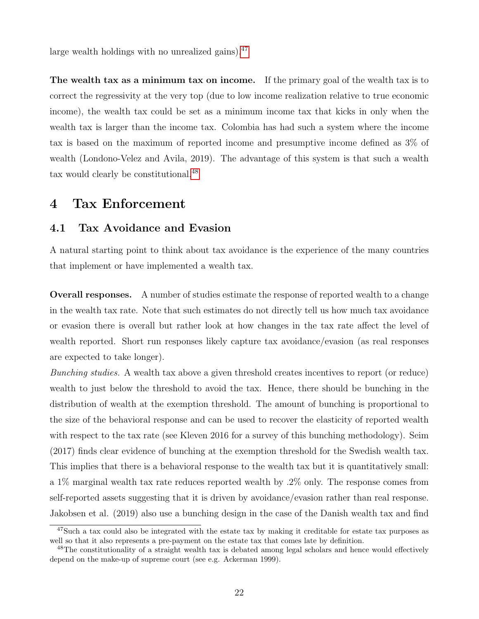large wealth holdings with no unrealized gains).<sup>[47](#page-2-0)</sup>

The wealth tax as a minimum tax on income. If the primary goal of the wealth tax is to correct the regressivity at the very top (due to low income realization relative to true economic income), the wealth tax could be set as a minimum income tax that kicks in only when the wealth tax is larger than the income tax. Colombia has had such a system where the income tax is based on the maximum of reported income and presumptive income defined as 3% of wealth (Londono-Velez and Avila, 2019). The advantage of this system is that such a wealth tax would clearly be constitutional.[48](#page-2-0)

## <span id="page-24-0"></span>4 Tax Enforcement

#### 4.1 Tax Avoidance and Evasion

A natural starting point to think about tax avoidance is the experience of the many countries that implement or have implemented a wealth tax.

Overall responses. A number of studies estimate the response of reported wealth to a change in the wealth tax rate. Note that such estimates do not directly tell us how much tax avoidance or evasion there is overall but rather look at how changes in the tax rate affect the level of wealth reported. Short run responses likely capture tax avoidance/evasion (as real responses are expected to take longer).

Bunching studies. A wealth tax above a given threshold creates incentives to report (or reduce) wealth to just below the threshold to avoid the tax. Hence, there should be bunching in the distribution of wealth at the exemption threshold. The amount of bunching is proportional to the size of the behavioral response and can be used to recover the elasticity of reported wealth with respect to the tax rate (see Kleven 2016 for a survey of this bunching methodology). Seim (2017) finds clear evidence of bunching at the exemption threshold for the Swedish wealth tax. This implies that there is a behavioral response to the wealth tax but it is quantitatively small: a 1% marginal wealth tax rate reduces reported wealth by .2% only. The response comes from self-reported assets suggesting that it is driven by avoidance/evasion rather than real response. Jakobsen et al. (2019) also use a bunching design in the case of the Danish wealth tax and find

<sup>&</sup>lt;sup>47</sup>Such a tax could also be integrated with the estate tax by making it creditable for estate tax purposes as well so that it also represents a pre-payment on the estate tax that comes late by definition.

<sup>&</sup>lt;sup>48</sup>The constitutionality of a straight wealth tax is debated among legal scholars and hence would effectively depend on the make-up of supreme court (see e.g. Ackerman 1999).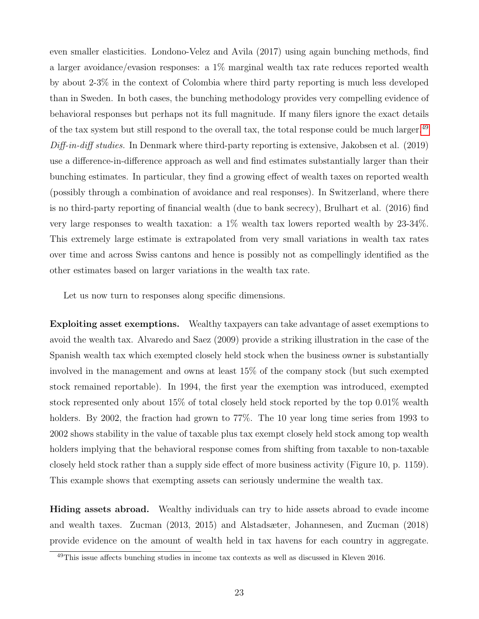even smaller elasticities. Londono-Velez and Avila (2017) using again bunching methods, find a larger avoidance/evasion responses: a 1% marginal wealth tax rate reduces reported wealth by about 2-3% in the context of Colombia where third party reporting is much less developed than in Sweden. In both cases, the bunching methodology provides very compelling evidence of behavioral responses but perhaps not its full magnitude. If many filers ignore the exact details of the tax system but still respond to the overall tax, the total response could be much larger.<sup>[49](#page-2-0)</sup>  $Diff-in-diff studies$ . In Denmark where third-party reporting is extensive, Jakobsen et al. (2019) use a difference-in-difference approach as well and find estimates substantially larger than their bunching estimates. In particular, they find a growing effect of wealth taxes on reported wealth (possibly through a combination of avoidance and real responses). In Switzerland, where there is no third-party reporting of financial wealth (due to bank secrecy), Brulhart et al. (2016) find very large responses to wealth taxation: a 1% wealth tax lowers reported wealth by 23-34%. This extremely large estimate is extrapolated from very small variations in wealth tax rates over time and across Swiss cantons and hence is possibly not as compellingly identified as the other estimates based on larger variations in the wealth tax rate.

Let us now turn to responses along specific dimensions.

Exploiting asset exemptions. Wealthy taxpayers can take advantage of asset exemptions to avoid the wealth tax. Alvaredo and Saez (2009) provide a striking illustration in the case of the Spanish wealth tax which exempted closely held stock when the business owner is substantially involved in the management and owns at least 15% of the company stock (but such exempted stock remained reportable). In 1994, the first year the exemption was introduced, exempted stock represented only about 15% of total closely held stock reported by the top 0.01% wealth holders. By 2002, the fraction had grown to 77%. The 10 year long time series from 1993 to 2002 shows stability in the value of taxable plus tax exempt closely held stock among top wealth holders implying that the behavioral response comes from shifting from taxable to non-taxable closely held stock rather than a supply side effect of more business activity (Figure 10, p. 1159). This example shows that exempting assets can seriously undermine the wealth tax.

Hiding assets abroad. Wealthy individuals can try to hide assets abroad to evade income and wealth taxes. Zucman (2013, 2015) and Alstadsæter, Johannesen, and Zucman (2018) provide evidence on the amount of wealth held in tax havens for each country in aggregate.

<sup>49</sup>This issue affects bunching studies in income tax contexts as well as discussed in Kleven 2016.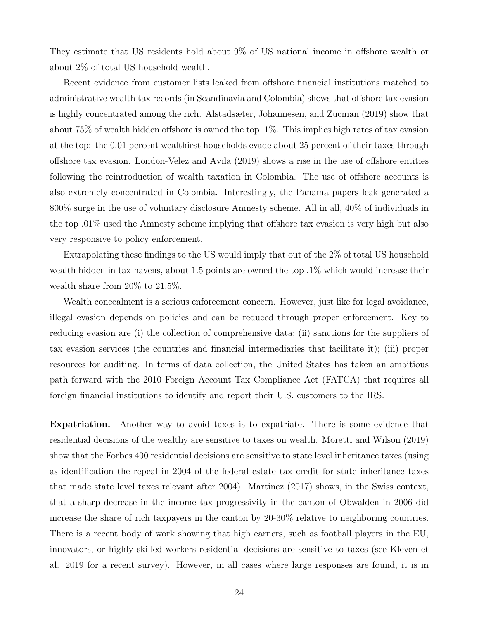They estimate that US residents hold about 9% of US national income in offshore wealth or about 2% of total US household wealth.

Recent evidence from customer lists leaked from offshore financial institutions matched to administrative wealth tax records (in Scandinavia and Colombia) shows that offshore tax evasion is highly concentrated among the rich. Alstadsæter, Johannesen, and Zucman (2019) show that about 75% of wealth hidden offshore is owned the top .1%. This implies high rates of tax evasion at the top: the 0.01 percent wealthiest households evade about 25 percent of their taxes through offshore tax evasion. London-Velez and Avila (2019) shows a rise in the use of offshore entities following the reintroduction of wealth taxation in Colombia. The use of offshore accounts is also extremely concentrated in Colombia. Interestingly, the Panama papers leak generated a 800% surge in the use of voluntary disclosure Amnesty scheme. All in all, 40% of individuals in the top .01% used the Amnesty scheme implying that offshore tax evasion is very high but also very responsive to policy enforcement.

Extrapolating these findings to the US would imply that out of the 2% of total US household wealth hidden in tax havens, about 1.5 points are owned the top .1% which would increase their wealth share from 20% to 21.5%.

Wealth concealment is a serious enforcement concern. However, just like for legal avoidance, illegal evasion depends on policies and can be reduced through proper enforcement. Key to reducing evasion are (i) the collection of comprehensive data; (ii) sanctions for the suppliers of tax evasion services (the countries and financial intermediaries that facilitate it); (iii) proper resources for auditing. In terms of data collection, the United States has taken an ambitious path forward with the 2010 Foreign Account Tax Compliance Act (FATCA) that requires all foreign financial institutions to identify and report their U.S. customers to the IRS.

Expatriation. Another way to avoid taxes is to expatriate. There is some evidence that residential decisions of the wealthy are sensitive to taxes on wealth. Moretti and Wilson (2019) show that the Forbes 400 residential decisions are sensitive to state level inheritance taxes (using as identification the repeal in 2004 of the federal estate tax credit for state inheritance taxes that made state level taxes relevant after 2004). Martinez (2017) shows, in the Swiss context, that a sharp decrease in the income tax progressivity in the canton of Obwalden in 2006 did increase the share of rich taxpayers in the canton by 20-30% relative to neighboring countries. There is a recent body of work showing that high earners, such as football players in the EU, innovators, or highly skilled workers residential decisions are sensitive to taxes (see Kleven et al. 2019 for a recent survey). However, in all cases where large responses are found, it is in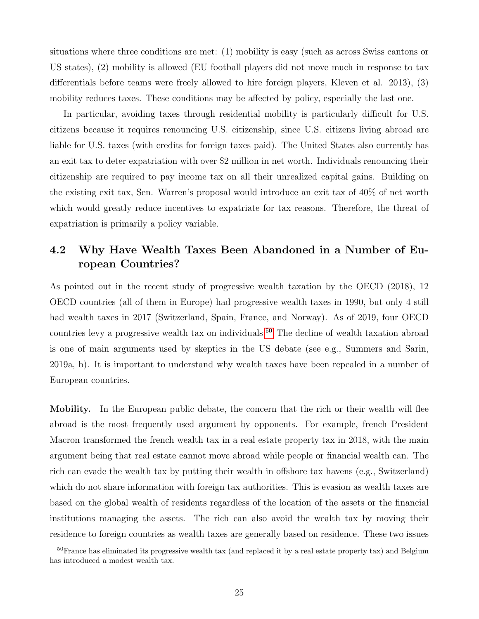situations where three conditions are met: (1) mobility is easy (such as across Swiss cantons or US states), (2) mobility is allowed (EU football players did not move much in response to tax differentials before teams were freely allowed to hire foreign players, Kleven et al. 2013), (3) mobility reduces taxes. These conditions may be affected by policy, especially the last one.

In particular, avoiding taxes through residential mobility is particularly difficult for U.S. citizens because it requires renouncing U.S. citizenship, since U.S. citizens living abroad are liable for U.S. taxes (with credits for foreign taxes paid). The United States also currently has an exit tax to deter expatriation with over \$2 million in net worth. Individuals renouncing their citizenship are required to pay income tax on all their unrealized capital gains. Building on the existing exit tax, Sen. Warren's proposal would introduce an exit tax of 40% of net worth which would greatly reduce incentives to expatriate for tax reasons. Therefore, the threat of expatriation is primarily a policy variable.

## 4.2 Why Have Wealth Taxes Been Abandoned in a Number of European Countries?

As pointed out in the recent study of progressive wealth taxation by the OECD (2018), 12 OECD countries (all of them in Europe) had progressive wealth taxes in 1990, but only 4 still had wealth taxes in 2017 (Switzerland, Spain, France, and Norway). As of 2019, four OECD countries levy a progressive wealth tax on individuals.<sup>[50](#page-2-0)</sup> The decline of wealth taxation abroad is one of main arguments used by skeptics in the US debate (see e.g., Summers and Sarin, 2019a, b). It is important to understand why wealth taxes have been repealed in a number of European countries.

Mobility. In the European public debate, the concern that the rich or their wealth will flee abroad is the most frequently used argument by opponents. For example, french President Macron transformed the french wealth tax in a real estate property tax in 2018, with the main argument being that real estate cannot move abroad while people or financial wealth can. The rich can evade the wealth tax by putting their wealth in offshore tax havens (e.g., Switzerland) which do not share information with foreign tax authorities. This is evasion as wealth taxes are based on the global wealth of residents regardless of the location of the assets or the financial institutions managing the assets. The rich can also avoid the wealth tax by moving their residence to foreign countries as wealth taxes are generally based on residence. These two issues

<sup>&</sup>lt;sup>50</sup>France has eliminated its progressive wealth tax (and replaced it by a real estate property tax) and Belgium has introduced a modest wealth tax.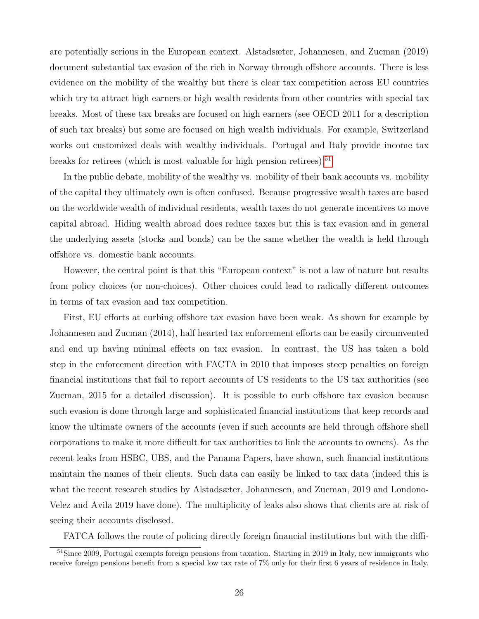are potentially serious in the European context. Alstadsæter, Johannesen, and Zucman (2019) document substantial tax evasion of the rich in Norway through offshore accounts. There is less evidence on the mobility of the wealthy but there is clear tax competition across EU countries which try to attract high earners or high wealth residents from other countries with special tax breaks. Most of these tax breaks are focused on high earners (see OECD 2011 for a description of such tax breaks) but some are focused on high wealth individuals. For example, Switzerland works out customized deals with wealthy individuals. Portugal and Italy provide income tax breaks for retirees (which is most valuable for high pension retirees).<sup>[51](#page-2-0)</sup>

In the public debate, mobility of the wealthy vs. mobility of their bank accounts vs. mobility of the capital they ultimately own is often confused. Because progressive wealth taxes are based on the worldwide wealth of individual residents, wealth taxes do not generate incentives to move capital abroad. Hiding wealth abroad does reduce taxes but this is tax evasion and in general the underlying assets (stocks and bonds) can be the same whether the wealth is held through offshore vs. domestic bank accounts.

However, the central point is that this "European context" is not a law of nature but results from policy choices (or non-choices). Other choices could lead to radically different outcomes in terms of tax evasion and tax competition.

First, EU efforts at curbing offshore tax evasion have been weak. As shown for example by Johannesen and Zucman (2014), half hearted tax enforcement efforts can be easily circumvented and end up having minimal effects on tax evasion. In contrast, the US has taken a bold step in the enforcement direction with FACTA in 2010 that imposes steep penalties on foreign financial institutions that fail to report accounts of US residents to the US tax authorities (see Zucman, 2015 for a detailed discussion). It is possible to curb offshore tax evasion because such evasion is done through large and sophisticated financial institutions that keep records and know the ultimate owners of the accounts (even if such accounts are held through offshore shell corporations to make it more difficult for tax authorities to link the accounts to owners). As the recent leaks from HSBC, UBS, and the Panama Papers, have shown, such financial institutions maintain the names of their clients. Such data can easily be linked to tax data (indeed this is what the recent research studies by Alstadsæter, Johannesen, and Zucman, 2019 and Londono-Velez and Avila 2019 have done). The multiplicity of leaks also shows that clients are at risk of seeing their accounts disclosed.

FATCA follows the route of policing directly foreign financial institutions but with the diffi-

<sup>51</sup>Since 2009, Portugal exempts foreign pensions from taxation. Starting in 2019 in Italy, new immigrants who receive foreign pensions benefit from a special low tax rate of 7% only for their first 6 years of residence in Italy.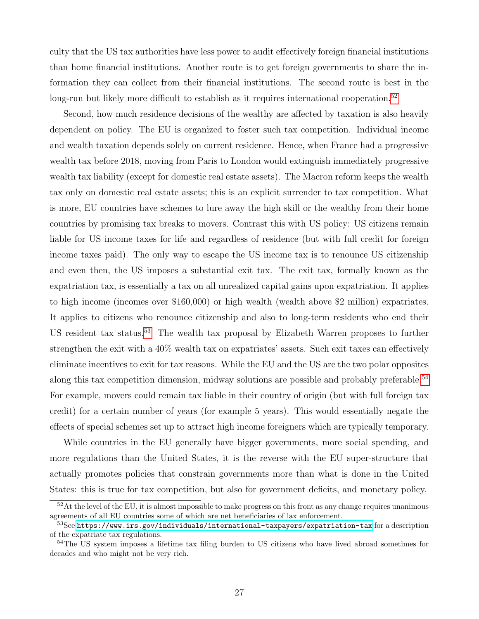culty that the US tax authorities have less power to audit effectively foreign financial institutions than home financial institutions. Another route is to get foreign governments to share the information they can collect from their financial institutions. The second route is best in the long-run but likely more difficult to establish as it requires international cooperation.<sup>[52](#page-2-0)</sup>

Second, how much residence decisions of the wealthy are affected by taxation is also heavily dependent on policy. The EU is organized to foster such tax competition. Individual income and wealth taxation depends solely on current residence. Hence, when France had a progressive wealth tax before 2018, moving from Paris to London would extinguish immediately progressive wealth tax liability (except for domestic real estate assets). The Macron reform keeps the wealth tax only on domestic real estate assets; this is an explicit surrender to tax competition. What is more, EU countries have schemes to lure away the high skill or the wealthy from their home countries by promising tax breaks to movers. Contrast this with US policy: US citizens remain liable for US income taxes for life and regardless of residence (but with full credit for foreign income taxes paid). The only way to escape the US income tax is to renounce US citizenship and even then, the US imposes a substantial exit tax. The exit tax, formally known as the expatriation tax, is essentially a tax on all unrealized capital gains upon expatriation. It applies to high income (incomes over \$160,000) or high wealth (wealth above \$2 million) expatriates. It applies to citizens who renounce citizenship and also to long-term residents who end their US resident tax status.[53](#page-2-0) The wealth tax proposal by Elizabeth Warren proposes to further strengthen the exit with a 40% wealth tax on expatriates' assets. Such exit taxes can effectively eliminate incentives to exit for tax reasons. While the EU and the US are the two polar opposites along this tax competition dimension, midway solutions are possible and probably preferable.<sup>[54](#page-2-0)</sup> For example, movers could remain tax liable in their country of origin (but with full foreign tax credit) for a certain number of years (for example 5 years). This would essentially negate the effects of special schemes set up to attract high income foreigners which are typically temporary.

While countries in the EU generally have bigger governments, more social spending, and more regulations than the United States, it is the reverse with the EU super-structure that actually promotes policies that constrain governments more than what is done in the United States: this is true for tax competition, but also for government deficits, and monetary policy.

<sup>&</sup>lt;sup>52</sup>At the level of the EU, it is almost impossible to make progress on this front as any change requires unanimous agreements of all EU countries some of which are net beneficiaries of lax enforcement.

<sup>53</sup>See <https://www.irs.gov/individuals/international-taxpayers/expatriation-tax> for a description of the expatriate tax regulations.

<sup>54</sup>The US system imposes a lifetime tax filing burden to US citizens who have lived abroad sometimes for decades and who might not be very rich.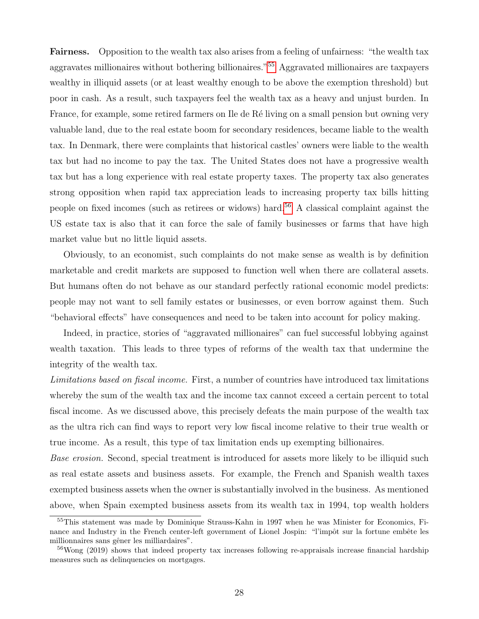Fairness. Opposition to the wealth tax also arises from a feeling of unfairness: "the wealth tax aggravates millionaires without bothering billionaires."[55](#page-2-0) Aggravated millionaires are taxpayers wealthy in illiquid assets (or at least wealthy enough to be above the exemption threshold) but poor in cash. As a result, such taxpayers feel the wealth tax as a heavy and unjust burden. In France, for example, some retired farmers on Ile de Ré living on a small pension but owning very valuable land, due to the real estate boom for secondary residences, became liable to the wealth tax. In Denmark, there were complaints that historical castles' owners were liable to the wealth tax but had no income to pay the tax. The United States does not have a progressive wealth tax but has a long experience with real estate property taxes. The property tax also generates strong opposition when rapid tax appreciation leads to increasing property tax bills hitting people on fixed incomes (such as retirees or widows) hard.<sup>[56](#page-2-0)</sup> A classical complaint against the US estate tax is also that it can force the sale of family businesses or farms that have high market value but no little liquid assets.

Obviously, to an economist, such complaints do not make sense as wealth is by definition marketable and credit markets are supposed to function well when there are collateral assets. But humans often do not behave as our standard perfectly rational economic model predicts: people may not want to sell family estates or businesses, or even borrow against them. Such "behavioral effects" have consequences and need to be taken into account for policy making.

Indeed, in practice, stories of "aggravated millionaires" can fuel successful lobbying against wealth taxation. This leads to three types of reforms of the wealth tax that undermine the integrity of the wealth tax.

Limitations based on fiscal income. First, a number of countries have introduced tax limitations whereby the sum of the wealth tax and the income tax cannot exceed a certain percent to total fiscal income. As we discussed above, this precisely defeats the main purpose of the wealth tax as the ultra rich can find ways to report very low fiscal income relative to their true wealth or true income. As a result, this type of tax limitation ends up exempting billionaires.

Base erosion. Second, special treatment is introduced for assets more likely to be illiquid such as real estate assets and business assets. For example, the French and Spanish wealth taxes exempted business assets when the owner is substantially involved in the business. As mentioned above, when Spain exempted business assets from its wealth tax in 1994, top wealth holders

<sup>55</sup>This statement was made by Dominique Strauss-Kahn in 1997 when he was Minister for Economics, Finance and Industry in the French center-left government of Lionel Jospin: "l'impôt sur la fortune embête les millionnaires sans gêner les milliardaires".

<sup>&</sup>lt;sup>56</sup>Wong (2019) shows that indeed property tax increases following re-appraisals increase financial hardship measures such as delinquencies on mortgages.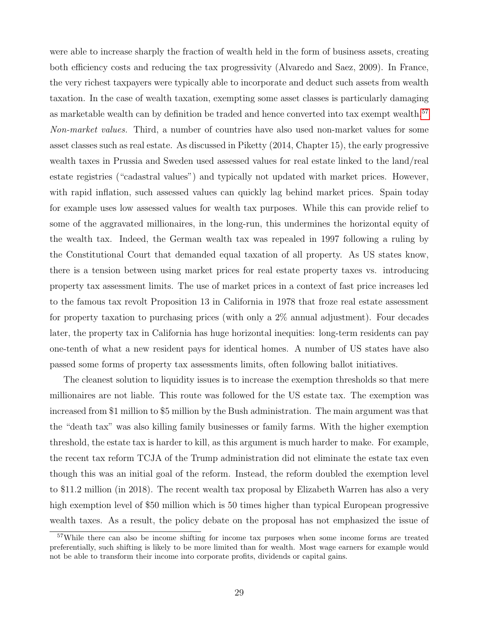were able to increase sharply the fraction of wealth held in the form of business assets, creating both efficiency costs and reducing the tax progressivity (Alvaredo and Saez, 2009). In France, the very richest taxpayers were typically able to incorporate and deduct such assets from wealth taxation. In the case of wealth taxation, exempting some asset classes is particularly damaging as marketable wealth can by definition be traded and hence converted into tax exempt wealth.<sup>[57](#page-2-0)</sup> Non-market values. Third, a number of countries have also used non-market values for some asset classes such as real estate. As discussed in Piketty (2014, Chapter 15), the early progressive wealth taxes in Prussia and Sweden used assessed values for real estate linked to the land/real estate registries ("cadastral values") and typically not updated with market prices. However, with rapid inflation, such assessed values can quickly lag behind market prices. Spain today for example uses low assessed values for wealth tax purposes. While this can provide relief to some of the aggravated millionaires, in the long-run, this undermines the horizontal equity of the wealth tax. Indeed, the German wealth tax was repealed in 1997 following a ruling by the Constitutional Court that demanded equal taxation of all property. As US states know, there is a tension between using market prices for real estate property taxes vs. introducing property tax assessment limits. The use of market prices in a context of fast price increases led to the famous tax revolt Proposition 13 in California in 1978 that froze real estate assessment for property taxation to purchasing prices (with only a 2% annual adjustment). Four decades later, the property tax in California has huge horizontal inequities: long-term residents can pay one-tenth of what a new resident pays for identical homes. A number of US states have also passed some forms of property tax assessments limits, often following ballot initiatives.

The cleanest solution to liquidity issues is to increase the exemption thresholds so that mere millionaires are not liable. This route was followed for the US estate tax. The exemption was increased from \$1 million to \$5 million by the Bush administration. The main argument was that the "death tax" was also killing family businesses or family farms. With the higher exemption threshold, the estate tax is harder to kill, as this argument is much harder to make. For example, the recent tax reform TCJA of the Trump administration did not eliminate the estate tax even though this was an initial goal of the reform. Instead, the reform doubled the exemption level to \$11.2 million (in 2018). The recent wealth tax proposal by Elizabeth Warren has also a very high exemption level of \$50 million which is 50 times higher than typical European progressive wealth taxes. As a result, the policy debate on the proposal has not emphasized the issue of

<sup>57</sup>While there can also be income shifting for income tax purposes when some income forms are treated preferentially, such shifting is likely to be more limited than for wealth. Most wage earners for example would not be able to transform their income into corporate profits, dividends or capital gains.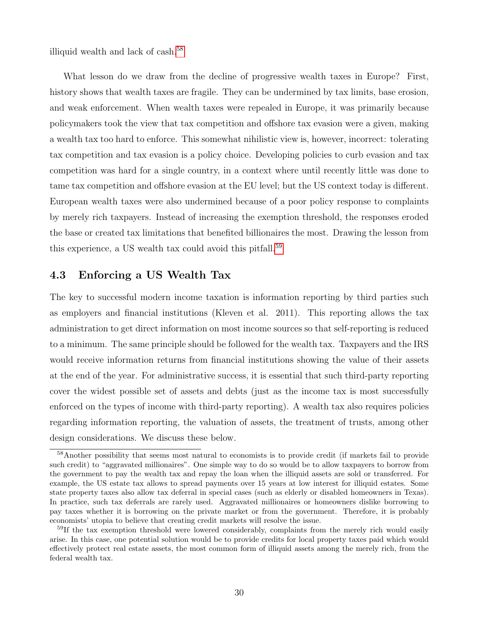illiquid wealth and lack of cash.[58](#page-2-0)

What lesson do we draw from the decline of progressive wealth taxes in Europe? First, history shows that wealth taxes are fragile. They can be undermined by tax limits, base erosion, and weak enforcement. When wealth taxes were repealed in Europe, it was primarily because policymakers took the view that tax competition and offshore tax evasion were a given, making a wealth tax too hard to enforce. This somewhat nihilistic view is, however, incorrect: tolerating tax competition and tax evasion is a policy choice. Developing policies to curb evasion and tax competition was hard for a single country, in a context where until recently little was done to tame tax competition and offshore evasion at the EU level; but the US context today is different. European wealth taxes were also undermined because of a poor policy response to complaints by merely rich taxpayers. Instead of increasing the exemption threshold, the responses eroded the base or created tax limitations that benefited billionaires the most. Drawing the lesson from this experience, a US wealth tax could avoid this pitfall.[59](#page-2-0)

#### 4.3 Enforcing a US Wealth Tax

The key to successful modern income taxation is information reporting by third parties such as employers and financial institutions (Kleven et al. 2011). This reporting allows the tax administration to get direct information on most income sources so that self-reporting is reduced to a minimum. The same principle should be followed for the wealth tax. Taxpayers and the IRS would receive information returns from financial institutions showing the value of their assets at the end of the year. For administrative success, it is essential that such third-party reporting cover the widest possible set of assets and debts (just as the income tax is most successfully enforced on the types of income with third-party reporting). A wealth tax also requires policies regarding information reporting, the valuation of assets, the treatment of trusts, among other design considerations. We discuss these below.

<sup>58</sup>Another possibility that seems most natural to economists is to provide credit (if markets fail to provide such credit) to "aggravated millionaires". One simple way to do so would be to allow taxpayers to borrow from the government to pay the wealth tax and repay the loan when the illiquid assets are sold or transferred. For example, the US estate tax allows to spread payments over 15 years at low interest for illiquid estates. Some state property taxes also allow tax deferral in special cases (such as elderly or disabled homeowners in Texas). In practice, such tax deferrals are rarely used. Aggravated millionaires or homeowners dislike borrowing to pay taxes whether it is borrowing on the private market or from the government. Therefore, it is probably economists' utopia to believe that creating credit markets will resolve the issue.

<sup>&</sup>lt;sup>59</sup>If the tax exemption threshold were lowered considerably, complaints from the merely rich would easily arise. In this case, one potential solution would be to provide credits for local property taxes paid which would effectively protect real estate assets, the most common form of illiquid assets among the merely rich, from the federal wealth tax.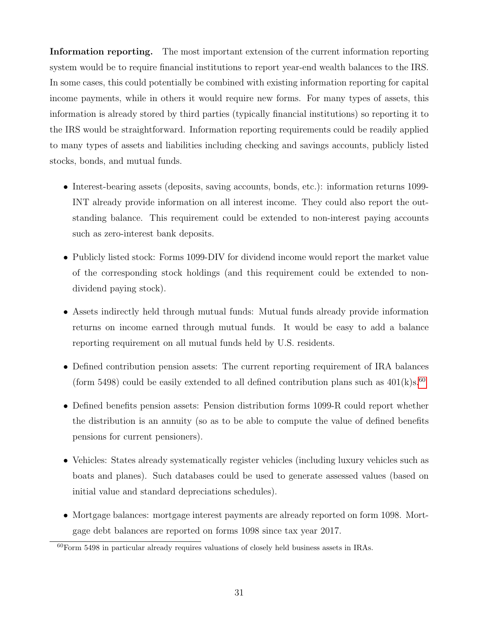Information reporting. The most important extension of the current information reporting system would be to require financial institutions to report year-end wealth balances to the IRS. In some cases, this could potentially be combined with existing information reporting for capital income payments, while in others it would require new forms. For many types of assets, this information is already stored by third parties (typically financial institutions) so reporting it to the IRS would be straightforward. Information reporting requirements could be readily applied to many types of assets and liabilities including checking and savings accounts, publicly listed stocks, bonds, and mutual funds.

- Interest-bearing assets (deposits, saving accounts, bonds, etc.): information returns 1099-INT already provide information on all interest income. They could also report the outstanding balance. This requirement could be extended to non-interest paying accounts such as zero-interest bank deposits.
- Publicly listed stock: Forms 1099-DIV for dividend income would report the market value of the corresponding stock holdings (and this requirement could be extended to nondividend paying stock).
- Assets indirectly held through mutual funds: Mutual funds already provide information returns on income earned through mutual funds. It would be easy to add a balance reporting requirement on all mutual funds held by U.S. residents.
- Defined contribution pension assets: The current reporting requirement of IRA balances (form 5498) could be easily extended to all defined contribution plans such as  $401(k)s.60$  $401(k)s.60$
- Defined benefits pension assets: Pension distribution forms 1099-R could report whether the distribution is an annuity (so as to be able to compute the value of defined benefits pensions for current pensioners).
- Vehicles: States already systematically register vehicles (including luxury vehicles such as boats and planes). Such databases could be used to generate assessed values (based on initial value and standard depreciations schedules).
- Mortgage balances: mortgage interest payments are already reported on form 1098. Mortgage debt balances are reported on forms 1098 since tax year 2017.

 $60$  Form 5498 in particular already requires valuations of closely held business assets in IRAs.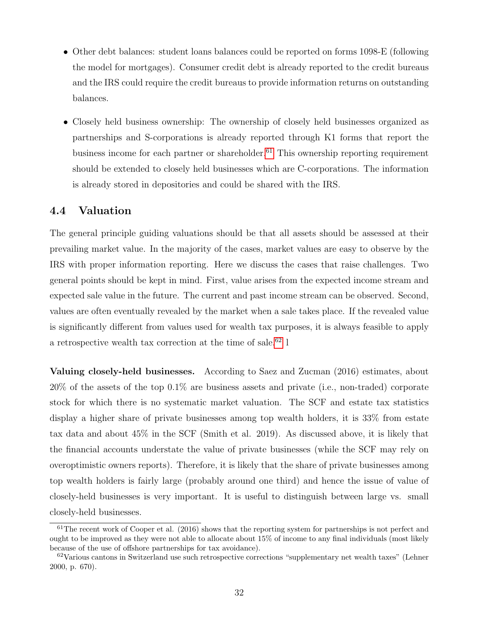- Other debt balances: student loans balances could be reported on forms 1098-E (following the model for mortgages). Consumer credit debt is already reported to the credit bureaus and the IRS could require the credit bureaus to provide information returns on outstanding balances.
- Closely held business ownership: The ownership of closely held businesses organized as partnerships and S-corporations is already reported through K1 forms that report the business income for each partner or shareholder.<sup>[61](#page-2-0)</sup> This ownership reporting requirement should be extended to closely held businesses which are C-corporations. The information is already stored in depositories and could be shared with the IRS.

### 4.4 Valuation

The general principle guiding valuations should be that all assets should be assessed at their prevailing market value. In the majority of the cases, market values are easy to observe by the IRS with proper information reporting. Here we discuss the cases that raise challenges. Two general points should be kept in mind. First, value arises from the expected income stream and expected sale value in the future. The current and past income stream can be observed. Second, values are often eventually revealed by the market when a sale takes place. If the revealed value is significantly different from values used for wealth tax purposes, it is always feasible to apply a retrospective wealth tax correction at the time of sale.<sup>[62](#page-2-0)</sup> l

Valuing closely-held businesses. According to Saez and Zucman (2016) estimates, about 20% of the assets of the top 0.1% are business assets and private (i.e., non-traded) corporate stock for which there is no systematic market valuation. The SCF and estate tax statistics display a higher share of private businesses among top wealth holders, it is 33% from estate tax data and about 45% in the SCF (Smith et al. 2019). As discussed above, it is likely that the financial accounts understate the value of private businesses (while the SCF may rely on overoptimistic owners reports). Therefore, it is likely that the share of private businesses among top wealth holders is fairly large (probably around one third) and hence the issue of value of closely-held businesses is very important. It is useful to distinguish between large vs. small closely-held businesses.

 $61$ The recent work of Cooper et al. (2016) shows that the reporting system for partnerships is not perfect and ought to be improved as they were not able to allocate about 15% of income to any final individuals (most likely because of the use of offshore partnerships for tax avoidance).

 $62$ Various cantons in Switzerland use such retrospective corrections "supplementary net wealth taxes" (Lehner 2000, p. 670).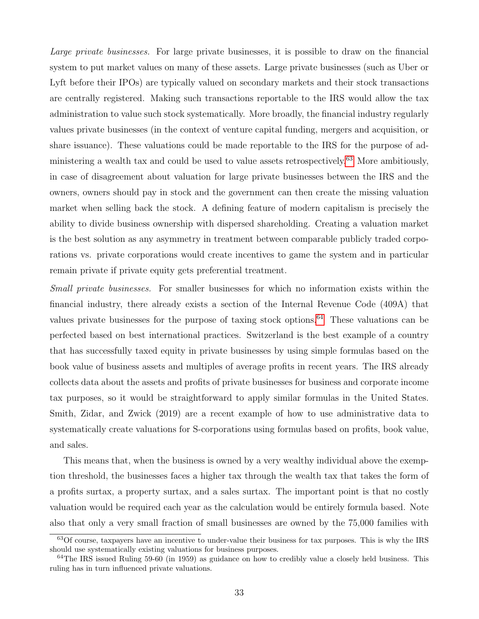Large private businesses. For large private businesses, it is possible to draw on the financial system to put market values on many of these assets. Large private businesses (such as Uber or Lyft before their IPOs) are typically valued on secondary markets and their stock transactions are centrally registered. Making such transactions reportable to the IRS would allow the tax administration to value such stock systematically. More broadly, the financial industry regularly values private businesses (in the context of venture capital funding, mergers and acquisition, or share issuance). These valuations could be made reportable to the IRS for the purpose of ad-ministering a wealth tax and could be used to value assets retrospectively.<sup>[63](#page-2-0)</sup> More ambitiously, in case of disagreement about valuation for large private businesses between the IRS and the owners, owners should pay in stock and the government can then create the missing valuation market when selling back the stock. A defining feature of modern capitalism is precisely the ability to divide business ownership with dispersed shareholding. Creating a valuation market is the best solution as any asymmetry in treatment between comparable publicly traded corporations vs. private corporations would create incentives to game the system and in particular remain private if private equity gets preferential treatment.

Small private businesses. For smaller businesses for which no information exists within the financial industry, there already exists a section of the Internal Revenue Code (409A) that values private businesses for the purpose of taxing stock options.[64](#page-2-0) These valuations can be perfected based on best international practices. Switzerland is the best example of a country that has successfully taxed equity in private businesses by using simple formulas based on the book value of business assets and multiples of average profits in recent years. The IRS already collects data about the assets and profits of private businesses for business and corporate income tax purposes, so it would be straightforward to apply similar formulas in the United States. Smith, Zidar, and Zwick (2019) are a recent example of how to use administrative data to systematically create valuations for S-corporations using formulas based on profits, book value, and sales.

This means that, when the business is owned by a very wealthy individual above the exemption threshold, the businesses faces a higher tax through the wealth tax that takes the form of a profits surtax, a property surtax, and a sales surtax. The important point is that no costly valuation would be required each year as the calculation would be entirely formula based. Note also that only a very small fraction of small businesses are owned by the 75,000 families with

<sup>&</sup>lt;sup>63</sup>Of course, taxpayers have an incentive to under-value their business for tax purposes. This is why the IRS should use systematically existing valuations for business purposes.

<sup>&</sup>lt;sup>64</sup>The IRS issued Ruling 59-60 (in 1959) as guidance on how to credibly value a closely held business. This ruling has in turn influenced private valuations.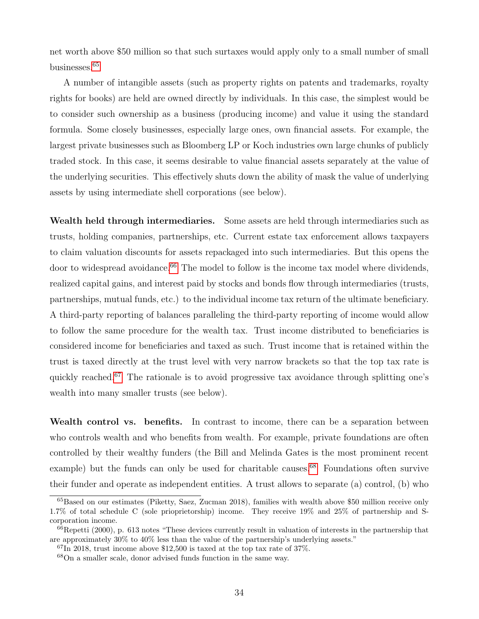net worth above \$50 million so that such surtaxes would apply only to a small number of small businesses.[65](#page-2-0)

A number of intangible assets (such as property rights on patents and trademarks, royalty rights for books) are held are owned directly by individuals. In this case, the simplest would be to consider such ownership as a business (producing income) and value it using the standard formula. Some closely businesses, especially large ones, own financial assets. For example, the largest private businesses such as Bloomberg LP or Koch industries own large chunks of publicly traded stock. In this case, it seems desirable to value financial assets separately at the value of the underlying securities. This effectively shuts down the ability of mask the value of underlying assets by using intermediate shell corporations (see below).

Wealth held through intermediaries. Some assets are held through intermediaries such as trusts, holding companies, partnerships, etc. Current estate tax enforcement allows taxpayers to claim valuation discounts for assets repackaged into such intermediaries. But this opens the door to widespread avoidance.<sup>[66](#page-2-0)</sup> The model to follow is the income tax model where dividends, realized capital gains, and interest paid by stocks and bonds flow through intermediaries (trusts, partnerships, mutual funds, etc.) to the individual income tax return of the ultimate beneficiary. A third-party reporting of balances paralleling the third-party reporting of income would allow to follow the same procedure for the wealth tax. Trust income distributed to beneficiaries is considered income for beneficiaries and taxed as such. Trust income that is retained within the trust is taxed directly at the trust level with very narrow brackets so that the top tax rate is quickly reached.<sup>[67](#page-2-0)</sup> The rationale is to avoid progressive tax avoidance through splitting one's wealth into many smaller trusts (see below).

Wealth control vs. benefits. In contrast to income, there can be a separation between who controls wealth and who benefits from wealth. For example, private foundations are often controlled by their wealthy funders (the Bill and Melinda Gates is the most prominent recent example) but the funds can only be used for charitable causes.<sup>[68](#page-2-0)</sup> Foundations often survive their funder and operate as independent entities. A trust allows to separate (a) control, (b) who

<sup>65</sup>Based on our estimates (Piketty, Saez, Zucman 2018), families with wealth above \$50 million receive only 1.7% of total schedule C (sole prioprietorship) income. They receive 19% and 25% of partnership and Scorporation income.

 $^{66}$ Repetti (2000), p. 613 notes "These devices currently result in valuation of interests in the partnership that are approximately 30% to 40% less than the value of the partnership's underlying assets."

 ${}^{67}\text{In}$  2018, trust income above \$12,500 is taxed at the top tax rate of 37%.

<sup>68</sup>On a smaller scale, donor advised funds function in the same way.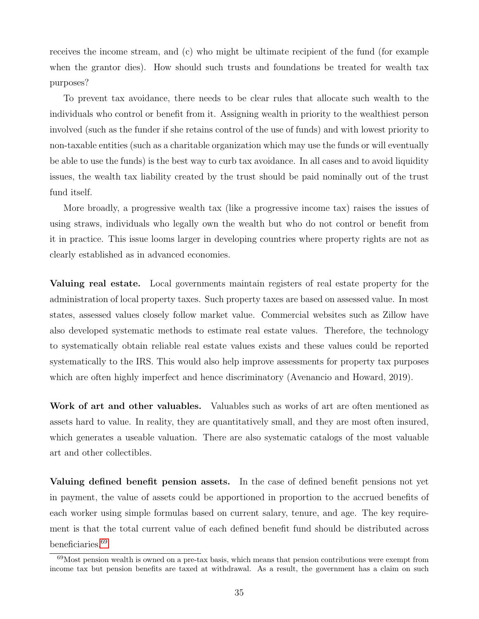receives the income stream, and (c) who might be ultimate recipient of the fund (for example when the grantor dies). How should such trusts and foundations be treated for wealth tax purposes?

To prevent tax avoidance, there needs to be clear rules that allocate such wealth to the individuals who control or benefit from it. Assigning wealth in priority to the wealthiest person involved (such as the funder if she retains control of the use of funds) and with lowest priority to non-taxable entities (such as a charitable organization which may use the funds or will eventually be able to use the funds) is the best way to curb tax avoidance. In all cases and to avoid liquidity issues, the wealth tax liability created by the trust should be paid nominally out of the trust fund itself.

More broadly, a progressive wealth tax (like a progressive income tax) raises the issues of using straws, individuals who legally own the wealth but who do not control or benefit from it in practice. This issue looms larger in developing countries where property rights are not as clearly established as in advanced economies.

Valuing real estate. Local governments maintain registers of real estate property for the administration of local property taxes. Such property taxes are based on assessed value. In most states, assessed values closely follow market value. Commercial websites such as Zillow have also developed systematic methods to estimate real estate values. Therefore, the technology to systematically obtain reliable real estate values exists and these values could be reported systematically to the IRS. This would also help improve assessments for property tax purposes which are often highly imperfect and hence discriminatory (Avenancio and Howard, 2019).

Work of art and other valuables. Valuables such as works of art are often mentioned as assets hard to value. In reality, they are quantitatively small, and they are most often insured, which generates a useable valuation. There are also systematic catalogs of the most valuable art and other collectibles.

Valuing defined benefit pension assets. In the case of defined benefit pensions not yet in payment, the value of assets could be apportioned in proportion to the accrued benefits of each worker using simple formulas based on current salary, tenure, and age. The key requirement is that the total current value of each defined benefit fund should be distributed across beneficiaries.[69](#page-2-0)

<sup>&</sup>lt;sup>69</sup>Most pension wealth is owned on a pre-tax basis, which means that pension contributions were exempt from income tax but pension benefits are taxed at withdrawal. As a result, the government has a claim on such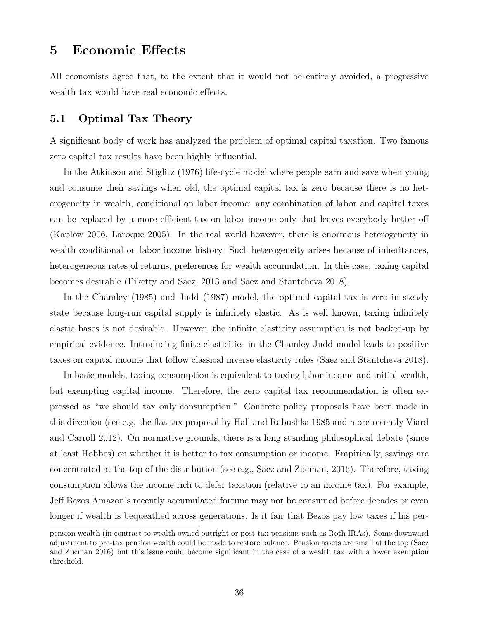## 5 Economic Effects

All economists agree that, to the extent that it would not be entirely avoided, a progressive wealth tax would have real economic effects.

#### 5.1 Optimal Tax Theory

A significant body of work has analyzed the problem of optimal capital taxation. Two famous zero capital tax results have been highly influential.

In the Atkinson and Stiglitz (1976) life-cycle model where people earn and save when young and consume their savings when old, the optimal capital tax is zero because there is no heterogeneity in wealth, conditional on labor income: any combination of labor and capital taxes can be replaced by a more efficient tax on labor income only that leaves everybody better off (Kaplow 2006, Laroque 2005). In the real world however, there is enormous heterogeneity in wealth conditional on labor income history. Such heterogeneity arises because of inheritances, heterogeneous rates of returns, preferences for wealth accumulation. In this case, taxing capital becomes desirable (Piketty and Saez, 2013 and Saez and Stantcheva 2018).

In the Chamley (1985) and Judd (1987) model, the optimal capital tax is zero in steady state because long-run capital supply is infinitely elastic. As is well known, taxing infinitely elastic bases is not desirable. However, the infinite elasticity assumption is not backed-up by empirical evidence. Introducing finite elasticities in the Chamley-Judd model leads to positive taxes on capital income that follow classical inverse elasticity rules (Saez and Stantcheva 2018).

In basic models, taxing consumption is equivalent to taxing labor income and initial wealth, but exempting capital income. Therefore, the zero capital tax recommendation is often expressed as "we should tax only consumption." Concrete policy proposals have been made in this direction (see e.g, the flat tax proposal by Hall and Rabushka 1985 and more recently Viard and Carroll 2012). On normative grounds, there is a long standing philosophical debate (since at least Hobbes) on whether it is better to tax consumption or income. Empirically, savings are concentrated at the top of the distribution (see e.g., Saez and Zucman, 2016). Therefore, taxing consumption allows the income rich to defer taxation (relative to an income tax). For example, Jeff Bezos Amazon's recently accumulated fortune may not be consumed before decades or even longer if wealth is bequeathed across generations. Is it fair that Bezos pay low taxes if his per-

pension wealth (in contrast to wealth owned outright or post-tax pensions such as Roth IRAs). Some downward adjustment to pre-tax pension wealth could be made to restore balance. Pension assets are small at the top (Saez and Zucman 2016) but this issue could become significant in the case of a wealth tax with a lower exemption threshold.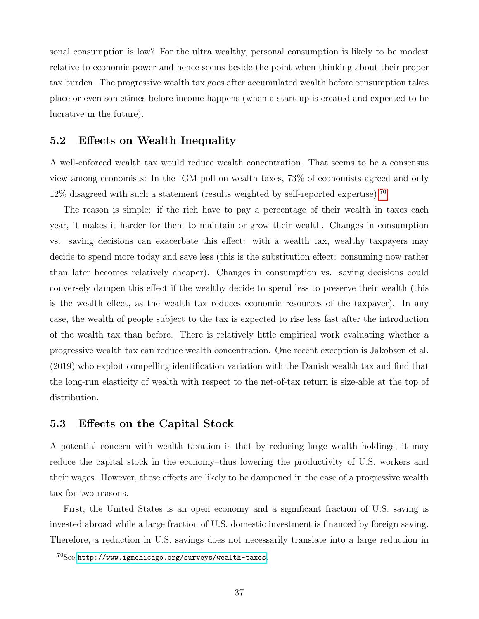sonal consumption is low? For the ultra wealthy, personal consumption is likely to be modest relative to economic power and hence seems beside the point when thinking about their proper tax burden. The progressive wealth tax goes after accumulated wealth before consumption takes place or even sometimes before income happens (when a start-up is created and expected to be lucrative in the future).

#### 5.2 Effects on Wealth Inequality

A well-enforced wealth tax would reduce wealth concentration. That seems to be a consensus view among economists: In the IGM poll on wealth taxes, 73% of economists agreed and only  $12\%$  disagreed with such a statement (results weighted by self-reported expertise).<sup>[70](#page-2-0)</sup>

The reason is simple: if the rich have to pay a percentage of their wealth in taxes each year, it makes it harder for them to maintain or grow their wealth. Changes in consumption vs. saving decisions can exacerbate this effect: with a wealth tax, wealthy taxpayers may decide to spend more today and save less (this is the substitution effect: consuming now rather than later becomes relatively cheaper). Changes in consumption vs. saving decisions could conversely dampen this effect if the wealthy decide to spend less to preserve their wealth (this is the wealth effect, as the wealth tax reduces economic resources of the taxpayer). In any case, the wealth of people subject to the tax is expected to rise less fast after the introduction of the wealth tax than before. There is relatively little empirical work evaluating whether a progressive wealth tax can reduce wealth concentration. One recent exception is Jakobsen et al. (2019) who exploit compelling identification variation with the Danish wealth tax and find that the long-run elasticity of wealth with respect to the net-of-tax return is size-able at the top of distribution.

#### 5.3 Effects on the Capital Stock

A potential concern with wealth taxation is that by reducing large wealth holdings, it may reduce the capital stock in the economy–thus lowering the productivity of U.S. workers and their wages. However, these effects are likely to be dampened in the case of a progressive wealth tax for two reasons.

First, the United States is an open economy and a significant fraction of U.S. saving is invested abroad while a large fraction of U.S. domestic investment is financed by foreign saving. Therefore, a reduction in U.S. savings does not necessarily translate into a large reduction in

 $^{70}$ See <http://www.igmchicago.org/surveys/wealth-taxes>.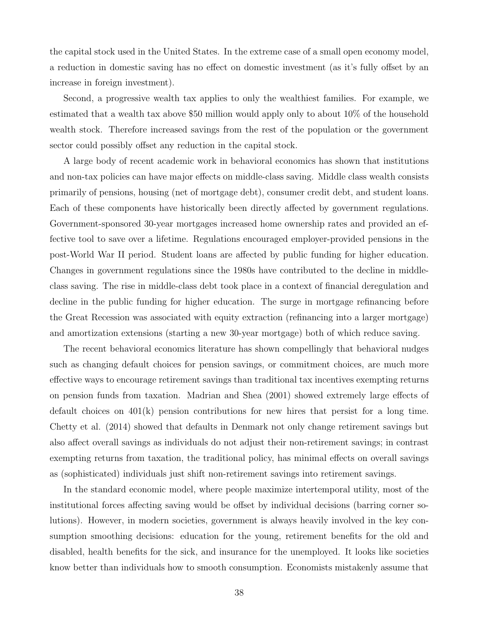the capital stock used in the United States. In the extreme case of a small open economy model, a reduction in domestic saving has no effect on domestic investment (as it's fully offset by an increase in foreign investment).

Second, a progressive wealth tax applies to only the wealthiest families. For example, we estimated that a wealth tax above \$50 million would apply only to about 10% of the household wealth stock. Therefore increased savings from the rest of the population or the government sector could possibly offset any reduction in the capital stock.

A large body of recent academic work in behavioral economics has shown that institutions and non-tax policies can have major effects on middle-class saving. Middle class wealth consists primarily of pensions, housing (net of mortgage debt), consumer credit debt, and student loans. Each of these components have historically been directly affected by government regulations. Government-sponsored 30-year mortgages increased home ownership rates and provided an effective tool to save over a lifetime. Regulations encouraged employer-provided pensions in the post-World War II period. Student loans are affected by public funding for higher education. Changes in government regulations since the 1980s have contributed to the decline in middleclass saving. The rise in middle-class debt took place in a context of financial deregulation and decline in the public funding for higher education. The surge in mortgage refinancing before the Great Recession was associated with equity extraction (refinancing into a larger mortgage) and amortization extensions (starting a new 30-year mortgage) both of which reduce saving.

The recent behavioral economics literature has shown compellingly that behavioral nudges such as changing default choices for pension savings, or commitment choices, are much more effective ways to encourage retirement savings than traditional tax incentives exempting returns on pension funds from taxation. Madrian and Shea (2001) showed extremely large effects of default choices on 401(k) pension contributions for new hires that persist for a long time. Chetty et al. (2014) showed that defaults in Denmark not only change retirement savings but also affect overall savings as individuals do not adjust their non-retirement savings; in contrast exempting returns from taxation, the traditional policy, has minimal effects on overall savings as (sophisticated) individuals just shift non-retirement savings into retirement savings.

In the standard economic model, where people maximize intertemporal utility, most of the institutional forces affecting saving would be offset by individual decisions (barring corner solutions). However, in modern societies, government is always heavily involved in the key consumption smoothing decisions: education for the young, retirement benefits for the old and disabled, health benefits for the sick, and insurance for the unemployed. It looks like societies know better than individuals how to smooth consumption. Economists mistakenly assume that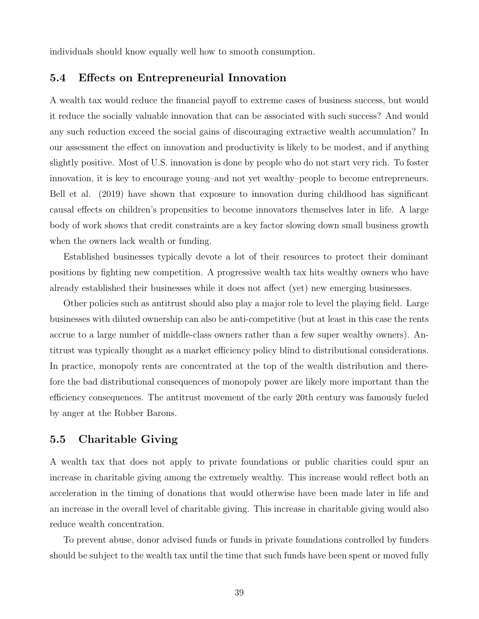individuals should know equally well how to smooth consumption.

#### 5.4 Effects on Entrepreneurial Innovation

A wealth tax would reduce the financial payoff to extreme cases of business success, but would it reduce the socially valuable innovation that can be associated with such success? And would any such reduction exceed the social gains of discouraging extractive wealth accumulation? In our assessment the effect on innovation and productivity is likely to be modest, and if anything slightly positive. Most of U.S. innovation is done by people who do not start very rich. To foster innovation, it is key to encourage young–and not yet wealthy–people to become entrepreneurs. Bell et al. (2019) have shown that exposure to innovation during childhood has significant causal effects on children's propensities to become innovators themselves later in life. A large body of work shows that credit constraints are a key factor slowing down small business growth when the owners lack wealth or funding.

Established businesses typically devote a lot of their resources to protect their dominant positions by fighting new competition. A progressive wealth tax hits wealthy owners who have already established their businesses while it does not affect (yet) new emerging businesses.

Other policies such as antitrust should also play a major role to level the playing field. Large businesses with diluted ownership can also be anti-competitive (but at least in this case the rents accrue to a large number of middle-class owners rather than a few super wealthy owners). Antitrust was typically thought as a market efficiency policy blind to distributional considerations. In practice, monopoly rents are concentrated at the top of the wealth distribution and therefore the bad distributional consequences of monopoly power are likely more important than the efficiency consequences. The antitrust movement of the early 20th century was famously fueled by anger at the Robber Barons.

#### 5.5 Charitable Giving

A wealth tax that does not apply to private foundations or public charities could spur an increase in charitable giving among the extremely wealthy. This increase would reflect both an acceleration in the timing of donations that would otherwise have been made later in life and an increase in the overall level of charitable giving. This increase in charitable giving would also reduce wealth concentration.

To prevent abuse, donor advised funds or funds in private foundations controlled by funders should be subject to the wealth tax until the time that such funds have been spent or moved fully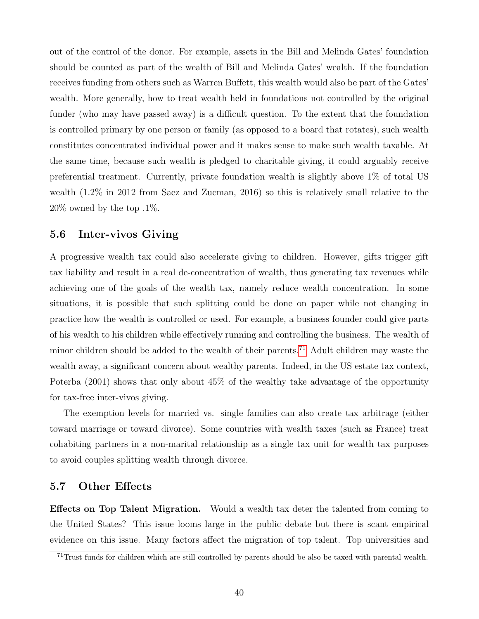out of the control of the donor. For example, assets in the Bill and Melinda Gates' foundation should be counted as part of the wealth of Bill and Melinda Gates' wealth. If the foundation receives funding from others such as Warren Buffett, this wealth would also be part of the Gates' wealth. More generally, how to treat wealth held in foundations not controlled by the original funder (who may have passed away) is a difficult question. To the extent that the foundation is controlled primary by one person or family (as opposed to a board that rotates), such wealth constitutes concentrated individual power and it makes sense to make such wealth taxable. At the same time, because such wealth is pledged to charitable giving, it could arguably receive preferential treatment. Currently, private foundation wealth is slightly above 1% of total US wealth (1.2% in 2012 from Saez and Zucman, 2016) so this is relatively small relative to the  $20\%$  owned by the top .1%.

#### 5.6 Inter-vivos Giving

A progressive wealth tax could also accelerate giving to children. However, gifts trigger gift tax liability and result in a real de-concentration of wealth, thus generating tax revenues while achieving one of the goals of the wealth tax, namely reduce wealth concentration. In some situations, it is possible that such splitting could be done on paper while not changing in practice how the wealth is controlled or used. For example, a business founder could give parts of his wealth to his children while effectively running and controlling the business. The wealth of minor children should be added to the wealth of their parents.<sup>[71](#page-2-0)</sup> Adult children may waste the wealth away, a significant concern about wealthy parents. Indeed, in the US estate tax context, Poterba (2001) shows that only about 45% of the wealthy take advantage of the opportunity for tax-free inter-vivos giving.

The exemption levels for married vs. single families can also create tax arbitrage (either toward marriage or toward divorce). Some countries with wealth taxes (such as France) treat cohabiting partners in a non-marital relationship as a single tax unit for wealth tax purposes to avoid couples splitting wealth through divorce.

## 5.7 Other Effects

Effects on Top Talent Migration. Would a wealth tax deter the talented from coming to the United States? This issue looms large in the public debate but there is scant empirical evidence on this issue. Many factors affect the migration of top talent. Top universities and

<sup>&</sup>lt;sup>71</sup>Trust funds for children which are still controlled by parents should be also be taxed with parental wealth.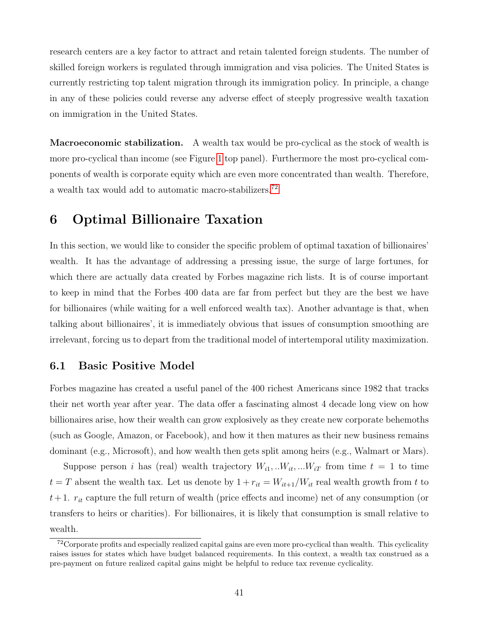research centers are a key factor to attract and retain talented foreign students. The number of skilled foreign workers is regulated through immigration and visa policies. The United States is currently restricting top talent migration through its immigration policy. In principle, a change in any of these policies could reverse any adverse effect of steeply progressive wealth taxation on immigration in the United States.

Macroeconomic stabilization. A wealth tax would be pro-cyclical as the stock of wealth is more pro-cyclical than income (see Figure [1](#page-61-0) top panel). Furthermore the most pro-cyclical components of wealth is corporate equity which are even more concentrated than wealth. Therefore, a wealth tax would add to automatic macro-stabilizers.<sup>[72](#page-2-0)</sup>

## 6 Optimal Billionaire Taxation

In this section, we would like to consider the specific problem of optimal taxation of billionaires' wealth. It has the advantage of addressing a pressing issue, the surge of large fortunes, for which there are actually data created by Forbes magazine rich lists. It is of course important to keep in mind that the Forbes 400 data are far from perfect but they are the best we have for billionaires (while waiting for a well enforced wealth tax). Another advantage is that, when talking about billionaires', it is immediately obvious that issues of consumption smoothing are irrelevant, forcing us to depart from the traditional model of intertemporal utility maximization.

#### 6.1 Basic Positive Model

Forbes magazine has created a useful panel of the 400 richest Americans since 1982 that tracks their net worth year after year. The data offer a fascinating almost 4 decade long view on how billionaires arise, how their wealth can grow explosively as they create new corporate behemoths (such as Google, Amazon, or Facebook), and how it then matures as their new business remains dominant (e.g., Microsoft), and how wealth then gets split among heirs (e.g., Walmart or Mars).

Suppose person i has (real) wealth trajectory  $W_{i1}, W_{it}$ ,  $W_{iT}$  from time  $t = 1$  to time  $t = T$  absent the wealth tax. Let us denote by  $1 + r_{it} = W_{it+1}/W_{it}$  real wealth growth from t to  $t+1$ .  $r_{it}$  capture the full return of wealth (price effects and income) net of any consumption (or transfers to heirs or charities). For billionaires, it is likely that consumption is small relative to wealth.

<sup>72</sup>Corporate profits and especially realized capital gains are even more pro-cyclical than wealth. This cyclicality raises issues for states which have budget balanced requirements. In this context, a wealth tax construed as a pre-payment on future realized capital gains might be helpful to reduce tax revenue cyclicality.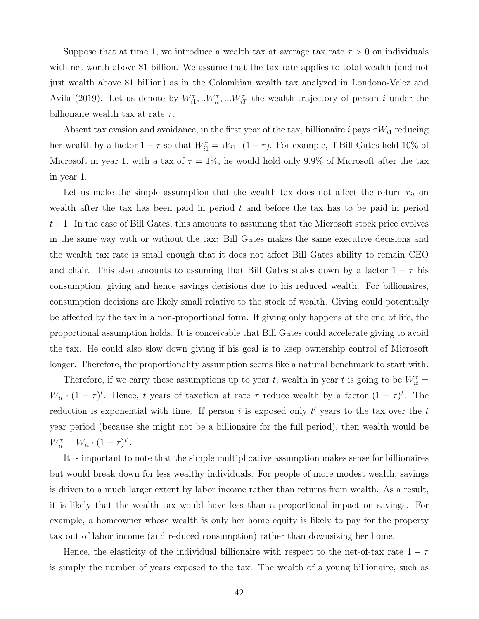Suppose that at time 1, we introduce a wealth tax at average tax rate  $\tau > 0$  on individuals with net worth above \$1 billion. We assume that the tax rate applies to total wealth (and not just wealth above \$1 billion) as in the Colombian wealth tax analyzed in Londono-Velez and Avila (2019). Let us denote by  $W_{i1}^{\tau}$ ,  $W_{it}^{\tau}$ ,  $W_{iT}^{\tau}$  the wealth trajectory of person *i* under the billionaire wealth tax at rate  $\tau$ .

Absent tax evasion and avoidance, in the first year of the tax, billionaire i pays  $\tau W_{i1}$  reducing her wealth by a factor  $1 - \tau$  so that  $W_{i1}^{\tau} = W_{i1} \cdot (1 - \tau)$ . For example, if Bill Gates held 10% of Microsoft in year 1, with a tax of  $\tau = 1\%$ , he would hold only 9.9% of Microsoft after the tax in year 1.

Let us make the simple assumption that the wealth tax does not affect the return  $r_{it}$  on wealth after the tax has been paid in period  $t$  and before the tax has to be paid in period  $t+1$ . In the case of Bill Gates, this amounts to assuming that the Microsoft stock price evolves in the same way with or without the tax: Bill Gates makes the same executive decisions and the wealth tax rate is small enough that it does not affect Bill Gates ability to remain CEO and chair. This also amounts to assuming that Bill Gates scales down by a factor  $1 - \tau$  his consumption, giving and hence savings decisions due to his reduced wealth. For billionaires, consumption decisions are likely small relative to the stock of wealth. Giving could potentially be affected by the tax in a non-proportional form. If giving only happens at the end of life, the proportional assumption holds. It is conceivable that Bill Gates could accelerate giving to avoid the tax. He could also slow down giving if his goal is to keep ownership control of Microsoft longer. Therefore, the proportionality assumption seems like a natural benchmark to start with.

Therefore, if we carry these assumptions up to year t, wealth in year t is going to be  $W_{it}^{\tau} =$  $W_{it} \cdot (1-\tau)^t$ . Hence, t years of taxation at rate  $\tau$  reduce wealth by a factor  $(1-\tau)^t$ . The reduction is exponential with time. If person i is exposed only  $t'$  years to the tax over the  $t$ year period (because she might not be a billionaire for the full period), then wealth would be  $W_{it}^{\tau} = W_{it} \cdot (1 - \tau)^{t'}$ .

It is important to note that the simple multiplicative assumption makes sense for billionaires but would break down for less wealthy individuals. For people of more modest wealth, savings is driven to a much larger extent by labor income rather than returns from wealth. As a result, it is likely that the wealth tax would have less than a proportional impact on savings. For example, a homeowner whose wealth is only her home equity is likely to pay for the property tax out of labor income (and reduced consumption) rather than downsizing her home.

Hence, the elasticity of the individual billionaire with respect to the net-of-tax rate  $1 - \tau$ is simply the number of years exposed to the tax. The wealth of a young billionaire, such as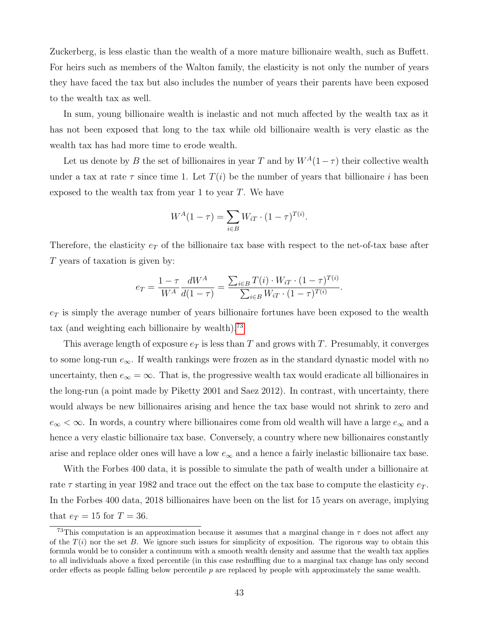Zuckerberg, is less elastic than the wealth of a more mature billionaire wealth, such as Buffett. For heirs such as members of the Walton family, the elasticity is not only the number of years they have faced the tax but also includes the number of years their parents have been exposed to the wealth tax as well.

In sum, young billionaire wealth is inelastic and not much affected by the wealth tax as it has not been exposed that long to the tax while old billionaire wealth is very elastic as the wealth tax has had more time to erode wealth.

Let us denote by B the set of billionaires in year T and by  $W^A(1-\tau)$  their collective wealth under a tax at rate  $\tau$  since time 1. Let  $T(i)$  be the number of years that billionaire i has been exposed to the wealth tax from year 1 to year  $T$ . We have

$$
W^{A}(1-\tau) = \sum_{i \in B} W_{iT} \cdot (1-\tau)^{T(i)}.
$$

Therefore, the elasticity  $e_T$  of the billionaire tax base with respect to the net-of-tax base after T years of taxation is given by:

$$
e_T = \frac{1 - \tau}{W^A} \frac{dW^A}{d(1 - \tau)} = \frac{\sum_{i \in B} T(i) \cdot W_{iT} \cdot (1 - \tau)^{T(i)}}{\sum_{i \in B} W_{iT} \cdot (1 - \tau)^{T(i)}}.
$$

 $e_T$  is simply the average number of years billionaire fortunes have been exposed to the wealth tax (and weighting each billionaire by wealth).[73](#page-2-0)

This average length of exposure  $e_T$  is less than T and grows with T. Presumably, it converges to some long-run  $e_{\infty}$ . If wealth rankings were frozen as in the standard dynastic model with no uncertainty, then  $e_{\infty} = \infty$ . That is, the progressive wealth tax would eradicate all billionaires in the long-run (a point made by Piketty 2001 and Saez 2012). In contrast, with uncertainty, there would always be new billionaires arising and hence the tax base would not shrink to zero and  $e_{\infty} < \infty$ . In words, a country where billionaires come from old wealth will have a large  $e_{\infty}$  and a hence a very elastic billionaire tax base. Conversely, a country where new billionaires constantly arise and replace older ones will have a low  $e_{\infty}$  and a hence a fairly inelastic billionaire tax base.

With the Forbes 400 data, it is possible to simulate the path of wealth under a billionaire at rate  $\tau$  starting in year 1982 and trace out the effect on the tax base to compute the elasticity  $e_T$ . In the Forbes 400 data, 2018 billionaires have been on the list for 15 years on average, implying that  $e_T = 15$  for  $T = 36$ .

<sup>&</sup>lt;sup>73</sup>This computation is an approximation because it assumes that a marginal change in  $\tau$  does not affect any of the  $T(i)$  nor the set B. We ignore such issues for simplicity of exposition. The rigorous way to obtain this formula would be to consider a continuum with a smooth wealth density and assume that the wealth tax applies to all individuals above a fixed percentile (in this case reshuffling due to a marginal tax change has only second order effects as people falling below percentile  $p$  are replaced by people with approximately the same wealth.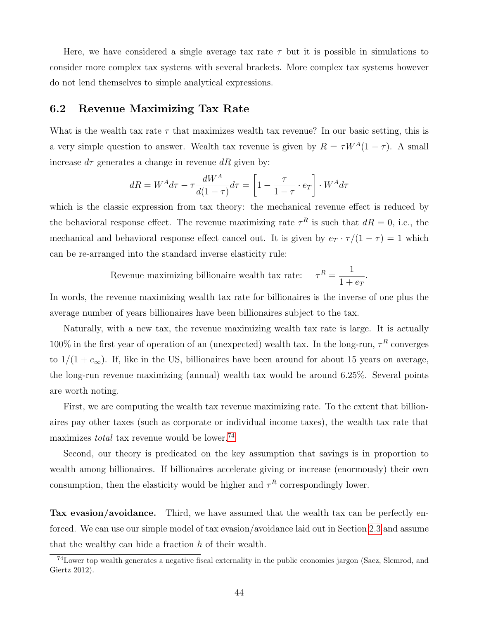Here, we have considered a single average tax rate  $\tau$  but it is possible in simulations to consider more complex tax systems with several brackets. More complex tax systems however do not lend themselves to simple analytical expressions.

#### 6.2 Revenue Maximizing Tax Rate

What is the wealth tax rate  $\tau$  that maximizes wealth tax revenue? In our basic setting, this is a very simple question to answer. Wealth tax revenue is given by  $R = \tau W^A(1 - \tau)$ . A small increase  $d\tau$  generates a change in revenue  $dR$  given by:

$$
dR = W^A d\tau - \tau \frac{dW^A}{d(1-\tau)} d\tau = \left[1 - \frac{\tau}{1-\tau} \cdot e_T\right] \cdot W^A d\tau
$$

which is the classic expression from tax theory: the mechanical revenue effect is reduced by the behavioral response effect. The revenue maximizing rate  $\tau^R$  is such that  $dR = 0$ , i.e., the mechanical and behavioral response effect cancel out. It is given by  $e_T \cdot \tau/(1 - \tau) = 1$  which can be re-arranged into the standard inverse elasticity rule:

Revenue maximizing billionaire wealth tax rate: 
$$
\tau^R = \frac{1}{1 + e_T}.
$$

In words, the revenue maximizing wealth tax rate for billionaires is the inverse of one plus the average number of years billionaires have been billionaires subject to the tax.

Naturally, with a new tax, the revenue maximizing wealth tax rate is large. It is actually 100% in the first year of operation of an (unexpected) wealth tax. In the long-run,  $\tau^R$  converges to  $1/(1 + e_{\infty})$ . If, like in the US, billionaires have been around for about 15 years on average, the long-run revenue maximizing (annual) wealth tax would be around 6.25%. Several points are worth noting.

First, we are computing the wealth tax revenue maximizing rate. To the extent that billionaires pay other taxes (such as corporate or individual income taxes), the wealth tax rate that maximizes *total* tax revenue would be lower.<sup>[74](#page-2-0)</sup>

Second, our theory is predicated on the key assumption that savings is in proportion to wealth among billionaires. If billionaires accelerate giving or increase (enormously) their own consumption, then the elasticity would be higher and  $\tau^R$  correspondingly lower.

Tax evasion/avoidance. Third, we have assumed that the wealth tax can be perfectly enforced. We can use our simple model of tax evasion/avoidance laid out in Section [2.3](#page-16-0) and assume that the wealthy can hide a fraction h of their wealth.

<sup>74</sup>Lower top wealth generates a negative fiscal externality in the public economics jargon (Saez, Slemrod, and Giertz 2012).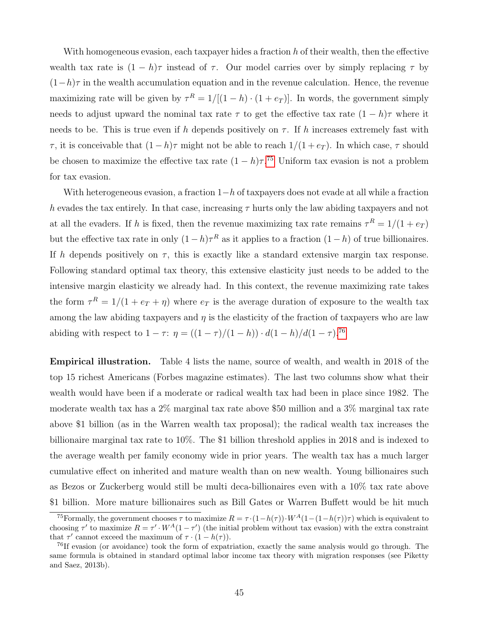With homogeneous evasion, each taxpayer hides a fraction  $h$  of their wealth, then the effective wealth tax rate is  $(1-h)\tau$  instead of  $\tau$ . Our model carries over by simply replacing  $\tau$  by  $(1-h)\tau$  in the wealth accumulation equation and in the revenue calculation. Hence, the revenue maximizing rate will be given by  $\tau^R = 1/[(1-h) \cdot (1+e_T)]$ . In words, the government simply needs to adjust upward the nominal tax rate  $\tau$  to get the effective tax rate  $(1-h)\tau$  where it needs to be. This is true even if h depends positively on  $\tau$ . If h increases extremely fast with  $\tau$ , it is conceivable that  $(1-h)\tau$  might not be able to reach  $1/(1+e_T)$ . In which case,  $\tau$  should be chosen to maximize the effective tax rate  $(1-h)\tau$ .<sup>[75](#page-2-0)</sup> Uniform tax evasion is not a problem for tax evasion.

With heterogeneous evasion, a fraction  $1-h$  of taxpayers does not evade at all while a fraction h evades the tax entirely. In that case, increasing  $\tau$  hurts only the law abiding taxpayers and not at all the evaders. If h is fixed, then the revenue maximizing tax rate remains  $\tau^R = 1/(1 + e_T)$ but the effective tax rate in only  $(1-h)\tau^R$  as it applies to a fraction  $(1-h)$  of true billionaires. If h depends positively on  $\tau$ , this is exactly like a standard extensive margin tax response. Following standard optimal tax theory, this extensive elasticity just needs to be added to the intensive margin elasticity we already had. In this context, the revenue maximizing rate takes the form  $\tau^R = 1/(1 + e_T + \eta)$  where  $e_T$  is the average duration of exposure to the wealth tax among the law abiding taxpayers and  $\eta$  is the elasticity of the fraction of taxpayers who are law abiding with respect to  $1 - \tau$ :  $\eta = ((1 - \tau)/(1 - h)) \cdot d(1 - h)/d(1 - \tau)$ .<sup>[76](#page-2-0)</sup>

Empirical illustration. Table 4 lists the name, source of wealth, and wealth in 2018 of the top 15 richest Americans (Forbes magazine estimates). The last two columns show what their wealth would have been if a moderate or radical wealth tax had been in place since 1982. The moderate wealth tax has a 2% marginal tax rate above \$50 million and a 3% marginal tax rate above \$1 billion (as in the Warren wealth tax proposal); the radical wealth tax increases the billionaire marginal tax rate to 10%. The \$1 billion threshold applies in 2018 and is indexed to the average wealth per family economy wide in prior years. The wealth tax has a much larger cumulative effect on inherited and mature wealth than on new wealth. Young billionaires such as Bezos or Zuckerberg would still be multi deca-billionaires even with a 10% tax rate above \$1 billion. More mature billionaires such as Bill Gates or Warren Buffett would be hit much

<sup>&</sup>lt;sup>75</sup>Formally, the government chooses  $\tau$  to maximize  $R = \tau \cdot (1-h(\tau)) \cdot W^A (1-(1-h(\tau))\tau)$  which is equivalent to choosing  $\tau'$  to maximize  $R = \tau' \cdot W^A(1 - \tau')$  (the initial problem without tax evasion) with the extra constraint that  $\tau'$  cannot exceed the maximum of  $\tau \cdot (1 - h(\tau))$ .

<sup>&</sup>lt;sup>76</sup>If evasion (or avoidance) took the form of expatriation, exactly the same analysis would go through. The same formula is obtained in standard optimal labor income tax theory with migration responses (see Piketty and Saez, 2013b).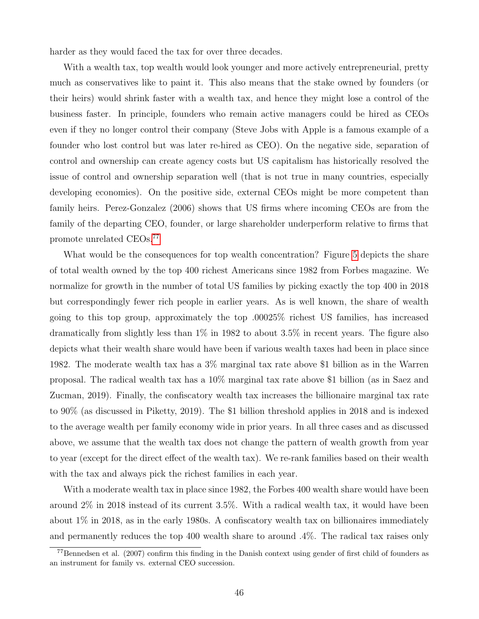harder as they would faced the tax for over three decades.

With a wealth tax, top wealth would look younger and more actively entrepreneurial, pretty much as conservatives like to paint it. This also means that the stake owned by founders (or their heirs) would shrink faster with a wealth tax, and hence they might lose a control of the business faster. In principle, founders who remain active managers could be hired as CEOs even if they no longer control their company (Steve Jobs with Apple is a famous example of a founder who lost control but was later re-hired as CEO). On the negative side, separation of control and ownership can create agency costs but US capitalism has historically resolved the issue of control and ownership separation well (that is not true in many countries, especially developing economies). On the positive side, external CEOs might be more competent than family heirs. Perez-Gonzalez (2006) shows that US firms where incoming CEOs are from the family of the departing CEO, founder, or large shareholder underperform relative to firms that promote unrelated CEOs.[77](#page-2-0)

What would be the consequences for top wealth concentration? Figure [5](#page-65-0) depicts the share of total wealth owned by the top 400 richest Americans since 1982 from Forbes magazine. We normalize for growth in the number of total US families by picking exactly the top 400 in 2018 but correspondingly fewer rich people in earlier years. As is well known, the share of wealth going to this top group, approximately the top .00025% richest US families, has increased dramatically from slightly less than 1% in 1982 to about 3.5% in recent years. The figure also depicts what their wealth share would have been if various wealth taxes had been in place since 1982. The moderate wealth tax has a 3% marginal tax rate above \$1 billion as in the Warren proposal. The radical wealth tax has a 10% marginal tax rate above \$1 billion (as in Saez and Zucman, 2019). Finally, the confiscatory wealth tax increases the billionaire marginal tax rate to 90% (as discussed in Piketty, 2019). The \$1 billion threshold applies in 2018 and is indexed to the average wealth per family economy wide in prior years. In all three cases and as discussed above, we assume that the wealth tax does not change the pattern of wealth growth from year to year (except for the direct effect of the wealth tax). We re-rank families based on their wealth with the tax and always pick the richest families in each year.

With a moderate wealth tax in place since 1982, the Forbes 400 wealth share would have been around 2% in 2018 instead of its current 3.5%. With a radical wealth tax, it would have been about 1% in 2018, as in the early 1980s. A confiscatory wealth tax on billionaires immediately and permanently reduces the top 400 wealth share to around .4%. The radical tax raises only

<sup>77</sup>Bennedsen et al. (2007) confirm this finding in the Danish context using gender of first child of founders as an instrument for family vs. external CEO succession.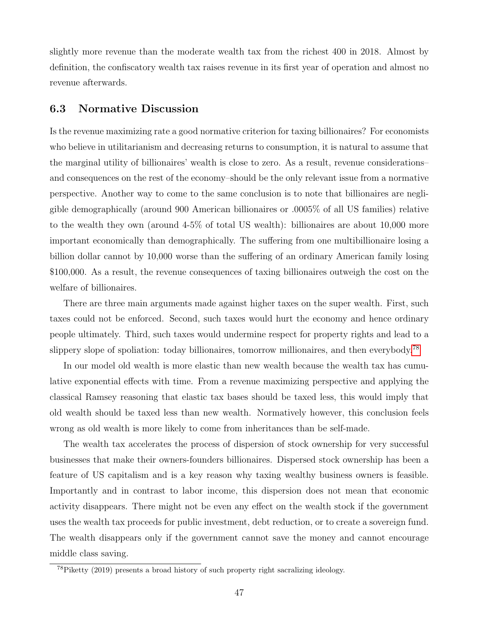slightly more revenue than the moderate wealth tax from the richest 400 in 2018. Almost by definition, the confiscatory wealth tax raises revenue in its first year of operation and almost no revenue afterwards.

#### 6.3 Normative Discussion

Is the revenue maximizing rate a good normative criterion for taxing billionaires? For economists who believe in utilitarianism and decreasing returns to consumption, it is natural to assume that the marginal utility of billionaires' wealth is close to zero. As a result, revenue considerations– and consequences on the rest of the economy–should be the only relevant issue from a normative perspective. Another way to come to the same conclusion is to note that billionaires are negligible demographically (around 900 American billionaires or .0005% of all US families) relative to the wealth they own (around 4-5% of total US wealth): billionaires are about 10,000 more important economically than demographically. The suffering from one multibillionaire losing a billion dollar cannot by 10,000 worse than the suffering of an ordinary American family losing \$100,000. As a result, the revenue consequences of taxing billionaires outweigh the cost on the welfare of billionaires.

There are three main arguments made against higher taxes on the super wealth. First, such taxes could not be enforced. Second, such taxes would hurt the economy and hence ordinary people ultimately. Third, such taxes would undermine respect for property rights and lead to a slippery slope of spoliation: today billionaires, tomorrow millionaires, and then everybody.<sup>[78](#page-2-0)</sup>

In our model old wealth is more elastic than new wealth because the wealth tax has cumulative exponential effects with time. From a revenue maximizing perspective and applying the classical Ramsey reasoning that elastic tax bases should be taxed less, this would imply that old wealth should be taxed less than new wealth. Normatively however, this conclusion feels wrong as old wealth is more likely to come from inheritances than be self-made.

The wealth tax accelerates the process of dispersion of stock ownership for very successful businesses that make their owners-founders billionaires. Dispersed stock ownership has been a feature of US capitalism and is a key reason why taxing wealthy business owners is feasible. Importantly and in contrast to labor income, this dispersion does not mean that economic activity disappears. There might not be even any effect on the wealth stock if the government uses the wealth tax proceeds for public investment, debt reduction, or to create a sovereign fund. The wealth disappears only if the government cannot save the money and cannot encourage middle class saving.

<sup>78</sup>Piketty (2019) presents a broad history of such property right sacralizing ideology.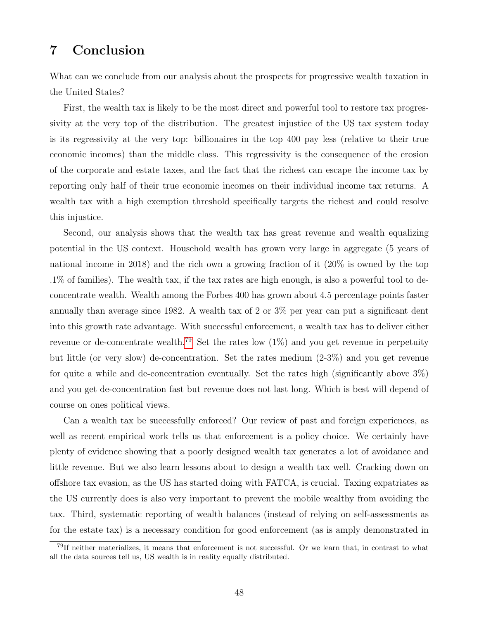## 7 Conclusion

What can we conclude from our analysis about the prospects for progressive wealth taxation in the United States?

First, the wealth tax is likely to be the most direct and powerful tool to restore tax progressivity at the very top of the distribution. The greatest injustice of the US tax system today is its regressivity at the very top: billionaires in the top 400 pay less (relative to their true economic incomes) than the middle class. This regressivity is the consequence of the erosion of the corporate and estate taxes, and the fact that the richest can escape the income tax by reporting only half of their true economic incomes on their individual income tax returns. A wealth tax with a high exemption threshold specifically targets the richest and could resolve this injustice.

Second, our analysis shows that the wealth tax has great revenue and wealth equalizing potential in the US context. Household wealth has grown very large in aggregate (5 years of national income in 2018) and the rich own a growing fraction of it (20% is owned by the top .1% of families). The wealth tax, if the tax rates are high enough, is also a powerful tool to deconcentrate wealth. Wealth among the Forbes 400 has grown about 4.5 percentage points faster annually than average since 1982. A wealth tax of 2 or 3% per year can put a significant dent into this growth rate advantage. With successful enforcement, a wealth tax has to deliver either revenue or de-concentrate wealth.<sup>[79](#page-2-0)</sup> Set the rates low  $(1\%)$  and you get revenue in perpetuity but little (or very slow) de-concentration. Set the rates medium (2-3%) and you get revenue for quite a while and de-concentration eventually. Set the rates high (significantly above  $3\%$ ) and you get de-concentration fast but revenue does not last long. Which is best will depend of course on ones political views.

Can a wealth tax be successfully enforced? Our review of past and foreign experiences, as well as recent empirical work tells us that enforcement is a policy choice. We certainly have plenty of evidence showing that a poorly designed wealth tax generates a lot of avoidance and little revenue. But we also learn lessons about to design a wealth tax well. Cracking down on offshore tax evasion, as the US has started doing with FATCA, is crucial. Taxing expatriates as the US currently does is also very important to prevent the mobile wealthy from avoiding the tax. Third, systematic reporting of wealth balances (instead of relying on self-assessments as for the estate tax) is a necessary condition for good enforcement (as is amply demonstrated in

<sup>79</sup>If neither materializes, it means that enforcement is not successful. Or we learn that, in contrast to what all the data sources tell us, US wealth is in reality equally distributed.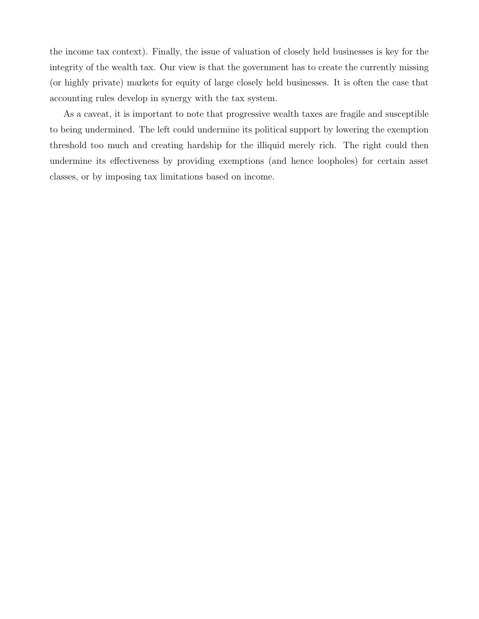the income tax context). Finally, the issue of valuation of closely held businesses is key for the integrity of the wealth tax. Our view is that the government has to create the currently missing (or highly private) markets for equity of large closely held businesses. It is often the case that accounting rules develop in synergy with the tax system.

As a caveat, it is important to note that progressive wealth taxes are fragile and susceptible to being undermined. The left could undermine its political support by lowering the exemption threshold too much and creating hardship for the illiquid merely rich. The right could then undermine its effectiveness by providing exemptions (and hence loopholes) for certain asset classes, or by imposing tax limitations based on income.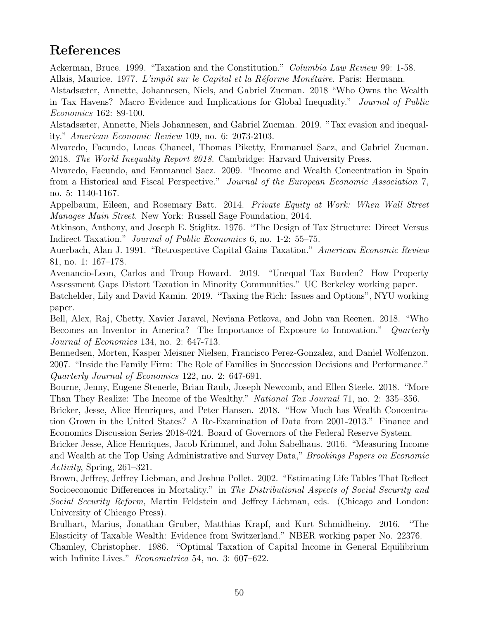# References

Ackerman, Bruce. 1999. "Taxation and the Constitution." Columbia Law Review 99: 1-58. Allais, Maurice. 1977. L'impôt sur le Capital et la Réforme Monétaire. Paris: Hermann.

Alstadsæter, Annette, Johannesen, Niels, and Gabriel Zucman. 2018 "Who Owns the Wealth in Tax Havens? Macro Evidence and Implications for Global Inequality." Journal of Public Economics 162: 89-100.

Alstadsæter, Annette, Niels Johannesen, and Gabriel Zucman. 2019. "Tax evasion and inequality." American Economic Review 109, no. 6: 2073-2103.

Alvaredo, Facundo, Lucas Chancel, Thomas Piketty, Emmanuel Saez, and Gabriel Zucman. 2018. The World Inequality Report 2018. Cambridge: Harvard University Press.

Alvaredo, Facundo, and Emmanuel Saez. 2009. "Income and Wealth Concentration in Spain from a Historical and Fiscal Perspective." Journal of the European Economic Association 7, no. 5: 1140-1167.

Appelbaum, Eileen, and Rosemary Batt. 2014. Private Equity at Work: When Wall Street Manages Main Street. New York: Russell Sage Foundation, 2014.

Atkinson, Anthony, and Joseph E. Stiglitz. 1976. "The Design of Tax Structure: Direct Versus Indirect Taxation." *Journal of Public Economics* 6, no. 1-2: 55–75.

Auerbach, Alan J. 1991. "Retrospective Capital Gains Taxation." American Economic Review 81, no. 1: 167–178.

Avenancio-Leon, Carlos and Troup Howard. 2019. "Unequal Tax Burden? How Property Assessment Gaps Distort Taxation in Minority Communities." UC Berkeley working paper.

Batchelder, Lily and David Kamin. 2019. "Taxing the Rich: Issues and Options", NYU working paper.

Bell, Alex, Raj, Chetty, Xavier Jaravel, Neviana Petkova, and John van Reenen. 2018. "Who Becomes an Inventor in America? The Importance of Exposure to Innovation." Quarterly Journal of Economics 134, no. 2: 647-713.

Bennedsen, Morten, Kasper Meisner Nielsen, Francisco Perez-Gonzalez, and Daniel Wolfenzon. 2007. "Inside the Family Firm: The Role of Families in Succession Decisions and Performance." Quarterly Journal of Economics 122, no. 2: 647-691.

Bourne, Jenny, Eugene Steuerle, Brian Raub, Joseph Newcomb, and Ellen Steele. 2018. "More Than They Realize: The Income of the Wealthy." National Tax Journal 71, no. 2: 335–356.

Bricker, Jesse, Alice Henriques, and Peter Hansen. 2018. "How Much has Wealth Concentration Grown in the United States? A Re-Examination of Data from 2001-2013." Finance and Economics Discussion Series 2018-024. Board of Governors of the Federal Reserve System.

Bricker Jesse, Alice Henriques, Jacob Krimmel, and John Sabelhaus. 2016. "Measuring Income and Wealth at the Top Using Administrative and Survey Data," Brookings Papers on Economic Activity, Spring, 261–321.

Brown, Jeffrey, Jeffrey Liebman, and Joshua Pollet. 2002. "Estimating Life Tables That Reflect Socioeconomic Differences in Mortality." in The Distributional Aspects of Social Security and Social Security Reform, Martin Feldstein and Jeffrey Liebman, eds. (Chicago and London: University of Chicago Press).

Brulhart, Marius, Jonathan Gruber, Matthias Krapf, and Kurt Schmidheiny. 2016. "The Elasticity of Taxable Wealth: Evidence from Switzerland." NBER working paper No. 22376.

Chamley, Christopher. 1986. "Optimal Taxation of Capital Income in General Equilibrium with Infinite Lives." *Econometrica* 54, no. 3: 607–622.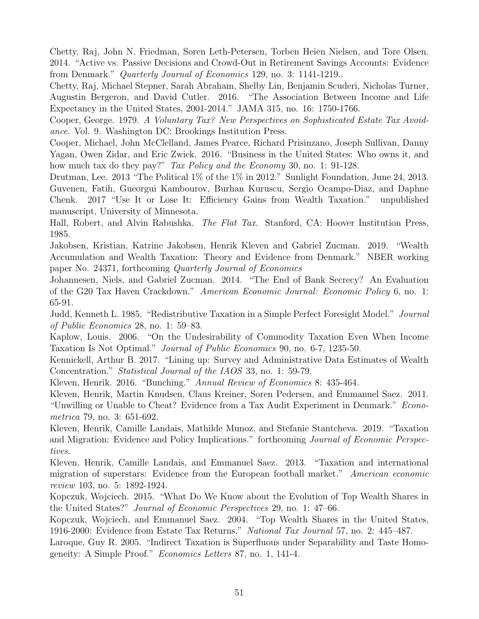Chetty, Raj, John N. Friedman, Soren Leth-Petersen, Torben Heien Nielsen, and Tore Olsen. 2014. "Active vs. Passive Decisions and Crowd-Out in Retirement Savings Accounts: Evidence from Denmark." Quarterly Journal of Economics 129, no. 3: 1141-1219..

Chetty, Raj, Michael Stepner, Sarah Abraham, Shelby Lin, Benjamin Scuderi, Nicholas Turner, Augustin Bergeron, and David Cutler. 2016. "The Association Between Income and Life Expectancy in the United States, 2001-2014." JAMA 315, no. 16: 1750-1766.

Cooper, George. 1979. A Voluntary Tax? New Perspectives on Sophisticated Estate Tax Avoidance. Vol. 9. Washington DC: Brookings Institution Press.

Cooper, Michael, John McClelland, James Pearce, Richard Prisinzano, Joseph Sullivan, Danny Yagan, Owen Zidar, and Eric Zwick. 2016. "Business in the United States: Who owns it, and how much tax do they pay?" Tax Policy and the Economy 30, no. 1: 91-128.

Drutman, Lee. 2013 "The Political 1% of the 1% in 2012." Sunlight Foundation, June 24, 2013. Guvenen, Fatih, Gueorgui Kambourov, Burhan Kuruscu, Sergio Ocampo-Diaz, and Daphne Chenk. 2017 "Use It or Lose It: Efficiency Gains from Wealth Taxation." unpublished manuscript, University of Minnesota.

Hall, Robert, and Alvin Rabushka. *The Flat Tax.* Stanford, CA: Hoover Institution Press, 1985.

Jakobsen, Kristian, Katrine Jakobsen, Henrik Kleven and Gabriel Zucman. 2019. "Wealth Accumulation and Wealth Taxation: Theory and Evidence from Denmark." NBER working paper No. 24371, forthcoming Quarterly Journal of Economics

Johannesen, Niels, and Gabriel Zucman. 2014. "The End of Bank Secrecy? An Evaluation of the G20 Tax Haven Crackdown." American Economic Journal: Economic Policy 6, no. 1: 65-91.

Judd, Kenneth L. 1985. "Redistributive Taxation in a Simple Perfect Foresight Model." Journal of Public Economics 28, no. 1: 59–83.

Kaplow, Louis. 2006. "On the Undesirability of Commodity Taxation Even When Income Taxation Is Not Optimal." Journal of Public Economics 90, no. 6-7, 1235-50.

Kennickell, Arthur B. 2017. "Lining up: Survey and Administrative Data Estimates of Wealth Concentration." Statistical Journal of the IAOS 33, no. 1: 59-79.

Kleven, Henrik. 2016. "Bunching." Annual Review of Economics 8: 435-464.

Kleven, Henrik, Martin Knudsen, Claus Kreiner, Soren Pedersen, and Emmanuel Saez. 2011. "Unwilling or Unable to Cheat? Evidence from a Tax Audit Experiment in Denmark." Econometrica 79, no. 3: 651-692.

Kleven, Henrik, Camille Landais, Mathilde Munoz, and Stefanie Stantcheva. 2019. "Taxation and Migration: Evidence and Policy Implications." forthcoming Journal of Economic Perspectives.

Kleven, Henrik, Camille Landais, and Emmanuel Saez. 2013. "Taxation and international migration of superstars: Evidence from the European football market." American economic review 103, no. 5: 1892-1924.

Kopczuk, Wojciech. 2015. "What Do We Know about the Evolution of Top Wealth Shares in the United States?" Journal of Economic Perspectives 29, no. 1: 47–66.

Kopczuk, Wojciech, and Emmanuel Saez. 2004. "Top Wealth Shares in the United States, 1916-2000: Evidence from Estate Tax Returns." National Tax Journal 57, no. 2: 445–487.

Laroque, Guy R. 2005. "Indirect Taxation is Superfluous under Separability and Taste Homogeneity: A Simple Proof." Economics Letters 87, no. 1, 141-4.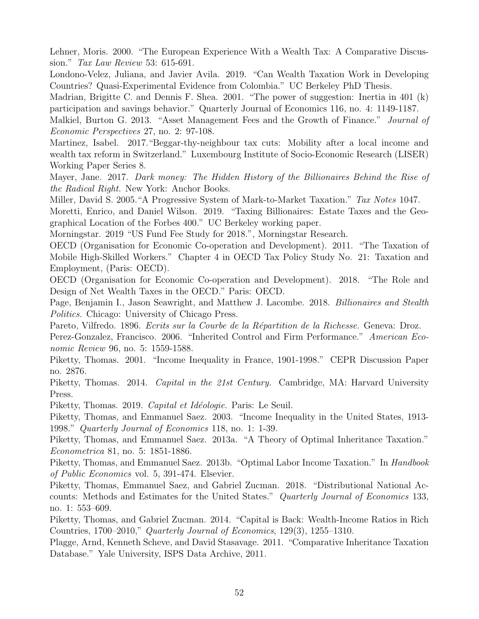Lehner, Moris. 2000. "The European Experience With a Wealth Tax: A Comparative Discussion." Tax Law Review 53: 615-691.

Londono-Velez, Juliana, and Javier Avila. 2019. "Can Wealth Taxation Work in Developing Countries? Quasi-Experimental Evidence from Colombia." UC Berkeley PhD Thesis.

Madrian, Brigitte C. and Dennis F. Shea. 2001. "The power of suggestion: Inertia in 401 (k) participation and savings behavior." Quarterly Journal of Economics 116, no. 4: 1149-1187.

Malkiel, Burton G. 2013. "Asset Management Fees and the Growth of Finance." Journal of Economic Perspectives 27, no. 2: 97-108.

Martinez, Isabel. 2017."Beggar-thy-neighbour tax cuts: Mobility after a local income and wealth tax reform in Switzerland." Luxembourg Institute of Socio-Economic Research (LISER) Working Paper Series 8.

Mayer, Jane. 2017. Dark money: The Hidden History of the Billionaires Behind the Rise of the Radical Right. New York: Anchor Books.

Miller, David S. 2005. "A Progressive System of Mark-to-Market Taxation." Tax Notes 1047.

Moretti, Enrico, and Daniel Wilson. 2019. "Taxing Billionaires: Estate Taxes and the Geographical Location of the Forbes 400." UC Berkeley working paper.

Morningstar. 2019 "US Fund Fee Study for 2018.", Morningstar Research.

OECD (Organisation for Economic Co-operation and Development). 2011. "The Taxation of Mobile High-Skilled Workers." Chapter 4 in OECD Tax Policy Study No. 21: Taxation and Employment, (Paris: OECD).

OECD (Organisation for Economic Co-operation and Development). 2018. "The Role and Design of Net Wealth Taxes in the OECD." Paris: OECD.

Page, Benjamin I., Jason Seawright, and Matthew J. Lacombe. 2018. Billionaires and Stealth Politics. Chicago: University of Chicago Press.

Pareto, Vilfredo. 1896. *Ecrits sur la Courbe de la Répartition de la Richesse*. Geneva: Droz.

Perez-Gonzalez, Francisco. 2006. "Inherited Control and Firm Performance." American Economic Review 96, no. 5: 1559-1588.

Piketty, Thomas. 2001. "Income Inequality in France, 1901-1998." CEPR Discussion Paper no. 2876.

Piketty, Thomas. 2014. Capital in the 21st Century. Cambridge, MA: Harvard University Press.

Piketty, Thomas. 2019. Capital et Idéologie. Paris: Le Seuil.

Piketty, Thomas, and Emmanuel Saez. 2003. "Income Inequality in the United States, 1913- 1998." Quarterly Journal of Economics 118, no. 1: 1-39.

Piketty, Thomas, and Emmanuel Saez. 2013a. "A Theory of Optimal Inheritance Taxation." Econometrica 81, no. 5: 1851-1886.

Piketty, Thomas, and Emmanuel Saez. 2013b. "Optimal Labor Income Taxation." In Handbook of Public Economics vol. 5, 391-474. Elsevier.

Piketty, Thomas, Emmanuel Saez, and Gabriel Zucman. 2018. "Distributional National Accounts: Methods and Estimates for the United States." Quarterly Journal of Economics 133, no. 1: 553–609.

Piketty, Thomas, and Gabriel Zucman. 2014. "Capital is Back: Wealth-Income Ratios in Rich Countries, 1700–2010," Quarterly Journal of Economics, 129(3), 1255–1310.

Plagge, Arnd, Kenneth Scheve, and David Stasavage. 2011. "Comparative Inheritance Taxation Database." Yale University, ISPS Data Archive, 2011.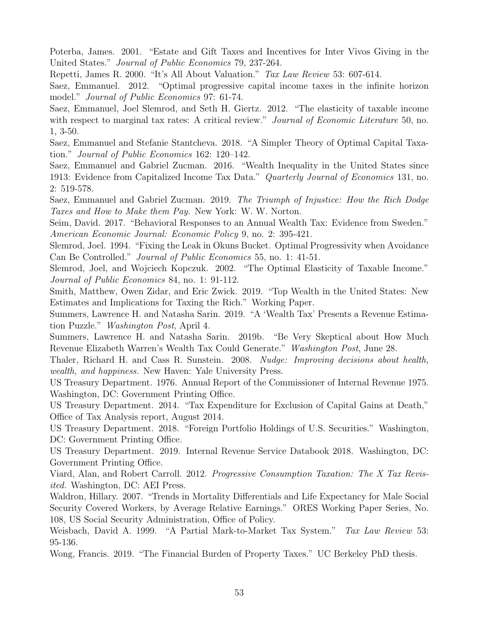Poterba, James. 2001. "Estate and Gift Taxes and Incentives for Inter Vivos Giving in the United States." Journal of Public Economics 79, 237-264.

Repetti, James R. 2000. "It's All About Valuation." Tax Law Review 53: 607-614.

Saez, Emmanuel. 2012. "Optimal progressive capital income taxes in the infinite horizon model." Journal of Public Economics 97: 61-74.

Saez, Emmanuel, Joel Slemrod, and Seth H. Giertz. 2012. "The elasticity of taxable income with respect to marginal tax rates: A critical review." *Journal of Economic Literature* 50, no. 1, 3-50.

Saez, Emmanuel and Stefanie Stantcheva. 2018. "A Simpler Theory of Optimal Capital Taxation." Journal of Public Economics 162: 120–142.

Saez, Emmanuel and Gabriel Zucman. 2016. "Wealth Inequality in the United States since 1913: Evidence from Capitalized Income Tax Data." Quarterly Journal of Economics 131, no. 2: 519-578.

Saez, Emmanuel and Gabriel Zucman. 2019. The Triumph of Injustice: How the Rich Dodge Taxes and How to Make them Pay. New York: W. W. Norton.

Seim, David. 2017. "Behavioral Responses to an Annual Wealth Tax: Evidence from Sweden." American Economic Journal: Economic Policy 9, no. 2: 395-421.

Slemrod, Joel. 1994. "Fixing the Leak in Okuns Bucket. Optimal Progressivity when Avoidance Can Be Controlled." Journal of Public Economics 55, no. 1: 41-51.

Slemrod, Joel, and Wojciech Kopczuk. 2002. "The Optimal Elasticity of Taxable Income." Journal of Public Economics 84, no. 1: 91-112.

Smith, Matthew, Owen Zidar, and Eric Zwick. 2019. "Top Wealth in the United States: New Estimates and Implications for Taxing the Rich." Working Paper.

Summers, Lawrence H. and Natasha Sarin. 2019. "A 'Wealth Tax' Presents a Revenue Estimation Puzzle." Washington Post, April 4.

Summers, Lawrence H. and Natasha Sarin. 2019b. "Be Very Skeptical about How Much Revenue Elizabeth Warren's Wealth Tax Could Generate." Washington Post, June 28.

Thaler, Richard H. and Cass R. Sunstein. 2008. Nudge: Improving decisions about health, wealth, and happiness. New Haven: Yale University Press.

US Treasury Department. 1976. Annual Report of the Commissioner of Internal Revenue 1975. Washington, DC: Government Printing Office.

US Treasury Department. 2014. "Tax Expenditure for Exclusion of Capital Gains at Death," Office of Tax Analysis report, August 2014.

US Treasury Department. 2018. "Foreign Portfolio Holdings of U.S. Securities." Washington, DC: Government Printing Office.

US Treasury Department. 2019. Internal Revenue Service Databook 2018. Washington, DC: Government Printing Office.

Viard, Alan, and Robert Carroll. 2012. Progressive Consumption Taxation: The X Tax Revisited. Washington, DC: AEI Press.

Waldron, Hillary. 2007. "Trends in Mortality Differentials and Life Expectancy for Male Social Security Covered Workers, by Average Relative Earnings." ORES Working Paper Series, No. 108, US Social Security Administration, Office of Policy.

Weisbach, David A. 1999. "A Partial Mark-to-Market Tax System." Tax Law Review 53: 95-136.

Wong, Francis. 2019. "The Financial Burden of Property Taxes." UC Berkeley PhD thesis.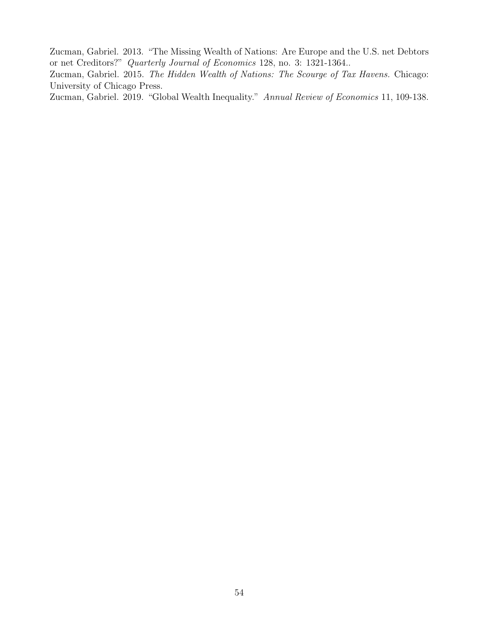Zucman, Gabriel. 2013. "The Missing Wealth of Nations: Are Europe and the U.S. net Debtors or net Creditors?" Quarterly Journal of Economics 128, no. 3: 1321-1364..

Zucman, Gabriel. 2015. The Hidden Wealth of Nations: The Scourge of Tax Havens. Chicago: University of Chicago Press.

Zucman, Gabriel. 2019. "Global Wealth Inequality." Annual Review of Economics 11, 109-138.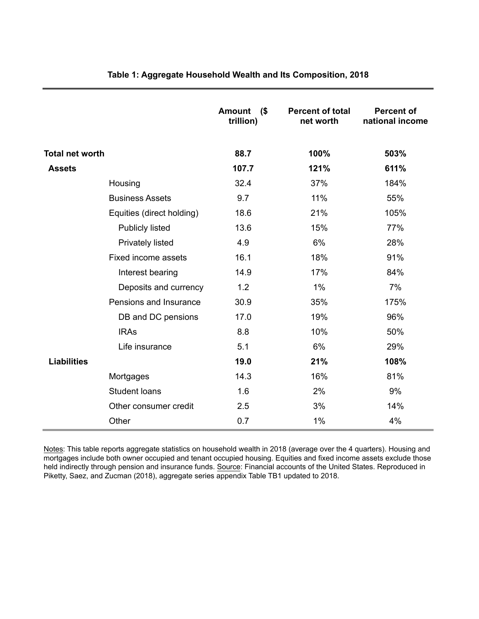|                        |                           | <b>Amount</b><br>$($ \$<br>trillion) | <b>Percent of total</b><br>net worth | <b>Percent of</b><br>national income |
|------------------------|---------------------------|--------------------------------------|--------------------------------------|--------------------------------------|
| <b>Total net worth</b> |                           | 88.7                                 | 100%                                 | 503%                                 |
| <b>Assets</b>          |                           | 107.7                                | 121%                                 | 611%                                 |
|                        | Housing                   | 32.4                                 | 37%                                  | 184%                                 |
|                        | <b>Business Assets</b>    | 9.7                                  | 11%                                  | 55%                                  |
|                        | Equities (direct holding) | 18.6                                 | 21%                                  | 105%                                 |
|                        | <b>Publicly listed</b>    | 13.6                                 | 15%                                  | 77%                                  |
|                        | <b>Privately listed</b>   | 4.9                                  | 6%                                   | 28%                                  |
|                        | Fixed income assets       | 16.1                                 | 18%                                  | 91%                                  |
|                        | Interest bearing          | 14.9                                 | 17%                                  | 84%                                  |
|                        | Deposits and currency     | 1.2                                  | $1\%$                                | 7%                                   |
|                        | Pensions and Insurance    | 30.9                                 | 35%                                  | 175%                                 |
|                        | DB and DC pensions        | 17.0                                 | 19%                                  | 96%                                  |
|                        | <b>IRAs</b>               | 8.8                                  | 10%                                  | 50%                                  |
|                        | Life insurance            | 5.1                                  | 6%                                   | 29%                                  |
| <b>Liabilities</b>     |                           | 19.0                                 | 21%                                  | 108%                                 |
|                        | Mortgages                 | 14.3                                 | 16%                                  | 81%                                  |
|                        | <b>Student loans</b>      | 1.6                                  | 2%                                   | 9%                                   |
|                        | Other consumer credit     | 2.5                                  | 3%                                   | 14%                                  |
|                        | Other                     | 0.7                                  | 1%                                   | 4%                                   |

## **Table 1: Aggregate Household Wealth and Its Composition, 2018**

Notes: This table reports aggregate statistics on household wealth in 2018 (average over the 4 quarters). Housing and mortgages include both owner occupied and tenant occupied housing. Equities and fixed income assets exclude those held indirectly through pension and insurance funds. Source: Financial accounts of the United States. Reproduced in Piketty, Saez, and Zucman (2018), aggregate series appendix Table TB1 updated to 2018.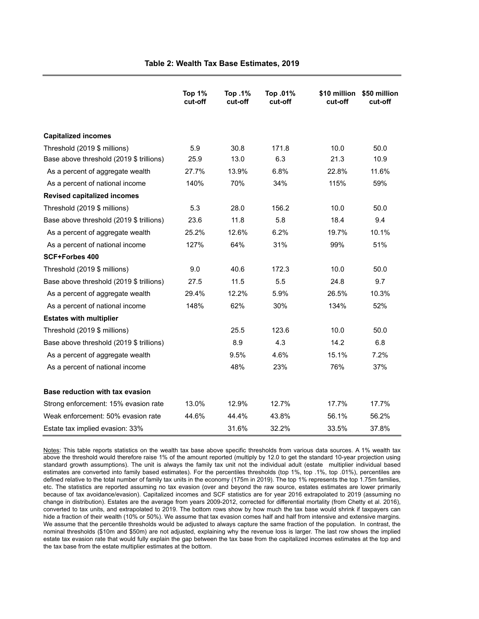|                                          | <b>Top 1%</b><br>cut-off | Top .1%<br>cut-off | Top .01%<br>cut-off | \$10 million<br>cut-off | \$50 million<br>cut-off |
|------------------------------------------|--------------------------|--------------------|---------------------|-------------------------|-------------------------|
| <b>Capitalized incomes</b>               |                          |                    |                     |                         |                         |
| Threshold (2019 \$ millions)             | 5.9                      | 30.8               | 171.8               | 10.0                    | 50.0                    |
| Base above threshold (2019 \$ trillions) | 25.9                     | 13.0               | 6.3                 | 21.3                    | 10.9                    |
| As a percent of aggregate wealth         | 27.7%                    | 13.9%              | 6.8%                | 22.8%                   | 11.6%                   |
| As a percent of national income          | 140%                     | 70%                | 34%                 | 115%                    | 59%                     |
| <b>Revised capitalized incomes</b>       |                          |                    |                     |                         |                         |
| Threshold (2019 \$ millions)             | 5.3                      | 28.0               | 156.2               | 10.0                    | 50.0                    |
| Base above threshold (2019 \$ trillions) | 23.6                     | 11.8               | 5.8                 | 18.4                    | 9.4                     |
| As a percent of aggregate wealth         | 25.2%                    | 12.6%              | 6.2%                | 19.7%                   | 10.1%                   |
| As a percent of national income          | 127%                     | 64%                | 31%                 | 99%                     | 51%                     |
| <b>SCF+Forbes 400</b>                    |                          |                    |                     |                         |                         |
| Threshold (2019 \$ millions)             | 9.0                      | 40.6               | 172.3               | 10.0                    | 50.0                    |
| Base above threshold (2019 \$ trillions) | 27.5                     | 11.5               | 5.5                 | 24.8                    | 9.7                     |
| As a percent of aggregate wealth         | 29.4%                    | 12.2%              | 5.9%                | 26.5%                   | 10.3%                   |
| As a percent of national income          | 148%                     | 62%                | 30%                 | 134%                    | 52%                     |
| <b>Estates with multiplier</b>           |                          |                    |                     |                         |                         |
| Threshold (2019 \$ millions)             |                          | 25.5               | 123.6               | 10.0                    | 50.0                    |
| Base above threshold (2019 \$ trillions) |                          | 8.9                | 4.3                 | 14.2                    | 6.8                     |
| As a percent of aggregate wealth         |                          | 9.5%               | 4.6%                | 15.1%                   | 7.2%                    |
| As a percent of national income          |                          | 48%                | 23%                 | 76%                     | 37%                     |
| Base reduction with tax evasion          |                          |                    |                     |                         |                         |
| Strong enforcement: 15% evasion rate     | 13.0%                    | 12.9%              | 12.7%               | 17.7%                   | 17.7%                   |
| Weak enforcement: 50% evasion rate       | 44.6%                    | 44.4%              | 43.8%               | 56.1%                   | 56.2%                   |
| Estate tax implied evasion: 33%          |                          | 31.6%              | 32.2%               | 33.5%                   | 37.8%                   |

Notes: This table reports statistics on the wealth tax base above specific thresholds from various data sources. A 1% wealth tax above the threshold would therefore raise 1% of the amount reported (multiply by 12.0 to get the standard 10-year projection using standard growth assumptions). The unit is always the family tax unit not the individual adult (estate multiplier individual based estimates are converted into family based estimates). For the percentiles thresholds (top 1%, top .1%, top .01%), percentiles are defined relative to the total number of family tax units in the economy (175m in 2019). The top 1% represents the top 1.75m families, etc. The statistics are reported assuming no tax evasion (over and beyond the raw source, estates estimates are lower primarily because of tax avoidance/evasion). Capitalized incomes and SCF statistics are for year 2016 extrapolated to 2019 (assuming no change in distribution). Estates are the average from years 2009-2012, corrected for differential mortality (from Chetty et al. 2016), converted to tax units, and extrapolated to 2019. The bottom rows show by how much the tax base would shrink if taxpayers can hide a fraction of their wealth (10% or 50%). We assume that tax evasion comes half and half from intensive and extensive margins. We assume that the percentile thresholds would be adjusted to always capture the same fraction of the population. In contrast, the nominal thresholds (\$10m and \$50m) are not adjusted, explaining why the revenue loss is larger. The last row shows the implied estate tax evasion rate that would fully explain the gap between the tax base from the capitalized incomes estimates at the top and the tax base from the estate multiplier estimates at the bottom.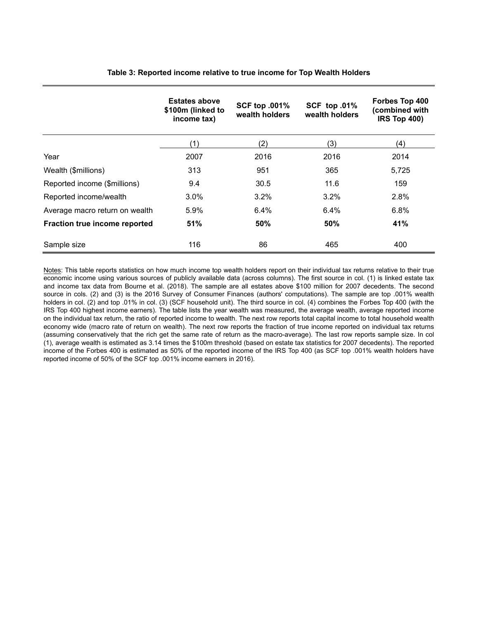|                                | <b>Estates above</b><br>\$100m (linked to<br>income tax) | SCF top .001%<br>wealth holders | SCF top .01%<br>wealth holders | Forbes Top 400<br>(combined with<br><b>IRS Top 400)</b> |
|--------------------------------|----------------------------------------------------------|---------------------------------|--------------------------------|---------------------------------------------------------|
|                                | (1)                                                      | (2)                             | (3)                            | (4)                                                     |
| Year                           | 2007                                                     | 2016                            | 2016                           | 2014                                                    |
| Wealth (\$millions)            | 313                                                      | 951                             | 365                            | 5,725                                                   |
| Reported income (\$millions)   | 9.4                                                      | 30.5                            | 11.6                           | 159                                                     |
| Reported income/wealth         | 3.0%                                                     | 3.2%                            | 3.2%                           | 2.8%                                                    |
| Average macro return on wealth | 5.9%                                                     | 6.4%                            | 6.4%                           | 6.8%                                                    |
| Fraction true income reported  | 51%                                                      | 50%                             | 50%                            | 41%                                                     |
| Sample size                    | 116                                                      | 86                              | 465                            | 400                                                     |

#### **Table 3: Reported income relative to true income for Top Wealth Holders**

Notes: This table reports statistics on how much income top wealth holders report on their individual tax returns relative to their true economic income using various sources of publicly available data (across columns). The first source in col. (1) is linked estate tax and income tax data from Bourne et al. (2018). The sample are all estates above \$100 million for 2007 decedents. The second source in cols. (2) and (3) is the 2016 Survey of Consumer Finances (authors' computations). The sample are top .001% wealth holders in col. (2) and top .01% in col. (3) (SCF household unit). The third source in col. (4) combines the Forbes Top 400 (with the IRS Top 400 highest income earners). The table lists the year wealth was measured, the average wealth, average reported income on the individual tax return, the ratio of reported income to wealth. The next row reports total capital income to total household wealth economy wide (macro rate of return on wealth). The next row reports the fraction of true income reported on individual tax returns (assuming conservatively that the rich get the same rate of return as the macro-average). The last row reports sample size. In col (1), average wealth is estimated as 3.14 times the \$100m threshold (based on estate tax statistics for 2007 decedents). The reported income of the Forbes 400 is estimated as 50% of the reported income of the IRS Top 400 (as SCF top .001% wealth holders have reported income of 50% of the SCF top .001% income earners in 2016).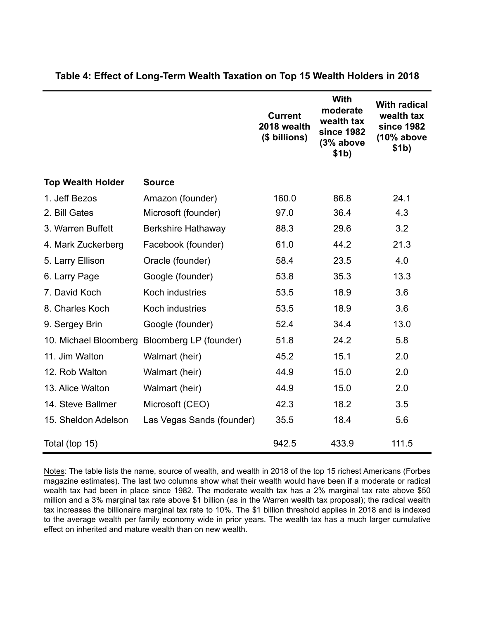|                          |                           | <b>Current</b><br>2018 wealth<br>(\$ billions) | <b>With</b><br>moderate<br>wealth tax<br><b>since 1982</b><br>(3% above<br>\$1b) | <b>With radical</b><br>wealth tax<br><b>since 1982</b><br>(10% above<br>\$1 <sub>b</sub> |
|--------------------------|---------------------------|------------------------------------------------|----------------------------------------------------------------------------------|------------------------------------------------------------------------------------------|
| <b>Top Wealth Holder</b> | <b>Source</b>             |                                                |                                                                                  |                                                                                          |
| 1. Jeff Bezos            | Amazon (founder)          | 160.0                                          | 86.8                                                                             | 24.1                                                                                     |
| 2. Bill Gates            | Microsoft (founder)       | 97.0                                           | 36.4                                                                             | 4.3                                                                                      |
| 3. Warren Buffett        | <b>Berkshire Hathaway</b> | 88.3                                           | 29.6                                                                             | 3.2                                                                                      |
| 4. Mark Zuckerberg       | Facebook (founder)        | 61.0                                           | 44.2                                                                             | 21.3                                                                                     |
| 5. Larry Ellison         | Oracle (founder)          | 58.4                                           | 23.5                                                                             | 4.0                                                                                      |
| 6. Larry Page            | Google (founder)          | 53.8                                           | 35.3                                                                             | 13.3                                                                                     |
| 7. David Koch            | Koch industries           | 53.5                                           | 18.9                                                                             | 3.6                                                                                      |
| 8. Charles Koch          | Koch industries           | 53.5                                           | 18.9                                                                             | 3.6                                                                                      |
| 9. Sergey Brin           | Google (founder)          | 52.4                                           | 34.4                                                                             | 13.0                                                                                     |
| 10. Michael Bloomberg    | Bloomberg LP (founder)    | 51.8                                           | 24.2                                                                             | 5.8                                                                                      |
| 11. Jim Walton           | Walmart (heir)            | 45.2                                           | 15.1                                                                             | 2.0                                                                                      |
| 12. Rob Walton           | Walmart (heir)            | 44.9                                           | 15.0                                                                             | 2.0                                                                                      |
| 13. Alice Walton         | Walmart (heir)            | 44.9                                           | 15.0                                                                             | 2.0                                                                                      |
| 14. Steve Ballmer        | Microsoft (CEO)           | 42.3                                           | 18.2                                                                             | 3.5                                                                                      |
| 15. Sheldon Adelson      | Las Vegas Sands (founder) | 35.5                                           | 18.4                                                                             | 5.6                                                                                      |
| Total (top 15)           |                           | 942.5                                          | 433.9                                                                            | 111.5                                                                                    |

**Table 4: Effect of Long-Term Wealth Taxation on Top 15 Wealth Holders in 2018**

Notes: The table lists the name, source of wealth, and wealth in 2018 of the top 15 richest Americans (Forbes magazine estimates). The last two columns show what their wealth would have been if a moderate or radical wealth tax had been in place since 1982. The moderate wealth tax has a 2% marginal tax rate above \$50 million and a 3% marginal tax rate above \$1 billion (as in the Warren wealth tax proposal); the radical wealth tax increases the billionaire marginal tax rate to 10%. The \$1 billion threshold applies in 2018 and is indexed to the average wealth per family economy wide in prior years. The wealth tax has a much larger cumulative effect on inherited and mature wealth than on new wealth.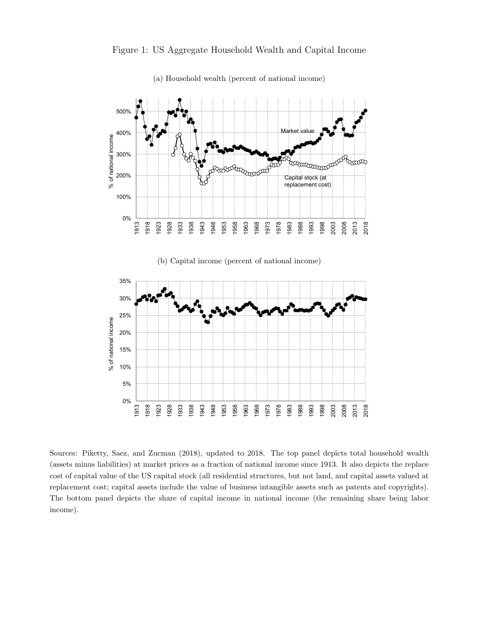<span id="page-61-0"></span>

Figure 1: US Aggregate Household Wealth and Capital Income

Sources: Piketty, Saez, and Zucman (2018), updated to 2018. The top panel depicts total household wealth (assets minus liabilities) at market prices as a fraction of national income since 1913. It also depicts the replace cost of capital value of the US capital stock (all residential structures, but not land, and capital assets valued at replacement cost; capital assets include the value of business intangible assets such as patents and copyrights). The bottom panel depicts the share of capital income in national income (the remaining share being labor income).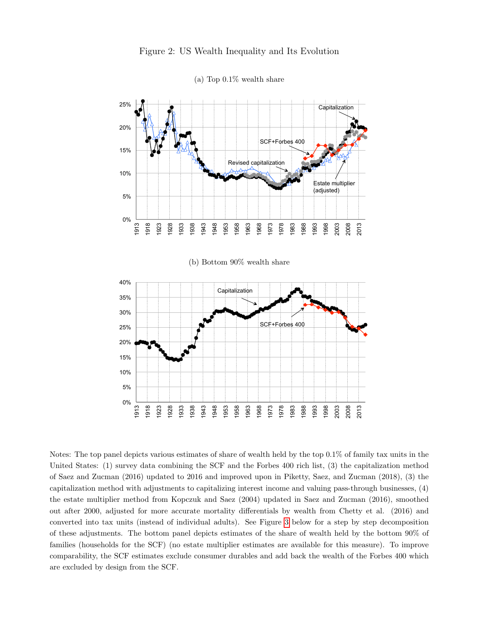

<span id="page-62-0"></span>

(a) Top 0.1% wealth share

Notes: The top panel depicts various estimates of share of wealth held by the top 0.1% of family tax units in the United States: (1) survey data combining the SCF and the Forbes 400 rich list, (3) the capitalization method of Saez and Zucman (2016) updated to 2016 and improved upon in Piketty, Saez, and Zucman (2018), (3) the capitalization method with adjustments to capitalizing interest income and valuing pass-through businesses, (4) the estate multiplier method from Kopczuk and Saez (2004) updated in Saez and Zucman (2016), smoothed out after 2000, adjusted for more accurate mortality differentials by wealth from Chetty et al. (2016) and converted into tax units (instead of individual adults). See Figure [3](#page-63-0) below for a step by step decomposition of these adjustments. The bottom panel depicts estimates of the share of wealth held by the bottom 90% of families (households for the SCF) (no estate multiplier estimates are available for this measure). To improve comparability, the SCF estimates exclude consumer durables and add back the wealth of the Forbes 400 which are excluded by design from the SCF.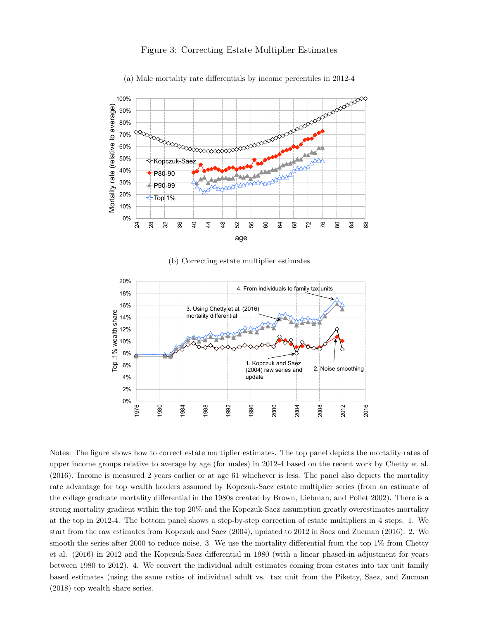<span id="page-63-0"></span>

(a) Male mortality rate differentials by income percentiles in 2012-4

(b) Correcting estate multiplier estimates



Notes: The figure shows how to correct estate multiplier estimates. The top panel depicts the mortality rates of upper income groups relative to average by age (for males) in 2012-4 based on the recent work by Chetty et al. (2016). Income is measured 2 years earlier or at age 61 whichever is less. The panel also depicts the mortality rate advantage for top wealth holders assumed by Kopczuk-Saez estate multiplier series (from an estimate of the college graduate mortality differential in the 1980s created by Brown, Liebman, and Pollet 2002). There is a strong mortality gradient within the top 20% and the Kopczuk-Saez assumption greatly overestimates mortality at the top in 2012-4. The bottom panel shows a step-by-step correction of estate multipliers in 4 steps. 1. We start from the raw estimates from Kopczuk and Saez (2004), updated to 2012 in Saez and Zucman (2016). 2. We smooth the series after 2000 to reduce noise. 3. We use the mortality differential from the top 1% from Chetty et al. (2016) in 2012 and the Kopczuk-Saez differential in 1980 (with a linear phased-in adjustment for years between 1980 to 2012). 4. We convert the individual adult estimates coming from estates into tax unit family based estimates (using the same ratios of individual adult vs. tax unit from the Piketty, Saez, and Zucman (2018) top wealth share series.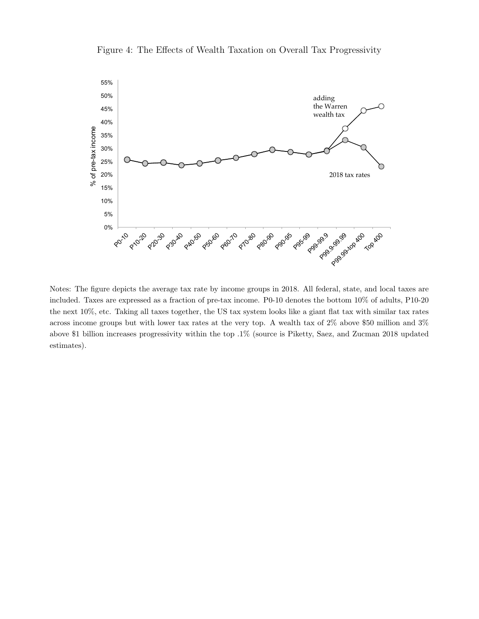<span id="page-64-0"></span>

Figure 4: The Effects of Wealth Taxation on Overall Tax Progressivity

Notes: The figure depicts the average tax rate by income groups in 2018. All federal, state, and local taxes are included. Taxes are expressed as a fraction of pre-tax income. P0-10 denotes the bottom 10% of adults, P10-20 the next 10%, etc. Taking all taxes together, the US tax system looks like a giant flat tax with similar tax rates across income groups but with lower tax rates at the very top. A wealth tax of 2% above \$50 million and 3% above \$1 billion increases progressivity within the top .1% (source is Piketty, Saez, and Zucman 2018 updated estimates).